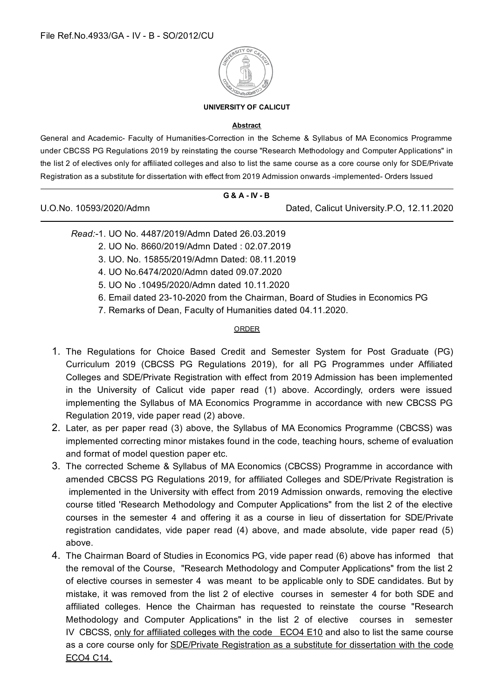

#### **UNIVERSITY OF CALICUT**

#### **Abstract**

General and Academic- Faculty of Humanities-Correction in the Scheme & Syllabus of MA Economics Programme under CBCSS PG Regulations 2019 by reinstating the course "Research Methodology and Computer Applications" in the list 2 of electives only for affiliated colleges and also to list the same course as a core course only for SDE/Private Registration as a substitute for dissertation with effect from 2019 Admission onwards -implemented- Orders Issued

#### **G & A - IV - B**

U.O.No. 10593/2020/Admn Dated, Calicut University.P.O, 12.11.2020

- *Read:-*1. UO No. 4487/2019/Admn Dated 26.03.2019
	- 2. UO No. 8660/2019/Admn Dated : 02.07.2019
	- 3. UO. No. 15855/2019/Admn Dated: 08.11.2019
	- 4. UO No.6474/2020/Admn dated 09.07.2020
	- 5. UO No .10495/2020/Admn dated 10.11.2020
	- 6. Email dated 23-10-2020 from the Chairman, Board of Studies in Economics PG
	- 7. Remarks of Dean, Faculty of Humanities dated 04.11.2020.

#### ORDER

- 1. The Regulations for Choice Based Credit and Semester System for Post Graduate (PG) Curriculum 2019 (CBCSS PG Regulations 2019), for all PG Programmes under Affiliated Colleges and SDE/Private Registration with effect from 2019 Admission has been implemented in the University of Calicut vide paper read (1) above. Accordingly, orders were issued implementing the Syllabus of MA Economics Programme in accordance with new CBCSS PG Regulation 2019, vide paper read (2) above.
- 2. Later, as per paper read (3) above, the Syllabus of MA Economics Programme (CBCSS) was implemented correcting minor mistakes found in the code, teaching hours, scheme of evaluation and format of model question paper etc.
- 3. The corrected Scheme & Syllabus of MA Economics (CBCSS) Programme in accordance with amended CBCSS PG Regulations 2019, for affiliated Colleges and SDE/Private Registration is implemented in the University with effect from 2019 Admission onwards, removing the elective course titled 'Research Methodology and Computer Applications" from the list 2 of the elective courses in the semester 4 and offering it as a course in lieu of dissertation for SDE/Private registration candidates, vide paper read (4) above, and made absolute, vide paper read (5) above.
- 4. The Chairman Board of Studies in Economics PG, vide paper read (6) above has informed that the removal of the Course, "Research Methodology and Computer Applications" from the list 2 of elective courses in semester 4 was meant to be applicable only to SDE candidates. But by mistake, it was removed from the list 2 of elective courses in semester 4 for both SDE and affiliated colleges. Hence the Chairman has requested to reinstate the course "Research Methodology and Computer Applications" in the list 2 of elective courses in semester IV CBCSS, only for affiliated colleges with the code ECO4 E10 and also to list the same course as a core course only for SDE/Private Registration as a substitute for dissertation with the code ECO4 C14.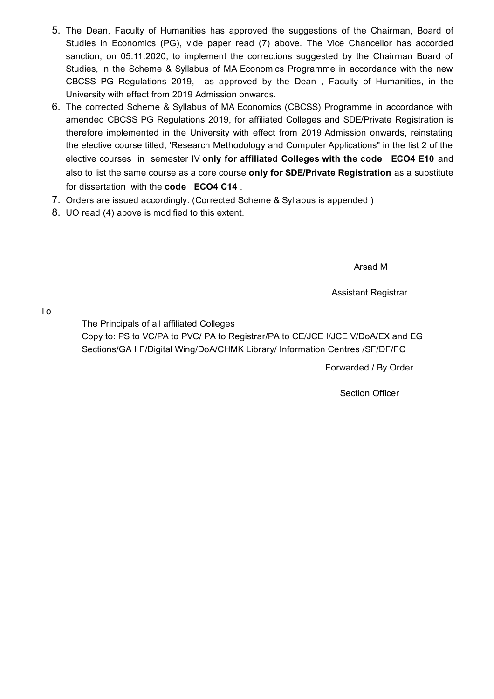- 5. The Dean, Faculty of Humanities has approved the suggestions of the Chairman, Board of Studies in Economics (PG), vide paper read (7) above. The Vice Chancellor has accorded sanction, on 05.11.2020, to implement the corrections suggested by the Chairman Board of Studies, in the Scheme & Syllabus of MA Economics Programme in accordance with the new CBCSS PG Regulations 2019, as approved by the Dean , Faculty of Humanities, in the University with effect from 2019 Admission onwards.
- 6. The corrected Scheme & Syllabus of MA Economics (CBCSS) Programme in accordance with amended CBCSS PG Regulations 2019, for affiliated Colleges and SDE/Private Registration is therefore implemented in the University with effect from 2019 Admission onwards, reinstating the elective course titled, 'Research Methodology and Computer Applications" in the list 2 of the elective courses in semester IV **only for affiliated Colleges with the code ECO4 E10** and also to list the same course as a core course **only for SDE/Private Registration** as a substitute for dissertation with the **code ECO4 C14** .
- 7. Orders are issued accordingly. (Corrected Scheme & Syllabus is appended )
- 8. UO read (4) above is modified to this extent.

Arsad M

Assistant Registrar

To

The Principals of all affiliated Colleges

Copy to: PS to VC/PA to PVC/ PA to Registrar/PA to CE/JCE I/JCE V/DoA/EX and EG Sections/GA I F/Digital Wing/DoA/CHMK Library/ Information Centres /SF/DF/FC

Forwarded / By Order

Section Officer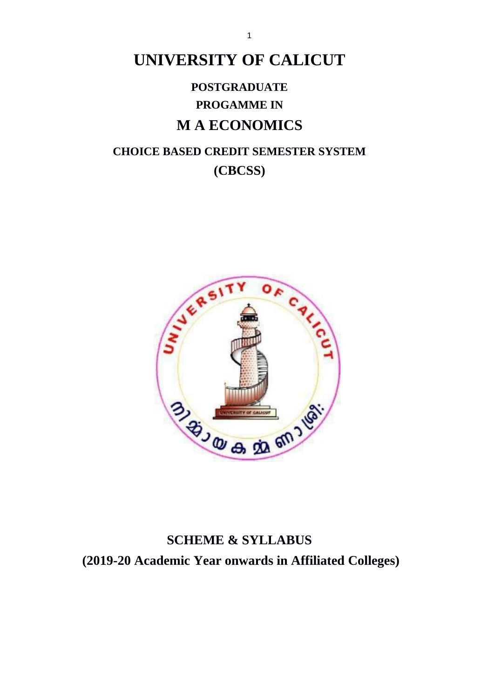# **UNIVERSITY OF CALICUT**

# **POSTGRADUATE PROGAMME IN MAECONOMICS**

# **CHOICE BASED CREDIT SEMESTER SYSTEM** (CBCSS)



# **SCHEME & SYLLABUS** (2019-20 Academic Year onwards in Affiliated Colleges)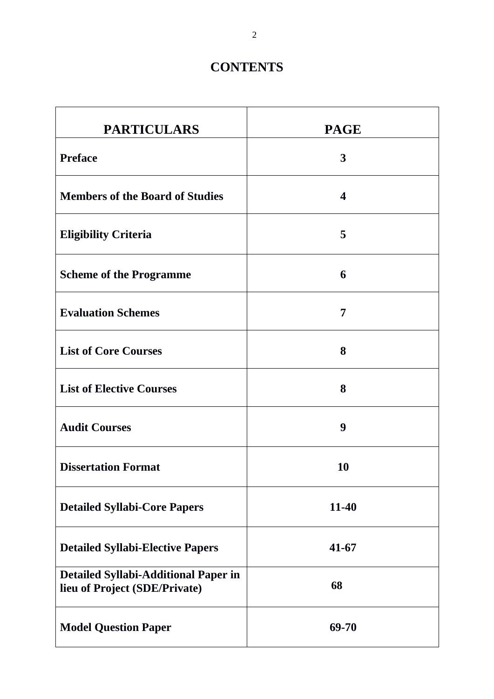# **CONTENTS**

| <b>PARTICULARS</b>                                                           | <b>PAGE</b>      |
|------------------------------------------------------------------------------|------------------|
| <b>Preface</b>                                                               | 3                |
| <b>Members of the Board of Studies</b>                                       | $\boldsymbol{4}$ |
| <b>Eligibility Criteria</b>                                                  | 5                |
| <b>Scheme of the Programme</b>                                               | 6                |
| <b>Evaluation Schemes</b>                                                    | 7                |
| <b>List of Core Courses</b>                                                  | 8                |
| <b>List of Elective Courses</b>                                              | 8                |
| <b>Audit Courses</b>                                                         | 9                |
| <b>Dissertation Format</b>                                                   | <b>10</b>        |
| <b>Detailed Syllabi-Core Papers</b>                                          | $11 - 40$        |
| <b>Detailed Syllabi-Elective Papers</b>                                      | $41 - 67$        |
| <b>Detailed Syllabi-Additional Paper in</b><br>lieu of Project (SDE/Private) | 68               |
| <b>Model Question Paper</b>                                                  | 69-70            |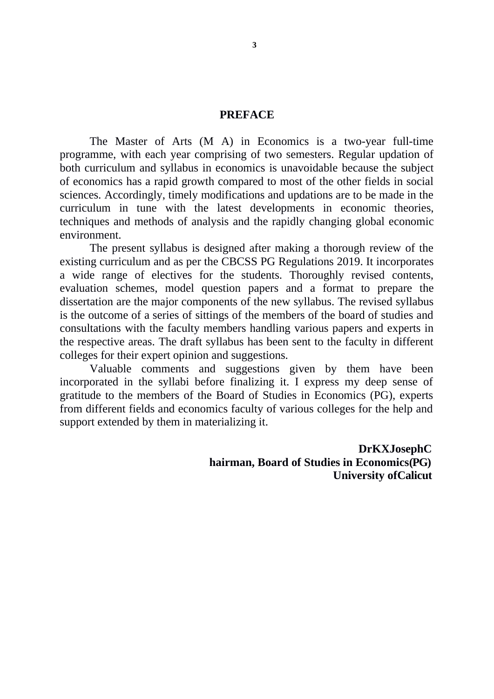# **PREFACE**

The Master of Arts (M A) in Economics is a two-year full-time programme, with each year comprising of two semesters. Regular updation of both curriculum and syllabus in economics is unavoidable because the subject of economics has a rapid growth compared to most of the other fields in social sciences. Accordingly, timely modifications and updations are to be made in the curriculum in tune with the latest developments in economic theories, techniques and methods of analysis and the rapidly changing global economic environment.

The present syllabus is designed after making a thorough review of the existing curriculum and as per the CBCSS PG Regulations 2019. It incorporates a wide range of electives for the students. Thoroughly revised contents, evaluation schemes, model question papers and a format to prepare the dissertation are the major components of the new syllabus. The revised syllabus is the outcome of a series of sittings of the members of the board of studies and consultations with the faculty members handling various papers and experts in the respective areas. The draft syllabus has been sent to the faculty in different colleges for their expert opinion and suggestions.

Valuable comments and suggestions given by them have been incorporated in the syllabi before finalizing it. I express my deep sense of gratitude to the members of the Board of Studies in Economics (PG), experts from different fields and economics faculty of various colleges for the help and support extended by them in materializing it.

> **DrKXJosephC** hairman, Board of Studies in Economics(PG) **University of Calicut**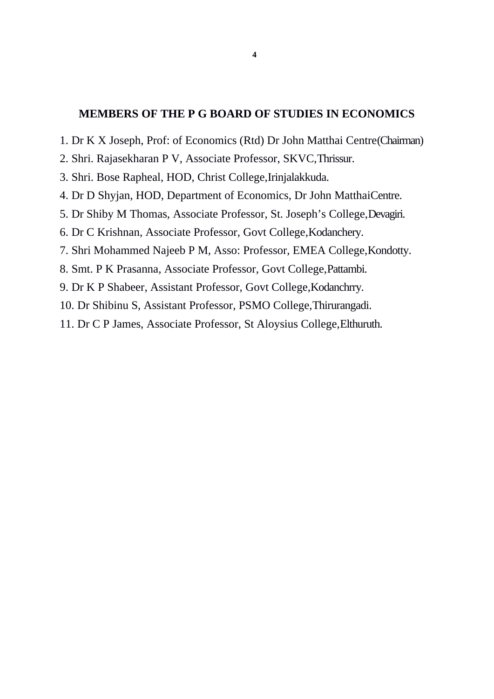# **MEMBERS OF THE P G BOARD OF STUDIES IN ECONOMICS**

- 1. Dr K X Joseph, Prof: of Economics (Rtd) Dr John Matthai Centre(Chairman)
- 2. Shri. Rajasekharan P V, Associate Professor, SKVC, Thrissur.
- 3. Shri. Bose Rapheal, HOD, Christ College, Irinjalakkuda.
- 4. Dr D Shyjan, HOD, Department of Economics, Dr John MatthaiCentre.
- 5. Dr Shiby M Thomas, Associate Professor, St. Joseph's College, Devagiri.
- 6. Dr C Krishnan, Associate Professor, Govt College, Kodanchery.
- 7. Shri Mohammed Najeeb P M, Asso: Professor, EMEA College, Kondotty.
- 8. Smt. P K Prasanna, Associate Professor, Govt College, Pattambi.
- 9. Dr K P Shabeer, Assistant Professor, Govt College, Kodanchrry.
- 10. Dr Shibinu S, Assistant Professor, PSMO College, Thirurangadi.
- 11. Dr C P James, Associate Professor, St Aloysius College, Elthuruth.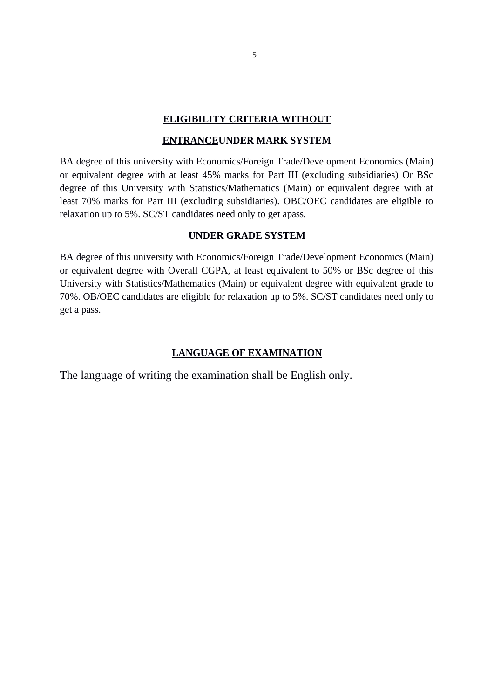## **ELIGIBILITY CRITERIA WITHOUT**

#### **ENTRANCEUNDER MARK SYSTEM**

BA degree of this university with Economics/Foreign Trade/Development Economics (Main) or equivalent degree with at least 45% marks for Part III (excluding subsidiaries) Or BSc degree of this University with Statistics/Mathematics (Main) or equivalent degree with at least 70% marks for Part III (excluding subsidiaries). OBC/OEC candidates are eligible to relaxation up to 5%. SC/ST candidates need only to get apass.

# **UNDER GRADE SYSTEM**

BA degree of this university with Economics/Foreign Trade/Development Economics (Main) or equivalent degree with Overall CGPA, at least equivalent to 50% or BSc degree of this University with Statistics/Mathematics (Main) or equivalent degree with equivalent grade to 70%. OB/OEC candidates are eligible for relaxation up to 5%. SC/ST candidates need only to get a pass.

# **LANGUAGE OF EXAMINATION**

The language of writing the examination shall be English only.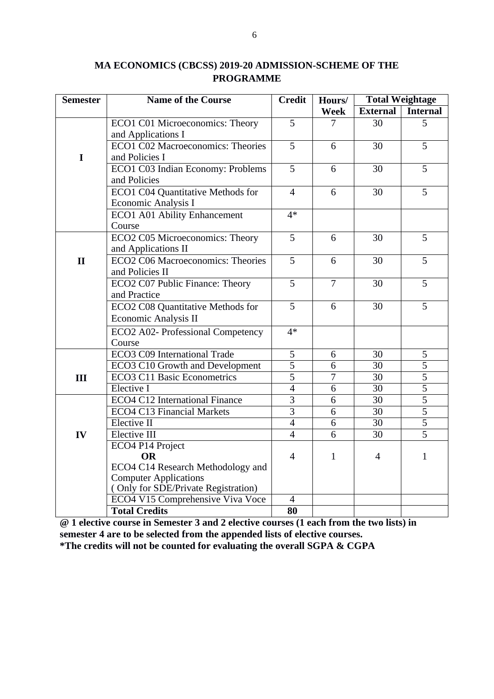| <b>Semester</b> | <b>Name of the Course</b><br><b>Credit</b>       |                                  | Hours/         | <b>Total Weightage</b> |                                  |
|-----------------|--------------------------------------------------|----------------------------------|----------------|------------------------|----------------------------------|
|                 |                                                  |                                  | <b>Week</b>    | <b>External</b>        | <b>Internal</b>                  |
|                 | ECO1 C01 Microeconomics: Theory                  | 5                                | 7              | 30                     | 5                                |
|                 | and Applications I                               |                                  |                |                        |                                  |
|                 | ECO1 C02 Macroeconomics: Theories                | 5                                | 6              | 30                     | 5                                |
| $\mathbf I$     | and Policies I                                   |                                  |                |                        |                                  |
|                 | ECO1 C03 Indian Economy: Problems                | 5                                | 6              | 30                     | 5                                |
|                 | and Policies                                     |                                  |                |                        |                                  |
|                 | <b>ECO1 C04 Quantitative Methods for</b>         | $\overline{4}$                   | 6              | 30                     | 5                                |
|                 | Economic Analysis I                              |                                  |                |                        |                                  |
|                 | ECO1 A01 Ability Enhancement                     | $4*$                             |                |                        |                                  |
|                 | Course                                           |                                  |                |                        |                                  |
|                 | ECO2 C05 Microeconomics: Theory                  | 5                                | 6              | 30                     | 5                                |
|                 | and Applications II                              |                                  |                |                        |                                  |
| $\mathbf{I}$    | ECO2 C06 Macroeconomics: Theories                | 5                                | 6              | 30                     | 5                                |
|                 | and Policies II                                  |                                  |                |                        |                                  |
|                 | ECO2 C07 Public Finance: Theory                  | 5                                | $\overline{7}$ | 30                     | 5                                |
|                 | and Practice                                     |                                  |                |                        |                                  |
|                 | ECO2 C08 Quantitative Methods for                | 5                                | 6              | 30                     | 5                                |
|                 | <b>Economic Analysis II</b>                      |                                  |                |                        |                                  |
|                 | ECO2 A02- Professional Competency                | $4*$                             |                |                        |                                  |
|                 | Course                                           |                                  |                |                        |                                  |
|                 | ECO3 C09 International Trade                     | 5                                | 6              | 30                     | 5                                |
|                 | <b>ECO3 C10 Growth and Development</b>           | $\overline{5}$                   | 6              | 30                     | 5                                |
| III             | <b>ECO3 C11 Basic Econometrics</b>               | $\overline{5}$                   | $\overline{7}$ | 30                     | $\overline{5}$<br>$\overline{5}$ |
|                 | Elective I                                       | $\overline{4}$<br>$\overline{3}$ | 6              | 30                     |                                  |
|                 | <b>ECO4 C12 International Finance</b>            | $\overline{3}$                   | 6              | 30                     | $\overline{5}$                   |
|                 | <b>ECO4 C13 Financial Markets</b><br>Elective II | $\overline{4}$                   | 6<br>6         | 30<br>$\overline{30}$  | 5<br>$\overline{5}$              |
| IV              | Elective III                                     | $\overline{4}$                   | $\overline{6}$ | $\overline{30}$        | $\overline{5}$                   |
|                 | ECO4 P14 Project                                 |                                  |                |                        |                                  |
|                 | <b>OR</b>                                        | $\overline{4}$                   | $\mathbf{1}$   | 4                      | 1                                |
|                 | ECO4 C14 Research Methodology and                |                                  |                |                        |                                  |
|                 | <b>Computer Applications</b>                     |                                  |                |                        |                                  |
|                 | (Only for SDE/Private Registration)              |                                  |                |                        |                                  |
|                 | ECO4 V15 Comprehensive Viva Voce                 | $\overline{4}$                   |                |                        |                                  |
|                 | <b>Total Credits</b>                             | $\overline{\bf 80}$              |                |                        |                                  |

# MA ECONOMICS (CBCSS) 2019-20 ADMISSION-SCHEME OF THE **PROGRAMME**

 $\omega$  1 elective course in Semester 3 and 2 elective courses (1 each from the two lists) in semester 4 are to be selected from the appended lists of elective courses. \*The credits will not be counted for evaluating the overall SGPA & CGPA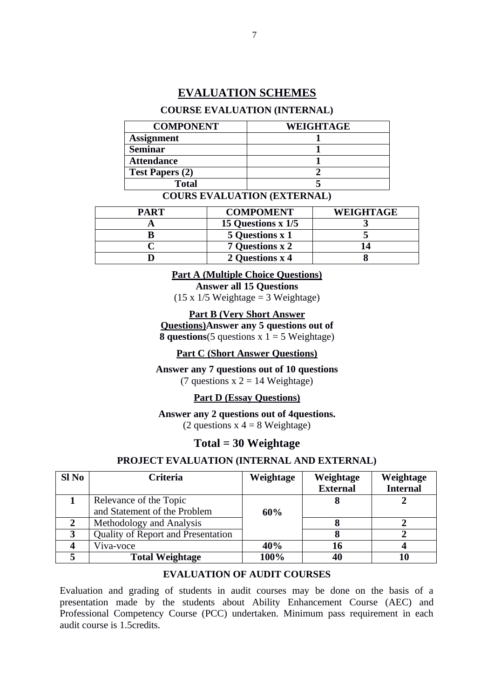# **EVALUATION SCHEMES**

#### **COURSE EVALUATION (INTERNAL)**

| <b>COMPONENT</b>       | <b>WEIGHTAGE</b> |
|------------------------|------------------|
| <b>Assignment</b>      |                  |
| <b>Seminar</b>         |                  |
| <b>Attendance</b>      |                  |
| <b>Test Papers (2)</b> |                  |
| Total                  |                  |

#### **COURS EVALUATION (EXTERNAL)**

| PART | <b>COMPOMENT</b>          | <b>WEIGHTAGE</b> |
|------|---------------------------|------------------|
|      | <b>15 Questions x 1/5</b> |                  |
|      | 5 Questions x 1           |                  |
|      | <b>7 Questions x 2</b>    |                  |
|      | 2 Questions x 4           |                  |

# **Part A (Multiple Choice Questions)**

**Answer all 15 Questions** 

 $(15 \times 1/5$  Weightage = 3 Weightage)

**Part B (Very Short Answer** 

**Questions)**Answer any 5 questions out of **8 questions**(5 questions  $x$  1 = 5 Weightage)

### **Part C (Short Answer Questions)**

Answer any 7 questions out of 10 questions (7 questions  $x$  2 = 14 Weightage)

#### **Part D (Essay Questions)**

#### Answer any 2 questions out of 4 questions.

(2 questions  $x$  4 = 8 Weightage)

# $Total = 30 Weightage$

#### PROJECT EVALUATION (INTERNAL AND EXTERNAL)

| Sl <sub>No</sub> | Criteria                           | Weightage | Weightage       | Weightage       |
|------------------|------------------------------------|-----------|-----------------|-----------------|
|                  |                                    |           | <b>External</b> | <b>Internal</b> |
|                  | Relevance of the Topic             |           |                 |                 |
|                  | and Statement of the Problem       | 60%       |                 |                 |
|                  | Methodology and Analysis           |           |                 |                 |
| פ                | Quality of Report and Presentation |           |                 |                 |
|                  | Viva-voce                          | 40%       | 16              |                 |
|                  | <b>Total Weightage</b>             | 100%      | 40              | 10              |

# **EVALUATION OF AUDIT COURSES**

Evaluation and grading of students in audit courses may be done on the basis of a presentation made by the students about Ability Enhancement Course (AEC) and Professional Competency Course (PCC) undertaken. Minimum pass requirement in each audit course is 1 5 credits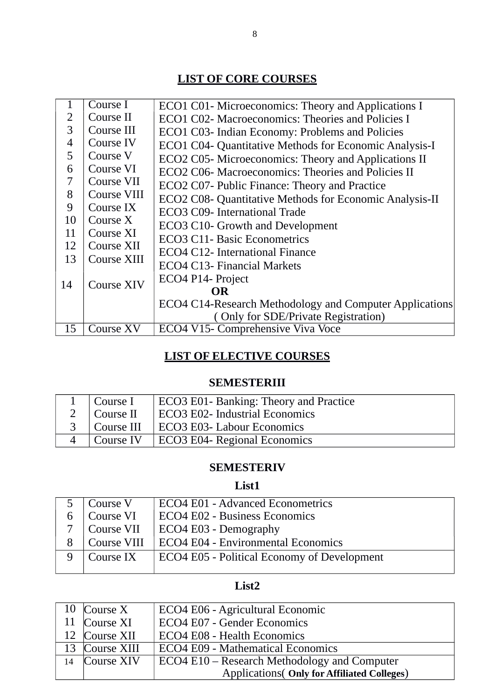# **LIST OF CORE COURSES**

| $\mathbf{1}$ | Course I    | ECO1 C01- Microeconomics: Theory and Applications I            |
|--------------|-------------|----------------------------------------------------------------|
| 2            | Course II   | ECO1 C02- Macroeconomics: Theories and Policies I              |
| 3            | Course III  | ECO1 C03- Indian Economy: Problems and Policies                |
| 4            | Course IV   | ECO1 C04- Quantitative Methods for Economic Analysis-I         |
| 5            | Course V    | ECO2 C05- Microeconomics: Theory and Applications II           |
| 6            | Course VI   | ECO2 C06- Macroeconomics: Theories and Policies II             |
| 7            | Course VII  | ECO2 C07- Public Finance: Theory and Practice                  |
| 8            | Course VIII | ECO2 C08- Quantitative Methods for Economic Analysis-II        |
| 9            | Course IX   | ECO3 C09- International Trade                                  |
| 10           | Course $X$  | ECO3 C10- Growth and Development                               |
| 11           | Course XI   | <b>ECO3 C11- Basic Econometrics</b>                            |
| 12           | Course XII  | ECO4 C12- International Finance                                |
| 13           | Course XIII | ECO4 C13- Financial Markets                                    |
|              |             | ECO4 P14- Project                                              |
| 14           | Course XIV  | <b>OR</b>                                                      |
|              |             |                                                                |
|              |             | <b>ECO4 C14-Research Methodology and Computer Applications</b> |
|              |             | (Only for SDE/Private Registration)                            |
| 15           | Course XV   | ECO4 V15- Comprehensive Viva Voce                              |

# **LIST OF ELECTIVE COURSES**

# **SEMESTERIII**

| $1$ Course I        | ECO3 E01- Banking: Theory and Practice |
|---------------------|----------------------------------------|
| 2 $\vert$ Course II | <b>ECO3 E02- Industrial Economics</b>  |
| Course III          | ECO3 E03- Labour Economics             |
| Course IV           | <b>ECO3 E04- Regional Economics</b>    |

# **SEMESTERIV**

# **List1**

| 5 | Course V    | <b>ECO4 E01 - Advanced Econometrics</b>            |  |
|---|-------------|----------------------------------------------------|--|
| 6 | Course VI   | ECO4 E02 - Business Economics                      |  |
|   | Course VII  | ECO4 E03 - Demography                              |  |
|   | Course VIII | ECO4 E04 - Environmental Economics                 |  |
|   | Course IX   | <b>ECO4 E05 - Political Economy of Development</b> |  |
|   |             |                                                    |  |

# **List2**

| 10 Course X    | ECO4 E06 - Agricultural Economic                   |
|----------------|----------------------------------------------------|
| 11 Course XI   | ECO4 E07 - Gender Economics                        |
| 12 Course XII  | <b>ECO4 E08 - Health Economics</b>                 |
| 13 Course XIII | <b>ECO4 E09 - Mathematical Economics</b>           |
| 14 Course XIV  | ECO4 E10 – Research Methodology and Computer       |
|                | <b>Applications</b> (Only for Affiliated Colleges) |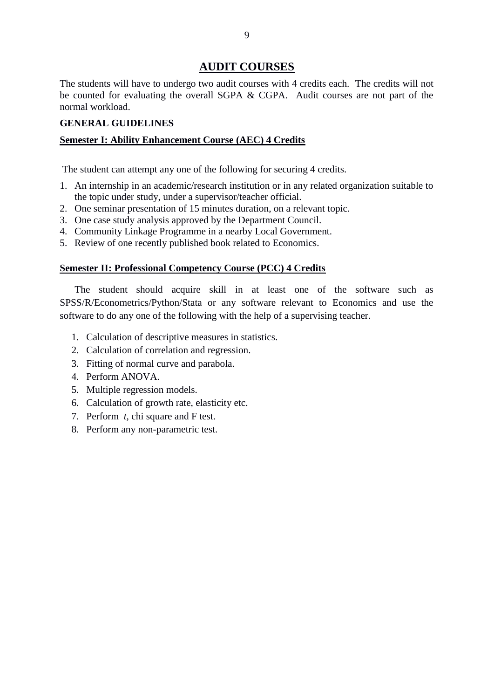# **AUDIT COURSES**

The students will have to undergo two audit courses with 4 credits each. The credits will not be counted for evaluating the overall SGPA & CGPA. Audit courses are not part of the normal workload.

# **GENERAL GUIDELINES**

# **Semester I: Ability Enhancement Course (AEC) 4 Credits**

The student can attempt any one of the following for securing 4 credits.

- 1. An internship in an academic/research institution or in any related organization suitable to the topic under study, under a supervisor/teacher official.
- 2. One seminar presentation of 15 minutes duration, on a relevant topic.
- 3. One case study analysis approved by the Department Council.
- 4. Community Linkage Programme in a nearby Local Government.
- 5. Review of one recently published book related to Economics.

#### **Semester II: Professional Competency Course (PCC) 4 Credits**

The student should acquire skill in at least one of the software such as SPSS/R/Econometrics/Python/Stata or any software relevant to Economics and use the software to do any one of the following with the help of a supervising teacher.

- 1. Calculation of descriptive measures in statistics.
- 2. Calculation of correlation and regression.
- 3. Fitting of normal curve and parabola.
- 4. Perform ANOVA.
- 5. Multiple regression models.
- 6. Calculation of growth rate, elasticity etc.
- 7. Perform  $t$ , chi square and F test.
- 8. Perform any non-parametric test.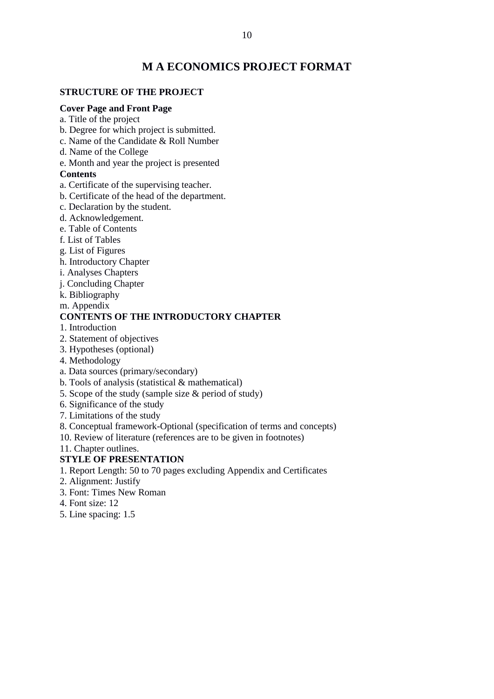# **M A ECONOMICS PROJECT FORMAT**

# **STRUCTURE OF THE PROJECT**

#### **Cover Page and Front Page**

- a. Title of the project
- b. Degree for which project is submitted.
- c. Name of the Candidate & Roll Number
- d. Name of the College

e. Month and year the project is presented

#### **Contents**

- a. Certificate of the supervising teacher.
- b. Certificate of the head of the department.
- c. Declaration by the student.
- d. Acknowledgement.
- e. Table of Contents
- f. List of Tables
- g. List of Figures
- h. Introductory Chapter
- i. Analyses Chapters
- i. Concluding Chapter
- k. Bibliography

m. Appendix

# **CONTENTS OF THE INTRODUCTORY CHAPTER**

- 1. Introduction
- 2. Statement of objectives
- 3. Hypotheses (optional)
- 4. Methodology
- a. Data sources (primary/secondary)
- b. Tools of analysis (statistical & mathematical)
- 5. Scope of the study (sample size & period of study)
- 6. Significance of the study
- 7. Limitations of the study
- 8. Conceptual framework-Optional (specification of terms and concepts)
- 10. Review of literature (references are to be given in footnotes)

11. Chapter outlines.

#### **STYLE OF PRESENTATION**

- 1. Report Length: 50 to 70 pages excluding Appendix and Certificates
- 2. Alignment: Justify
- 3. Font: Times New Roman
- 4. Font size: 12
- 5. Line spacing: 1.5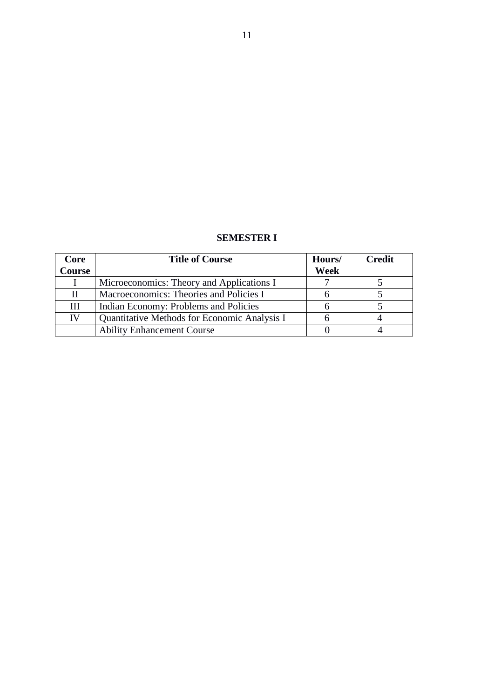# **SEMESTER I**

| Core          | <b>Title of Course</b>                       | Hours/      | <b>Credit</b> |
|---------------|----------------------------------------------|-------------|---------------|
| <b>Course</b> |                                              | <b>Week</b> |               |
|               | Microeconomics: Theory and Applications I    |             |               |
|               | Macroeconomics: Theories and Policies I      |             |               |
| Ш             | Indian Economy: Problems and Policies        |             |               |
| IV            | Quantitative Methods for Economic Analysis I |             |               |
|               | <b>Ability Enhancement Course</b>            |             |               |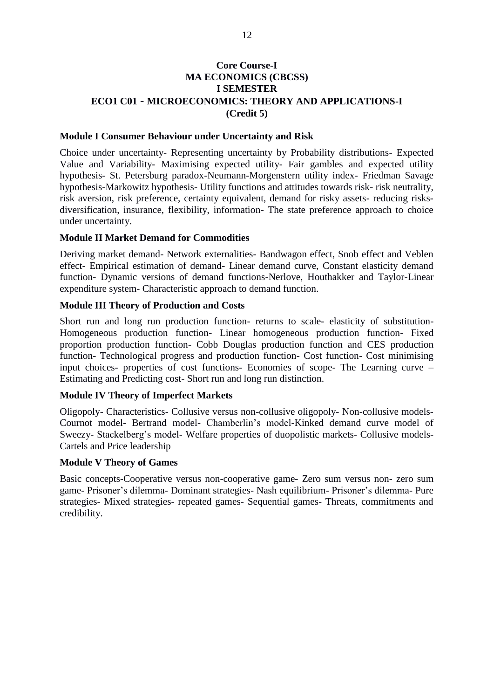# **Core Course-I MA ECONOMICS (CBCSS) I SEMESTER ECO1 C01 - MICROECONOMICS: THEORY AND APPLICATIONS-I** (Credit 5)

#### **Module I Consumer Behaviour under Uncertainty and Risk**

Choice under uncertainty- Representing uncertainty by Probability distributions- Expected Value and Variability- Maximising expected utility- Fair gambles and expected utility hypothesis- St. Petersburg paradox-Neumann-Morgenstern utility index- Friedman Savage hypothesis-Markowitz hypothesis- Utility functions and attitudes towards risk- risk neutrality, risk aversion, risk preference, certainty equivalent, demand for risky assets- reducing risksdiversification, insurance, flexibility, information- The state preference approach to choice under uncertainty.

#### **Module II Market Demand for Commodities**

Deriving market demand- Network externalities- Bandwagon effect, Snob effect and Veblen effect- Empirical estimation of demand- Linear demand curve, Constant elasticity demand function- Dynamic versions of demand functions-Nerlove, Houthakker and Taylor-Linear expenditure system- Characteristic approach to demand function.

#### **Module III Theory of Production and Costs**

Short run and long run production function- returns to scale- elasticity of substitution-Homogeneous production function- Linear homogeneous production function- Fixed proportion production function- Cobb Douglas production function and CES production function- Technological progress and production function- Cost function- Cost minimising input choices- properties of cost functions- Economies of scope- The Learning curve -Estimating and Predicting cost-Short run and long run distinction.

#### **Module IV Theory of Imperfect Markets**

Oligopoly- Characteristics- Collusive versus non-collusive oligopoly- Non-collusive models-Cournot model- Bertrand model- Chamberlin's model-Kinked demand curve model of Sweezy- Stackelberg's model- Welfare properties of duopolistic markets- Collusive models-Cartels and Price leadership

#### **Module V Theory of Games**

Basic concepts-Cooperative versus non-cooperative game- Zero sum versus non- zero sum game- Prisoner's dilemma- Dominant strategies- Nash equilibrium- Prisoner's dilemma- Pure strategies- Mixed strategies- repeated games- Sequential games- Threats, commitments and credibility.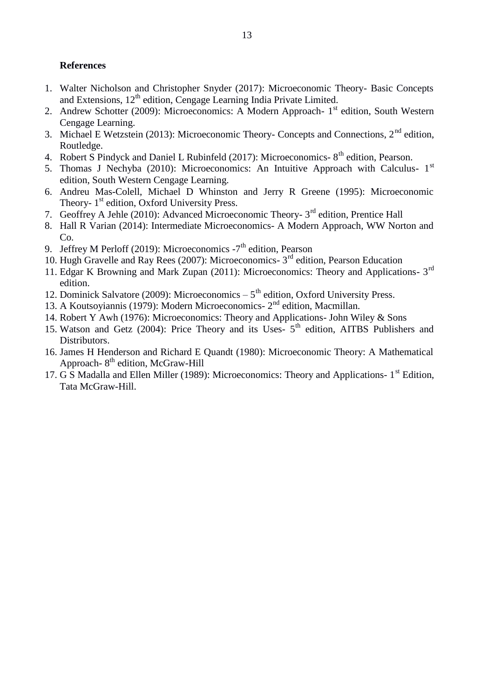# **References**

- 1. Walter Nicholson and Christopher Snyder (2017): Microeconomic Theory- Basic Concepts and Extensions, 12<sup>th</sup> edition, Cengage Learning India Private Limited.
- 2. Andrew Schotter (2009): Microeconomics: A Modern Approach- 1<sup>st</sup> edition, South Western Cengage Learning.
- 3. Michael E Wetzstein (2013): Microeconomic Theory- Concepts and Connections, 2<sup>nd</sup> edition, Routledge.
- 4. Robert S Pindyck and Daniel L Rubinfeld (2017): Microeconomics- 8<sup>th</sup> edition, Pearson.
- 5. Thomas J Nechyba (2010): Microeconomics: An Intuitive Approach with Calculus- 1<sup>st</sup> edition, South Western Cengage Learning.
- 6. Andreu Mas-Colell, Michael D Whinston and Jerry R Greene (1995): Microeconomic Theory- 1<sup>st</sup> edition, Oxford University Press.
- 7. Geoffrey A Jehle (2010): Advanced Microeconomic Theory- 3<sup>rd</sup> edition, Prentice Hall
- 8. Hall R Varian (2014): Intermediate Microeconomics- A Modern Approach, WW Norton and  $Co.$
- 9. Jeffrey M Perloff (2019): Microeconomics  $-7<sup>th</sup>$  edition, Pearson
- 10. Hugh Gravelle and Ray Rees (2007): Microeconomics- 3<sup>rd</sup> edition, Pearson Education
- 11. Edgar K Browning and Mark Zupan (2011): Microeconomics: Theory and Applications- 3<sup>rd</sup> edition.
- 12. Dominick Salvatore (2009): Microeconomics  $-5<sup>th</sup>$  edition, Oxford University Press.
- 13. A Koutsoyiannis (1979): Modern Microeconomics- 2<sup>nd</sup> edition, Macmillan.
- 14. Robert Y Awh (1976): Microeconomics: Theory and Applications- John Wiley & Sons
- 15. Watson and Getz (2004): Price Theory and its Uses- 5<sup>th</sup> edition, AITBS Publishers and Distributors.
- 16. James H Henderson and Richard E Quandt (1980): Microeconomic Theory: A Mathematical Approach-8<sup>th</sup> edition, McGraw-Hill
- 17. G S Madalla and Ellen Miller (1989): Microeconomics: Theory and Applications- 1<sup>st</sup> Edition, Tata McGraw-Hill.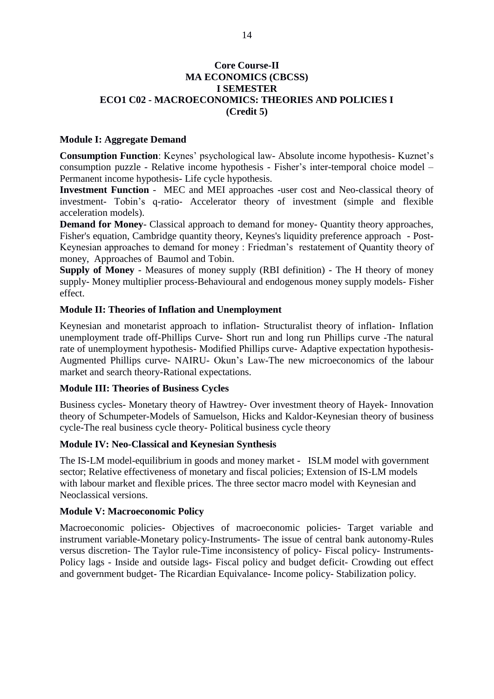# **Core Course-II MA ECONOMICS (CBCSS) I SEMESTER ECO1 C02 - MACROECONOMICS: THEORIES AND POLICIES I** (Credit 5)

### **Module I: Aggregate Demand**

**Consumption Function:** Keynes' psychological law-Absolute income hypothesis- Kuznet's consumption puzzle - Relative income hypothesis - Fisher's inter-temporal choice model -Permanent income hypothesis- Life cycle hypothesis.

Investment Function - MEC and MEI approaches -user cost and Neo-classical theory of investment- Tobin's q-ratio- Accelerator theory of investment (simple and flexible acceleration models).

**Demand for Money-** Classical approach to demand for money- Quantity theory approaches, Fisher's equation, Cambridge quantity theory, Keynes's liquidity preference approach - Post-Keynesian approaches to demand for money: Friedman's restatement of Quantity theory of money, Approaches of Baumol and Tobin.

Supply of Money - Measures of money supply (RBI definition) - The H theory of money supply- Money multiplier process-Behavioural and endogenous money supply models- Fisher effect.

# **Module II: Theories of Inflation and Unemployment**

Keynesian and monetarist approach to inflation- Structuralist theory of inflation- Inflation unemployment trade off-Phillips Curve- Short run and long run Phillips curve -The natural rate of unemployment hypothesis- Modified Phillips curve- Adaptive expectation hypothesis-Augmented Phillips curve- NAIRU- Okun's Law-The new microeconomics of the labour market and search theory-Rational expectations.

#### **Module III: Theories of Business Cycles**

Business cycles- Monetary theory of Hawtrey- Over investment theory of Hayek- Innovation theory of Schumpeter-Models of Samuelson, Hicks and Kaldor-Keynesian theory of business cycle-The real business cycle theory- Political business cycle theory

# **Module IV: Neo-Classical and Keynesian Synthesis**

The IS-LM model-equilibrium in goods and money market - ISLM model with government sector; Relative effectiveness of monetary and fiscal policies; Extension of IS-LM models with labour market and flexible prices. The three sector macro model with Keynesian and Neoclassical versions.

#### **Module V: Macroeconomic Policy**

Macroeconomic policies- Objectives of macroeconomic policies- Target variable and instrument variable-Monetary policy-Instruments- The issue of central bank autonomy-Rules versus discretion- The Taylor rule-Time inconsistency of policy- Fiscal policy- Instruments-Policy lags - Inside and outside lags- Fiscal policy and budget deficit- Crowding out effect and government budget- The Ricardian Equivalance- Income policy- Stabilization policy.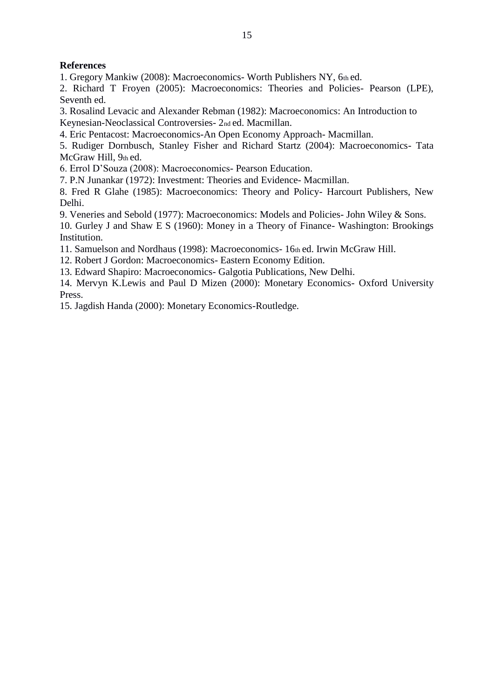# **References**

1. Gregory Mankiw (2008): Macroeconomics- Worth Publishers NY, 6th ed.

2. Richard T Froyen (2005): Macroeconomics: Theories and Policies- Pearson (LPE), Seventh ed.

3. Rosalind Levacic and Alexander Rebman (1982): Macroeconomics: An Introduction to Keynesian-Neoclassical Controversies- 2nd ed. Macmillan.

4. Eric Pentacost: Macroeconomics-An Open Economy Approach- Macmillan.

5. Rudiger Dornbusch, Stanley Fisher and Richard Startz (2004): Macroeconomics- Tata McGraw Hill, 9th ed.

6. Errol D'Souza (2008): Macroeconomics- Pearson Education.

7. P.N Junankar (1972): Investment: Theories and Evidence- Macmillan.

8. Fred R Glahe (1985): Macroeconomics: Theory and Policy- Harcourt Publishers, New Delhi.

9. Veneries and Sebold (1977): Macroeconomics: Models and Policies- John Wiley & Sons.

10. Gurley J and Shaw E S (1960): Money in a Theory of Finance- Washington: Brookings Institution.

11. Samuelson and Nordhaus (1998): Macroeconomics- 16th ed. Irwin McGraw Hill.

12. Robert J Gordon: Macroeconomics- Eastern Economy Edition.

13. Edward Shapiro: Macroeconomics- Galgotia Publications, New Delhi.

14. Mervyn K.Lewis and Paul D Mizen (2000): Monetary Economics- Oxford University Press.

15. Jagdish Handa (2000): Monetary Economics-Routledge.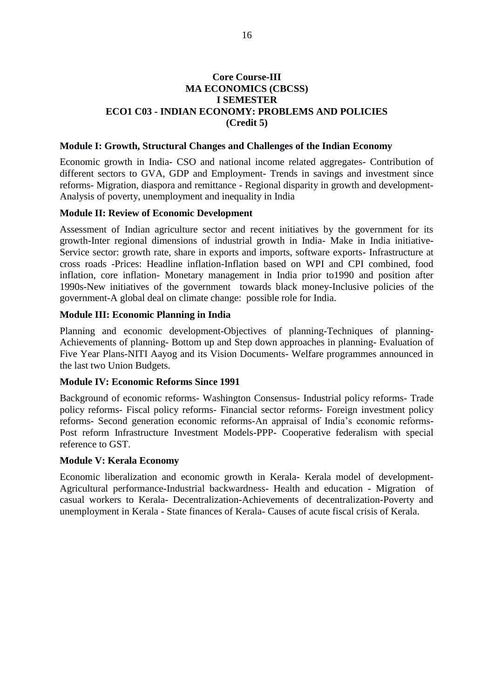## **Core Course-III MA ECONOMICS (CBCSS) I SEMESTER ECO1 C03 - INDIAN ECONOMY: PROBLEMS AND POLICIES** (Credit 5)

#### Module I: Growth, Structural Changes and Challenges of the Indian Economy

Economic growth in India- CSO and national income related aggregates- Contribution of different sectors to GVA, GDP and Employment- Trends in savings and investment since reforms- Migration, diaspora and remittance - Regional disparity in growth and development-Analysis of poverty, unemployment and inequality in India

#### **Module II: Review of Economic Development**

Assessment of Indian agriculture sector and recent initiatives by the government for its growth-Inter regional dimensions of industrial growth in India- Make in India initiative-Service sector: growth rate, share in exports and imports, software exports- Infrastructure at cross roads -Prices: Headline inflation-Inflation based on WPI and CPI combined, food inflation, core inflation- Monetary management in India prior to1990 and position after 1990s-New initiatives of the government towards black money-Inclusive policies of the government-A global deal on climate change: possible role for India.

#### **Module III: Economic Planning in India**

Planning and economic development-Objectives of planning-Techniques of planning-Achievements of planning- Bottom up and Step down approaches in planning- Evaluation of Five Year Plans-NITI Aavog and its Vision Documents- Welfare programmes announced in the last two Union Budgets.

#### **Module IV: Economic Reforms Since 1991**

Background of economic reforms- Washington Consensus- Industrial policy reforms- Trade policy reforms- Fiscal policy reforms- Financial sector reforms- Foreign investment policy reforms- Second generation economic reforms-An appraisal of India's economic reforms-Post reform Infrastructure Investment Models-PPP- Cooperative federalism with special reference to GST.

#### **Module V: Kerala Economy**

Economic liberalization and economic growth in Kerala- Kerala model of development-Agricultural performance-Industrial backwardness- Health and education - Migration of casual workers to Kerala- Decentralization-Achievements of decentralization-Poverty and unemployment in Kerala - State finances of Kerala- Causes of acute fiscal crisis of Kerala.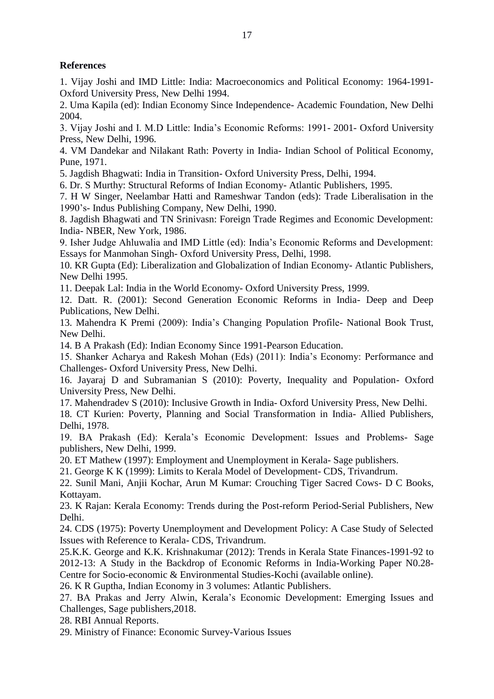# **References**

1. Vijay Joshi and IMD Little: India: Macroeconomics and Political Economy: 1964-1991-Oxford University Press, New Delhi 1994.

2. Uma Kapila (ed): Indian Economy Since Independence- Academic Foundation, New Delhi 2004.

3. Vijay Joshi and I. M.D Little: India's Economic Reforms: 1991-2001- Oxford University Press, New Delhi, 1996.

4. VM Dandekar and Nilakant Rath: Poverty in India- Indian School of Political Economy, Pune, 1971.

5. Jagdish Bhagwati: India in Transition-Oxford University Press, Delhi, 1994.

6. Dr. S Murthy: Structural Reforms of Indian Economy-Atlantic Publishers, 1995.

7. H W Singer, Neelambar Hatti and Rameshwar Tandon (eds): Trade Liberalisation in the 1990's- Indus Publishing Company, New Delhi, 1990.

8. Jagdish Bhagwati and TN Srinivasn: Foreign Trade Regimes and Economic Development: India- NBER, New York, 1986.

9. Isher Judge Ahluwalia and IMD Little (ed): India's Economic Reforms and Development: Essays for Manmohan Singh-Oxford University Press, Delhi, 1998.

10. KR Gupta (Ed): Liberalization and Globalization of Indian Economy- Atlantic Publishers. New Delhi 1995.

11. Deepak Lal: India in the World Economy- Oxford University Press, 1999.

12. Datt. R. (2001): Second Generation Economic Reforms in India- Deep and Deep Publications, New Delhi.

13. Mahendra K Premi (2009): India's Changing Population Profile- National Book Trust, New Delhi

14. B A Prakash (Ed): Indian Economy Since 1991-Pearson Education.

15. Shanker Acharya and Rakesh Mohan (Eds) (2011): India's Economy: Performance and Challenges- Oxford University Press, New Delhi.

16. Jayaraj D and Subramanian S (2010): Poverty, Inequality and Population- Oxford University Press, New Delhi.

17. Mahendradev S (2010): Inclusive Growth in India-Oxford University Press, New Delhi.

18. CT Kurien: Poverty, Planning and Social Transformation in India- Allied Publishers, Delhi, 1978.

19. BA Prakash (Ed): Kerala's Economic Development: Issues and Problems- Sage publishers, New Delhi, 1999.

20. ET Mathew (1997): Employment and Unemployment in Kerala- Sage publishers.

21. George K K (1999): Limits to Kerala Model of Development- CDS, Trivandrum.

22. Sunil Mani, Anjii Kochar, Arun M Kumar: Crouching Tiger Sacred Cows- D C Books, Kottayam.

23. K Rajan: Kerala Economy: Trends during the Post-reform Period-Serial Publishers, New Delhi.

24. CDS (1975): Poverty Unemployment and Development Policy: A Case Study of Selected Issues with Reference to Kerala- CDS, Trivandrum.

25.K.K. George and K.K. Krishnakumar (2012): Trends in Kerala State Finances-1991-92 to 2012-13: A Study in the Backdrop of Economic Reforms in India-Working Paper N0.28-Centre for Socio-economic & Environmental Studies-Kochi (available online).

26. K R Guptha, Indian Economy in 3 volumes: Atlantic Publishers.

27. BA Prakas and Jerry Alwin, Kerala's Economic Development: Emerging Issues and Challenges, Sage publishers, 2018.

28. RBI Annual Reports.

29. Ministry of Finance: Economic Survey-Various Issues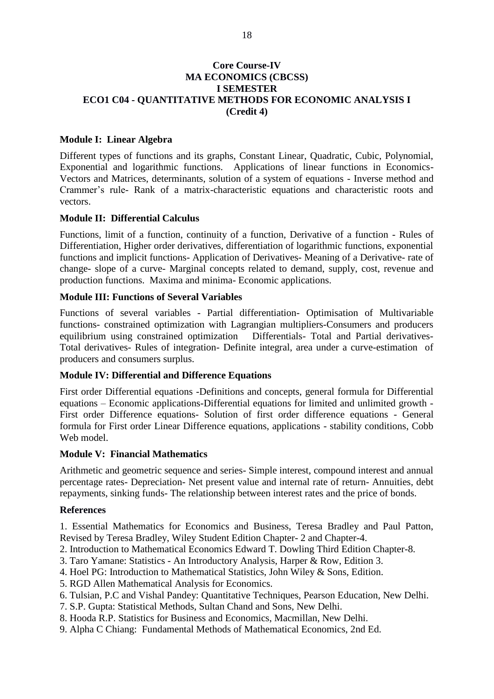# **Core Course-IV MA ECONOMICS (CBCSS) I SEMESTER** ECO1 C04 - QUANTITATIVE METHODS FOR ECONOMIC ANALYSIS I (Credit 4)

### **Module I: Linear Algebra**

Different types of functions and its graphs, Constant Linear, Quadratic, Cubic, Polynomial, Exponential and logarithmic functions. Applications of linear functions in Economics-Vectors and Matrices, determinants, solution of a system of equations - Inverse method and Crammer's rule- Rank of a matrix-characteristic equations and characteristic roots and vectors.

#### **Module II: Differential Calculus**

Functions, limit of a function, continuity of a function, Derivative of a function - Rules of Differentiation, Higher order derivatives, differentiation of logarithmic functions, exponential functions and implicit functions- Application of Derivatives- Meaning of a Derivative- rate of change- slope of a curve- Marginal concepts related to demand, supply, cost, revenue and production functions. Maxima and minima- Economic applications.

# **Module III: Functions of Several Variables**

Functions of several variables - Partial differentiation- Optimisation of Multivariable functions- constrained optimization with Lagrangian multipliers-Consumers and producers Differentials- Total and Partial derivativesequilibrium using constrained optimization Total derivatives- Rules of integration- Definite integral, area under a curve-estimation of producers and consumers surplus.

#### **Module IV: Differential and Difference Equations**

First order Differential equations -Definitions and concepts, general formula for Differential equations – Economic applications-Differential equations for limited and unlimited growth -First order Difference equations- Solution of first order difference equations - General formula for First order Linear Difference equations, applications - stability conditions, Cobb Web model.

#### **Module V: Financial Mathematics**

Arithmetic and geometric sequence and series- Simple interest, compound interest and annual percentage rates- Depreciation- Net present value and internal rate of return- Annuities, debt repayments, sinking funds- The relationship between interest rates and the price of bonds.

#### **References**

1. Essential Mathematics for Economics and Business, Teresa Bradley and Paul Patton, Revised by Teresa Bradley, Wiley Student Edition Chapter-2 and Chapter-4.

- 2. Introduction to Mathematical Economics Edward T. Dowling Third Edition Chapter-8.
- 3. Taro Yamane: Statistics An Introductory Analysis, Harper & Row, Edition 3.
- 4. Hoel PG: Introduction to Mathematical Statistics, John Wiley & Sons, Edition.
- 5. RGD Allen Mathematical Analysis for Economics.
- 6. Tulsian, P.C and Vishal Pandey: Ouantitative Techniques, Pearson Education, New Delhi.
- 7. S.P. Gupta: Statistical Methods, Sultan Chand and Sons, New Delhi.
- 8. Hooda R.P. Statistics for Business and Economics, Macmillan, New Delhi.
- 9. Alpha C Chiang: Fundamental Methods of Mathematical Economics, 2nd Ed.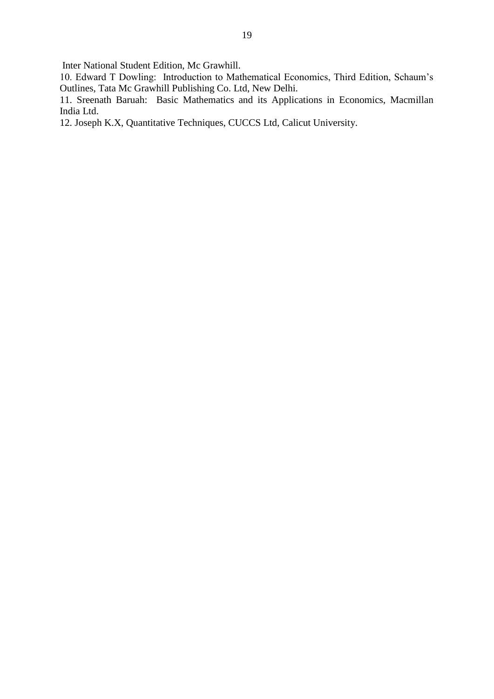Inter National Student Edition, Mc Grawhill.

10. Edward T Dowling: Introduction to Mathematical Economics, Third Edition, Schaum's Outlines, Tata Mc Grawhill Publishing Co. Ltd, New Delhi.

11. Sreenath Baruah: Basic Mathematics and its Applications in Economics, Macmillan India Ltd.

12. Joseph K.X, Quantitative Techniques, CUCCS Ltd, Calicut University.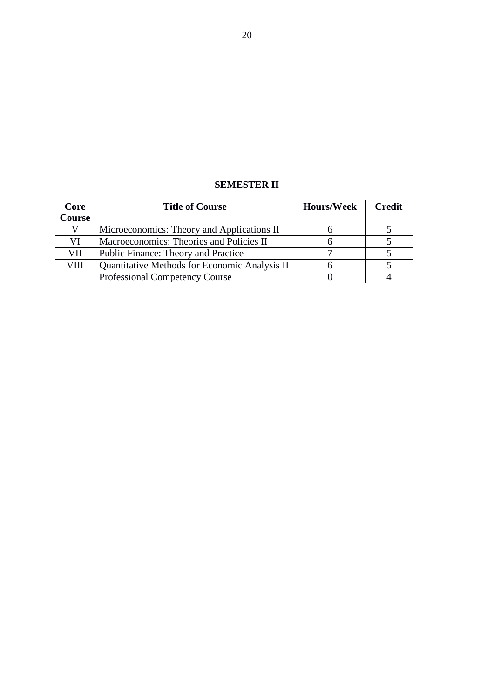# **SEMESTER II**

| Core          | <b>Title of Course</b>                        | <b>Hours/Week</b> | <b>Credit</b> |
|---------------|-----------------------------------------------|-------------------|---------------|
| <b>Course</b> |                                               |                   |               |
|               | Microeconomics: Theory and Applications II    |                   |               |
| VI            | Macroeconomics: Theories and Policies II      |                   |               |
| VII           | Public Finance: Theory and Practice           |                   |               |
| VIII          | Quantitative Methods for Economic Analysis II |                   |               |
|               | <b>Professional Competency Course</b>         |                   |               |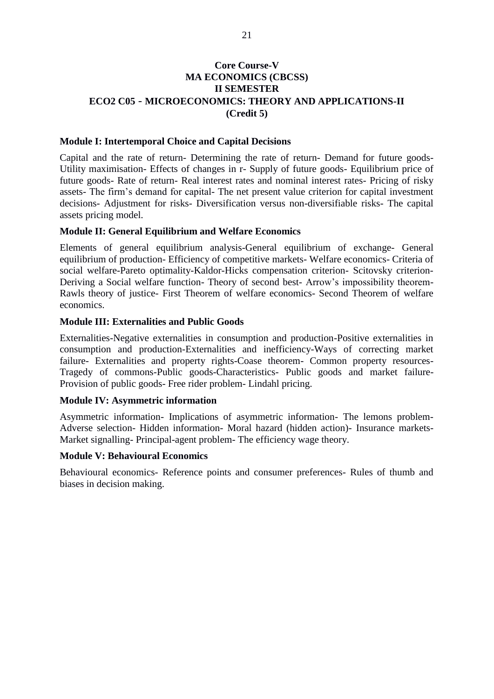# **Core Course-V MA ECONOMICS (CBCSS) II SEMESTER ECO2 C05 - MICROECONOMICS: THEORY AND APPLICATIONS-II** (Credit 5)

#### **Module I: Intertemporal Choice and Capital Decisions**

Capital and the rate of return- Determining the rate of return- Demand for future goods-Utility maximisation- Effects of changes in r- Supply of future goods- Equilibrium price of future goods- Rate of return- Real interest rates and nominal interest rates- Pricing of risky assets- The firm's demand for capital- The net present value criterion for capital investment decisions- Adjustment for risks- Diversification versus non-diversifiable risks- The capital assets pricing model.

#### **Module II: General Equilibrium and Welfare Economics**

Elements of general equilibrium analysis-General equilibrium of exchange- General equilibrium of production- Efficiency of competitive markets- Welfare economics- Criteria of social welfare-Pareto optimality-Kaldor-Hicks compensation criterion- Scitovsky criterion-Deriving a Social welfare function- Theory of second best-Arrow's impossibility theorem-Rawls theory of justice- First Theorem of welfare economics- Second Theorem of welfare economics.

#### **Module III: Externalities and Public Goods**

Externalities-Negative externalities in consumption and production-Positive externalities in consumption and production-Externalities and inefficiency-Ways of correcting market failure- Externalities and property rights-Coase theorem- Common property resources-Tragedy of commons-Public goods-Characteristics- Public goods and market failure-Provision of public goods- Free rider problem- Lindahl pricing.

#### **Module IV: Asymmetric information**

Asymmetric information- Implications of asymmetric information- The lemons problem-Adverse selection- Hidden information- Moral hazard (hidden action)- Insurance markets-Market signalling-Principal-agent problem-The efficiency wage theory.

#### **Module V: Behavioural Economics**

Behavioural economics- Reference points and consumer preferences- Rules of thumb and biases in decision making.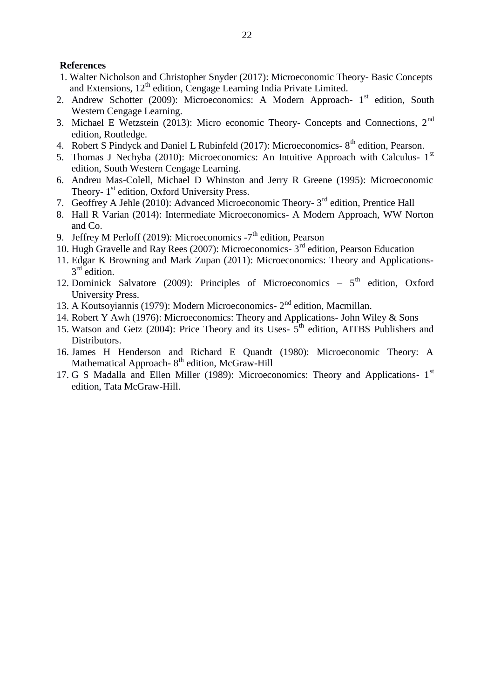### **References**

- 1. Walter Nicholson and Christopher Snyder (2017): Microeconomic Theory- Basic Concepts and Extensions, 12<sup>th</sup> edition, Cengage Learning India Private Limited.
- 2. Andrew Schotter (2009): Microeconomics: A Modern Approach- 1<sup>st</sup> edition, South Western Cengage Learning.
- 3. Michael E Wetzstein (2013): Micro economic Theory- Concepts and Connections,  $2<sup>nd</sup>$ edition, Routledge.
- 4. Robert S Pindyck and Daniel L Rubinfeld (2017): Microeconomics- 8<sup>th</sup> edition, Pearson.
- 5. Thomas J Nechyba (2010): Microeconomics: An Intuitive Approach with Calculus- 1<sup>st</sup> edition, South Western Cengage Learning.
- 6. Andreu Mas-Colell, Michael D Whinston and Jerry R Greene (1995): Microeconomic Theory- 1<sup>st</sup> edition, Oxford University Press.
- 7. Geoffrey A Jehle (2010): Advanced Microeconomic Theory- 3<sup>rd</sup> edition, Prentice Hall
- 8. Hall R Varian (2014): Intermediate Microeconomics- A Modern Approach, WW Norton and Co.
- 9. Jeffrey M Perloff (2019): Microeconomics  $-7<sup>th</sup>$  edition, Pearson
- 10. Hugh Gravelle and Ray Rees (2007): Microeconomics- 3<sup>rd</sup> edition. Pearson Education
- 11. Edgar K Browning and Mark Zupan (2011): Microeconomics: Theory and Applications- $3<sup>rd</sup>$  edition.
- 12. Dominick Salvatore (2009): Principles of Microeconomics  $-5^{\text{th}}$  edition, Oxford **University Press.**
- 13. A Koutsoyiannis (1979): Modern Microeconomics- 2<sup>nd</sup> edition, Macmillan.
- 14. Robert Y Awh (1976): Microeconomics: Theory and Applications- John Wiley & Sons
- 15. Watson and Getz (2004): Price Theory and its Uses- 5<sup>th</sup> edition, AITBS Publishers and Distributors.
- 16. James H Henderson and Richard E Quandt (1980): Microeconomic Theory: A Mathematical Approach-8<sup>th</sup> edition, McGraw-Hill
- 17. G S Madalla and Ellen Miller (1989): Microeconomics: Theory and Applications- 1<sup>st</sup> edition, Tata McGraw-Hill.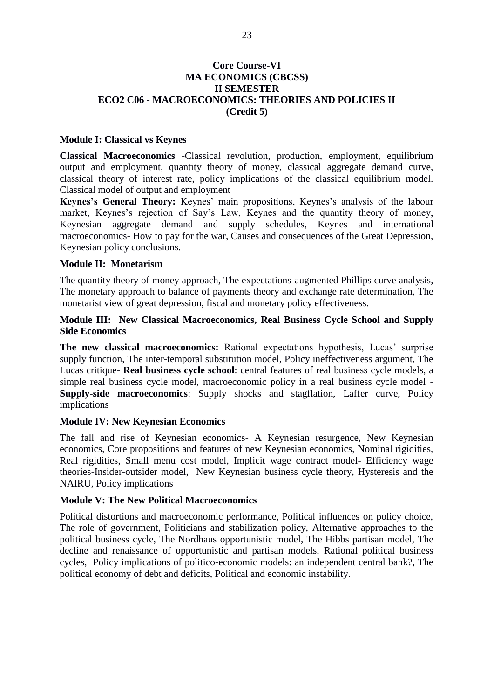# **Core Course-VI MA ECONOMICS (CBCSS) II SEMESTER ECO2 C06 - MACROECONOMICS: THEORIES AND POLICIES II** (Credit 5)

#### **Module I: Classical vs Keynes**

Classical Macroeconomics -Classical revolution, production, employment, equilibrium output and employment, quantity theory of money, classical aggregate demand curve, classical theory of interest rate, policy implications of the classical equilibrium model. Classical model of output and employment

Keynes's General Theory: Keynes' main propositions, Keynes's analysis of the labour market, Keynes's rejection of Say's Law, Keynes and the quantity theory of money, Keynesian aggregate demand and supply schedules, Keynes and international macroeconomics- How to pay for the war, Causes and consequences of the Great Depression, Keynesian policy conclusions.

#### **Module II: Monetarism**

The quantity theory of money approach, The expectations-augmented Phillips curve analysis, The monetary approach to balance of payments theory and exchange rate determination. The monetarist view of great depression, fiscal and monetary policy effectiveness.

#### Module III: New Classical Macroeconomics, Real Business Cycle School and Supply **Side Economics**

The new classical macroeconomics: Rational expectations hypothesis, Lucas' surprise supply function, The inter-temporal substitution model, Policy ineffectiveness argument, The Lucas critique- Real business cycle school: central features of real business cycle models, a simple real business cycle model, macroeconomic policy in a real business cycle model -**Supply-side macroeconomics:** Supply shocks and stagflation, Laffer curve, Policy implications

#### **Module IV: New Keynesian Economics**

The fall and rise of Keynesian economics- A Keynesian resurgence, New Keynesian economics, Core propositions and features of new Keynesian economics, Nominal rigidities, Real rigidities, Small menu cost model, Implicit wage contract model- Efficiency wage theories-Insider-outsider model, New Keynesian business cycle theory, Hysteresis and the NAIRU, Policy implications

#### **Module V: The New Political Macroeconomics**

Political distortions and macroeconomic performance, Political influences on policy choice, The role of government, Politicians and stabilization policy, Alternative approaches to the political business cycle, The Nordhaus opportunistic model, The Hibbs partisan model, The decline and renaissance of opportunistic and partisan models, Rational political business cycles, Policy implications of politico-economic models: an independent central bank?, The political economy of debt and deficits, Political and economic instability.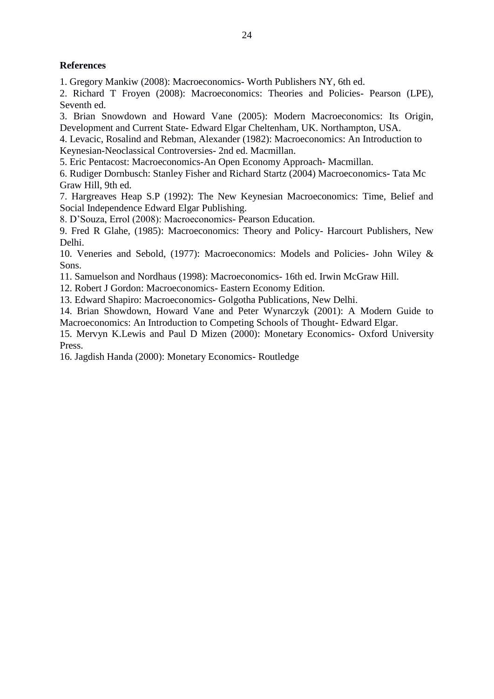# **References**

1. Gregory Mankiw (2008): Macroeconomics- Worth Publishers NY, 6th ed.

2. Richard T Froyen (2008): Macroeconomics: Theories and Policies- Pearson (LPE), Seventh ed.

3. Brian Snowdown and Howard Vane (2005): Modern Macroeconomics: Its Origin, Development and Current State-Edward Elgar Cheltenham, UK. Northampton, USA.

4. Levacic, Rosalind and Rebman, Alexander (1982): Macroeconomics: An Introduction to Keynesian-Neoclassical Controversies- 2nd ed. Macmillan.

5. Eric Pentacost: Macroeconomics-An Open Economy Approach- Macmillan.

6. Rudiger Dornbusch: Stanley Fisher and Richard Startz (2004) Macroeconomics-Tata Mc Graw Hill, 9th ed.

7. Hargreaves Heap S.P (1992): The New Keynesian Macroeconomics: Time, Belief and Social Independence Edward Elgar Publishing.

8. D'Souza, Errol (2008): Macroeconomics- Pearson Education.

9. Fred R Glahe, (1985): Macroeconomics: Theory and Policy- Harcourt Publishers, New Delhi.

10. Veneries and Sebold, (1977): Macroeconomics: Models and Policies- John Wiley & Sons.

11. Samuelson and Nordhaus (1998): Macroeconomics- 16th ed. Irwin McGraw Hill.

12. Robert J Gordon: Macroeconomics- Eastern Economy Edition.

13. Edward Shapiro: Macroeconomics- Golgotha Publications, New Delhi.

14. Brian Showdown, Howard Vane and Peter Wynarczyk (2001): A Modern Guide to Macroeconomics: An Introduction to Competing Schools of Thought- Edward Elgar.

15. Mervyn K.Lewis and Paul D Mizen (2000): Monetary Economics- Oxford University Press.

16. Jagdish Handa (2000): Monetary Economics- Routledge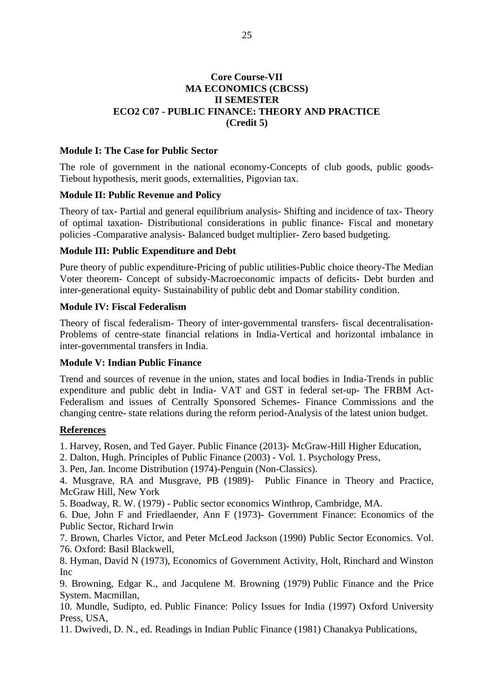## **Core Course-VII MA ECONOMICS (CBCSS) II SEMESTER** ECO2 C07 - PUBLIC FINANCE: THEORY AND PRACTICE (Credit 5)

#### **Module I: The Case for Public Sector**

The role of government in the national economy-Concepts of club goods, public goods-Tiebout hypothesis, merit goods, externalities, Pigovian tax.

#### **Module II: Public Revenue and Policy**

Theory of tax- Partial and general equilibrium analysis- Shifting and incidence of tax- Theory of optimal taxation- Distributional considerations in public finance- Fiscal and monetary policies -Comparative analysis- Balanced budget multiplier- Zero based budgeting.

#### **Module III: Public Expenditure and Debt**

Pure theory of public expenditure-Pricing of public utilities-Public choice theory-The Median Voter theorem- Concept of subsidy-Macroeconomic impacts of deficits- Debt burden and inter-generational equity- Sustainability of public debt and Domar stability condition.

### **Module IV: Fiscal Federalism**

Theory of fiscal federalism- Theory of inter-governmental transfers- fiscal decentralisation-Problems of centre-state financial relations in India-Vertical and horizontal imbalance in inter-governmental transfers in India.

#### **Module V: Indian Public Finance**

Trend and sources of revenue in the union, states and local bodies in India-Trends in public expenditure and public debt in India- VAT and GST in federal set-up- The FRBM Act-Federalism and issues of Centrally Sponsored Schemes- Finance Commissions and the changing centre- state relations during the reform period-Analysis of the latest union budget.

#### **References**

1. Harvey, Rosen, and Ted Gayer. Public Finance (2013)- McGraw-Hill Higher Education,

2. Dalton, Hugh. Principles of Public Finance (2003) - Vol. 1. Psychology Press,

3. Pen, Jan. Income Distribution (1974)-Penguin (Non-Classics).

4. Musgrave, RA and Musgrave, PB (1989)- Public Finance in Theory and Practice, McGraw Hill, New York

5. Boadway, R. W. (1979) - Public sector economics Winthrop, Cambridge, MA.

6. Due, John F and Friedlaender, Ann F (1973)- Government Finance: Economics of the Public Sector, Richard Irwin

7. Brown, Charles Victor, and Peter McLeod Jackson (1990) Public Sector Economics. Vol. 76. Oxford: Basil Blackwell,

8. Hyman, David N (1973), Economics of Government Activity, Holt, Rinchard and Winston **Inc** 

9. Browning, Edgar K., and Jacqulene M. Browning (1979) Public Finance and the Price System. Macmillan.

10. Mundle, Sudipto, ed. Public Finance: Policy Issues for India (1997) Oxford University Press, USA,

11. Dwivedi, D. N., ed. Readings in Indian Public Finance (1981) Chanakya Publications,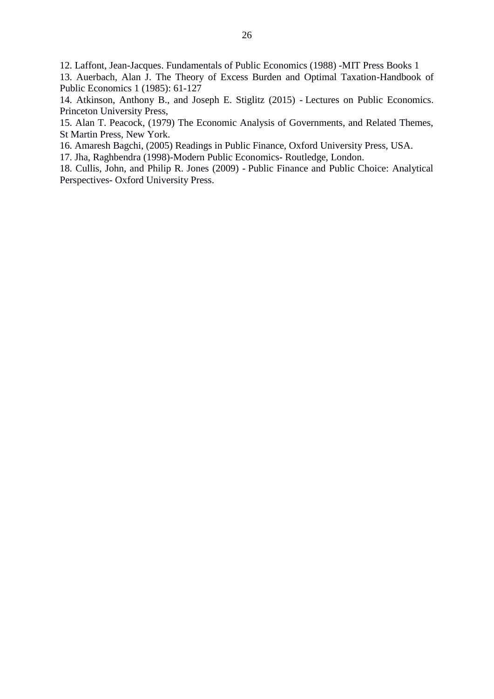12. Laffont, Jean-Jacques. Fundamentals of Public Economics (1988) -MIT Press Books 1

13. Auerbach, Alan J. The Theory of Excess Burden and Optimal Taxation-Handbook of Public Economics 1 (1985): 61-127

14. Atkinson, Anthony B., and Joseph E. Stiglitz (2015) - Lectures on Public Economics. Princeton University Press,

15. Alan T. Peacock, (1979) The Economic Analysis of Governments, and Related Themes, St Martin Press, New York.

16. Amaresh Bagchi, (2005) Readings in Public Finance, Oxford University Press, USA.

17. Jha, Raghbendra (1998)-Modern Public Economics- Routledge, London.

18. Cullis, John, and Philip R. Jones (2009) - Public Finance and Public Choice: Analytical Perspectives-Oxford University Press.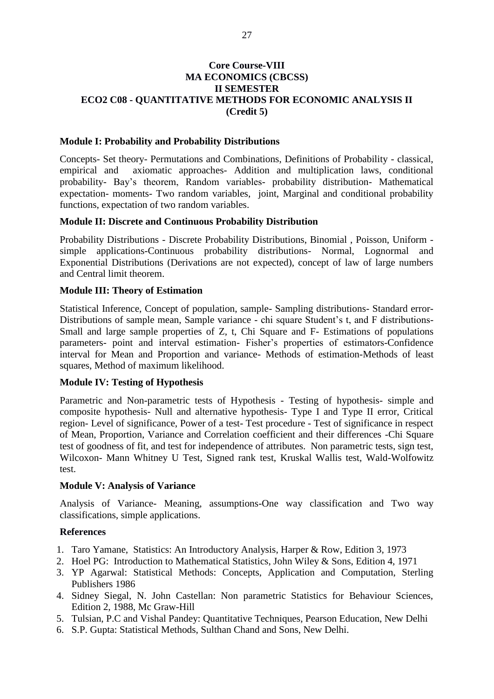## **Core Course-VIII MA ECONOMICS (CBCSS) II SEMESTER** ECO2 C08 - QUANTITATIVE METHODS FOR ECONOMIC ANALYSIS II (Credit 5)

#### **Module I: Probability and Probability Distributions**

Concepts- Set theory- Permutations and Combinations, Definitions of Probability - classical, axiomatic approaches- Addition and multiplication laws, conditional empirical and probability- Bay's theorem, Random variables- probability distribution- Mathematical expectation- moments- Two random variables, joint, Marginal and conditional probability functions, expectation of two random variables.

#### **Module II: Discrete and Continuous Probability Distribution**

Probability Distributions - Discrete Probability Distributions, Binomial, Poisson, Uniform simple applications-Continuous probability distributions- Normal, Lognormal and Exponential Distributions (Derivations are not expected), concept of law of large numbers and Central limit theorem.

#### **Module III: Theory of Estimation**

Statistical Inference, Concept of population, sample- Sampling distributions- Standard error-Distributions of sample mean, Sample variance - chi square Student's t, and F distributions-Small and large sample properties of Z, t, Chi Square and F- Estimations of populations parameters- point and interval estimation- Fisher's properties of estimators-Confidence interval for Mean and Proportion and variance- Methods of estimation-Methods of least squares, Method of maximum likelihood.

#### **Module IV: Testing of Hypothesis**

Parametric and Non-parametric tests of Hypothesis - Testing of hypothesis- simple and composite hypothesis- Null and alternative hypothesis- Type I and Type II error, Critical region- Level of significance, Power of a test- Test procedure - Test of significance in respect of Mean, Proportion, Variance and Correlation coefficient and their differences -Chi Square test of goodness of fit, and test for independence of attributes. Non parametric tests, sign test, Wilcoxon- Mann Whitney U Test, Signed rank test, Kruskal Wallis test, Wald-Wolfowitz test.

#### **Module V: Analysis of Variance**

Analysis of Variance- Meaning, assumptions-One way classification and Two way classifications, simple applications.

#### **References**

- 1. Taro Yamane, Statistics: An Introductory Analysis, Harper & Row, Edition 3, 1973
- 2. Hoel PG: Introduction to Mathematical Statistics, John Wiley & Sons, Edition 4, 1971
- 3. YP Agarwal: Statistical Methods: Concepts, Application and Computation, Sterling Publishers 1986
- 4. Sidney Siegal, N. John Castellan: Non parametric Statistics for Behaviour Sciences, Edition 2, 1988, Mc Graw-Hill
- 5. Tulsian, P.C and Vishal Pandey: Quantitative Techniques, Pearson Education, New Delhi
- 6. S.P. Gupta: Statistical Methods, Sulthan Chand and Sons, New Delhi.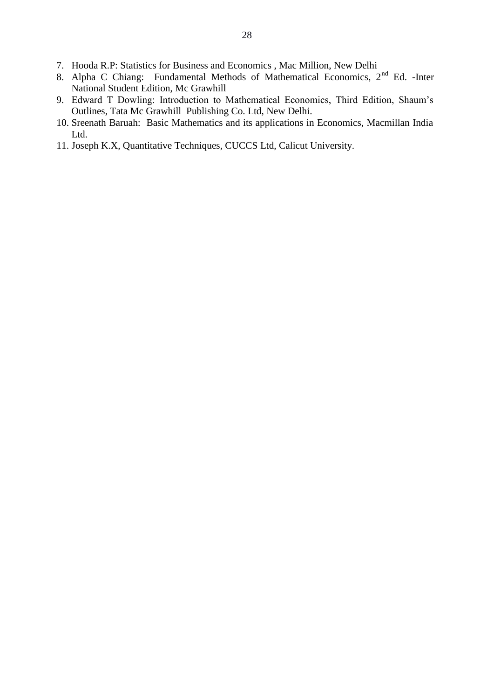- 7. Hooda R.P: Statistics for Business and Economics, Mac Million, New Delhi
- 8. Alpha C Chiang: Fundamental Methods of Mathematical Economics, 2<sup>nd</sup> Ed. Inter National Student Edition, Mc Grawhill
- 9. Edward T Dowling: Introduction to Mathematical Economics, Third Edition, Shaum's Outlines, Tata Mc Grawhill Publishing Co. Ltd, New Delhi.
- 10. Sreenath Baruah: Basic Mathematics and its applications in Economics, Macmillan India Ltd.
- 11. Joseph K.X, Quantitative Techniques, CUCCS Ltd, Calicut University.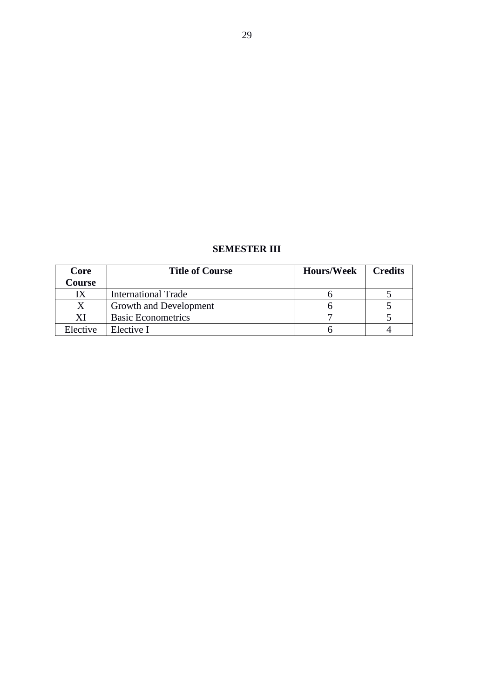| <b>SEMESTER III</b> |  |
|---------------------|--|
|---------------------|--|

| Core     | <b>Title of Course</b>     | <b>Hours/Week</b> | <b>Credits</b> |
|----------|----------------------------|-------------------|----------------|
| Course   |                            |                   |                |
|          | <b>International Trade</b> |                   |                |
|          | Growth and Development     |                   |                |
| XI       | <b>Basic Econometrics</b>  |                   |                |
| Elective | Elective I                 |                   |                |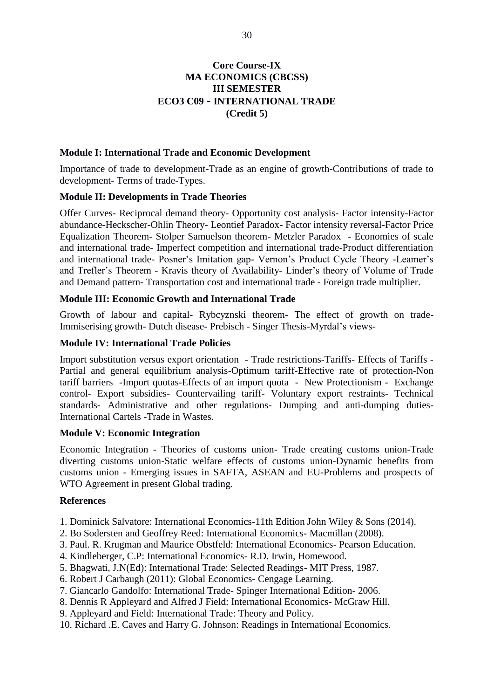# **Core Course-IX MA ECONOMICS (CBCSS) III SEMESTER ECO3 C09 - INTERNATIONAL TRADE** (Credit 5)

#### **Module I: International Trade and Economic Development**

Importance of trade to development-Trade as an engine of growth-Contributions of trade to development- Terms of trade-Types.

#### **Module II: Developments in Trade Theories**

Offer Curves- Reciprocal demand theory- Opportunity cost analysis- Factor intensity-Factor abundance-Heckscher-Ohlin Theory- Leontief Paradox- Factor intensity reversal-Factor Price Equalization Theorem- Stolper Samuelson theorem- Metzler Paradox - Economies of scale and international trade- Imperfect competition and international trade-Product differentiation and international trade- Posner's Imitation gap- Vernon's Product Cycle Theory -Leamer's and Trefler's Theorem - Kravis theory of Availability- Linder's theory of Volume of Trade and Demand pattern-Transportation cost and international trade - Foreign trade multiplier.

# Module III: Economic Growth and International Trade

Growth of labour and capital- Rybcyznski theorem- The effect of growth on trade-Immiserising growth- Dutch disease- Prebisch - Singer Thesis-Myrdal's views-

#### **Module IV: International Trade Policies**

Import substitution versus export orientation - Trade restrictions-Tariffs- Effects of Tariffs -Partial and general equilibrium analysis-Optimum tariff-Effective rate of protection-Non tariff barriers -Import quotas-Effects of an import quota - New Protectionism - Exchange control- Export subsidies- Countervailing tariff- Voluntary export restraints- Technical standards- Administrative and other regulations- Dumping and anti-dumping duties-International Cartels - Trade in Wastes.

#### **Module V: Economic Integration**

Economic Integration - Theories of customs union- Trade creating customs union-Trade diverting customs union-Static welfare effects of customs union-Dynamic benefits from customs union - Emerging issues in SAFTA, ASEAN and EU-Problems and prospects of WTO Agreement in present Global trading.

#### **References**

- 1. Dominick Salvatore: International Economics-11th Edition John Wiley & Sons (2014).
- 2. Bo Sodersten and Geoffrey Reed: International Economics- Macmillan (2008).
- 3. Paul. R. Krugman and Maurice Obstfeld: International Economics- Pearson Education.
- 4. Kindleberger, C.P: International Economics- R.D. Irwin, Homewood.
- 5. Bhagwati, J.N(Ed): International Trade: Selected Readings- MIT Press, 1987.
- 6. Robert J Carbaugh (2011): Global Economics- Cengage Learning.
- 7. Giancarlo Gandolfo: International Trade- Spinger International Edition-2006.
- 8. Dennis R Appleyard and Alfred J Field: International Economics- McGraw Hill.
- 9. Appleyard and Field: International Trade: Theory and Policy.
- 10. Richard .E. Caves and Harry G. Johnson: Readings in International Economics.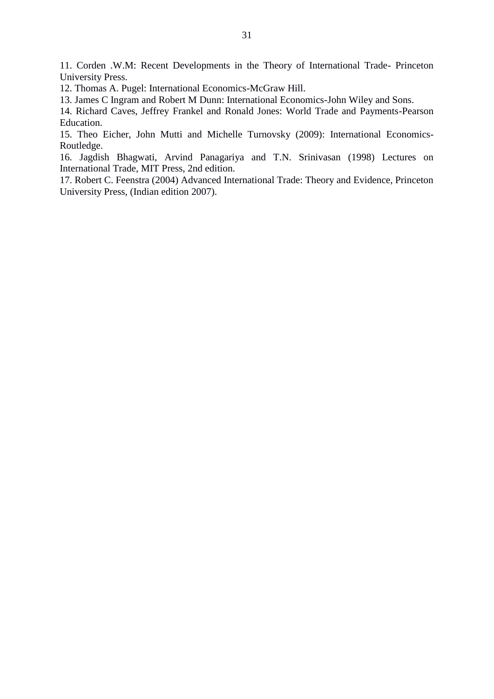11. Corden .W.M: Recent Developments in the Theory of International Trade- Princeton **University Press.** 

12. Thomas A. Pugel: International Economics-McGraw Hill.

13. James C Ingram and Robert M Dunn: International Economics-John Wiley and Sons.

14. Richard Caves, Jeffrey Frankel and Ronald Jones: World Trade and Payments-Pearson Education.

15. Theo Eicher, John Mutti and Michelle Turnovsky (2009): International Economics-Routledge.

16. Jagdish Bhagwati, Arvind Panagariya and T.N. Srinivasan (1998) Lectures on International Trade, MIT Press, 2nd edition.

17. Robert C. Feenstra (2004) Advanced International Trade: Theory and Evidence, Princeton University Press, (Indian edition 2007).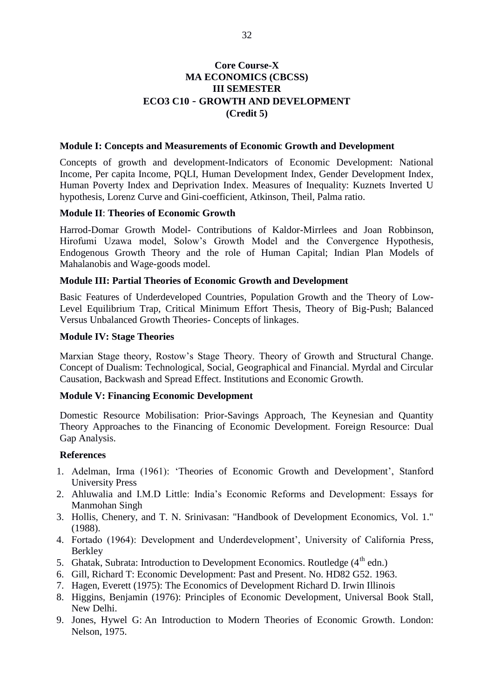# **Core Course-X MA ECONOMICS (CBCSS) III SEMESTER ECO3 C10 - GROWTH AND DEVELOPMENT** (Credit 5)

#### **Module I: Concepts and Measurements of Economic Growth and Development**

Concepts of growth and development-Indicators of Economic Development: National Income, Per capita Income, PQLI, Human Development Index, Gender Development Index, Human Poverty Index and Deprivation Index. Measures of Inequality: Kuznets Inverted U hypothesis, Lorenz Curve and Gini-coefficient, Atkinson, Theil, Palma ratio.

#### **Module II: Theories of Economic Growth**

Harrod-Domar Growth Model- Contributions of Kaldor-Mirrlees and Joan Robbinson, Hirofumi Uzawa model, Solow's Growth Model and the Convergence Hypothesis, Endogenous Growth Theory and the role of Human Capital; Indian Plan Models of Mahalanobis and Wage-goods model.

#### **Module III: Partial Theories of Economic Growth and Development**

Basic Features of Underdeveloped Countries, Population Growth and the Theory of Low-Level Equilibrium Trap, Critical Minimum Effort Thesis, Theory of Big-Push; Balanced Versus Unbalanced Growth Theories- Concepts of linkages.

#### **Module IV: Stage Theories**

Marxian Stage theory, Rostow's Stage Theory. Theory of Growth and Structural Change. Concept of Dualism: Technological, Social, Geographical and Financial. Myrdal and Circular Causation, Backwash and Spread Effect. Institutions and Economic Growth.

#### **Module V: Financing Economic Development**

Domestic Resource Mobilisation: Prior-Savings Approach, The Keynesian and Quantity Theory Approaches to the Financing of Economic Development. Foreign Resource: Dual Gap Analysis.

#### **References**

- 1. Adelman, Irma (1961): 'Theories of Economic Growth and Development', Stanford **University Press**
- 2. Ahluwalia and I.M.D Little: India's Economic Reforms and Development: Essays for Manmohan Singh
- 3. Hollis, Chenery, and T. N. Srinivasan: "Handbook of Development Economics, Vol. 1."  $(1988)$ .
- 4. Fortado (1964): Development and Underdevelopment', University of California Press, **Berkley**
- 5. Ghatak, Subrata: Introduction to Development Economics. Routledge (4<sup>th</sup> edn.)
- 6. Gill, Richard T: Economic Development: Past and Present. No. HD82 G52. 1963.
- 7. Hagen, Everett (1975): The Economics of Development Richard D. Irwin Illinois
- 8. Higgins, Benjamin (1976): Principles of Economic Development, Universal Book Stall, New Delhi.
- 9. Jones, Hywel G: An Introduction to Modern Theories of Economic Growth. London: Nelson, 1975.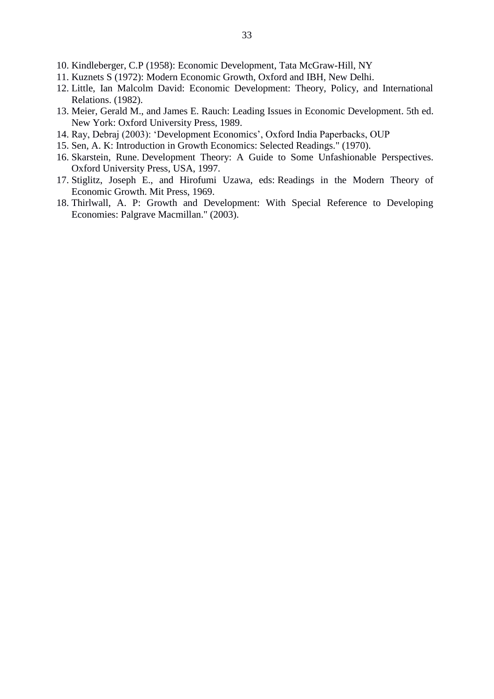- 10. Kindleberger, C.P (1958): Economic Development, Tata McGraw-Hill, NY
- 11. Kuznets S (1972): Modern Economic Growth, Oxford and IBH, New Delhi.
- 12. Little, Ian Malcolm David: Economic Development: Theory, Policy, and International Relations. (1982).
- 13. Meier, Gerald M., and James E. Rauch: Leading Issues in Economic Development. 5th ed. New York: Oxford University Press, 1989.
- 14. Ray, Debraj (2003): 'Development Economics', Oxford India Paperbacks, OUP
- 15. Sen, A. K: Introduction in Growth Economics: Selected Readings." (1970).
- 16. Skarstein, Rune. Development Theory: A Guide to Some Unfashionable Perspectives. Oxford University Press, USA, 1997.
- 17. Stiglitz, Joseph E., and Hirofumi Uzawa, eds: Readings in the Modern Theory of Economic Growth. Mit Press, 1969.
- 18. Thirlwall, A. P: Growth and Development: With Special Reference to Developing Economies: Palgrave Macmillan." (2003).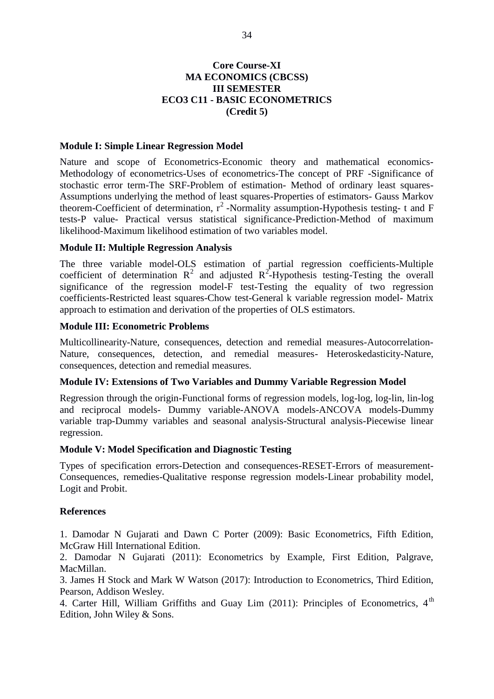# **Core Course-XI MA ECONOMICS (CBCSS) III SEMESTER ECO3 C11 - BASIC ECONOMETRICS** (Credit 5)

#### **Module I: Simple Linear Regression Model**

Nature and scope of Econometrics-Economic theory and mathematical economics-Methodology of econometrics-Uses of econometrics-The concept of PRF -Significance of stochastic error term-The SRF-Problem of estimation- Method of ordinary least squares-Assumptions underlying the method of least squares-Properties of estimators- Gauss Markov theorem-Coefficient of determination,  $r^2$ -Normality assumption-Hypothesis testing- t and F tests-P value- Practical versus statistical significance-Prediction-Method of maximum likelihood-Maximum likelihood estimation of two variables model.

#### **Module II: Multiple Regression Analysis**

The three variable model-OLS estimation of partial regression coefficients-Multiple coefficient of determination  $R^2$  and adjusted  $R^2$ -Hypothesis testing-Testing the overall significance of the regression model-F test-Testing the equality of two regression coefficients-Restricted least squares-Chow test-General k variable regression model- Matrix approach to estimation and derivation of the properties of OLS estimators.

# **Module III: Econometric Problems**

Multicollinearity-Nature, consequences, detection and remedial measures-Autocorrelation-Nature, consequences, detection, and remedial measures- Heteroskedasticity-Nature, consequences, detection and remedial measures.

#### Module IV: Extensions of Two Variables and Dummy Variable Regression Model

Regression through the origin-Functional forms of regression models, log-log, log-lin, lin-log and reciprocal models- Dummy variable-ANOVA models-ANCOVA models-Dummy variable trap-Dummy variables and seasonal analysis-Structural analysis-Piecewise linear regression.

#### **Module V: Model Specification and Diagnostic Testing**

Types of specification errors-Detection and consequences-RESET-Errors of measurement-Consequences, remedies-Qualitative response regression models-Linear probability model, Logit and Probit.

#### **References**

1. Damodar N Gujarati and Dawn C Porter (2009): Basic Econometrics, Fifth Edition, McGraw Hill International Edition.

2. Damodar N Gujarati (2011): Econometrics by Example, First Edition, Palgrave, MacMillan.

3. James H Stock and Mark W Watson (2017): Introduction to Econometrics, Third Edition, Pearson, Addison Wesley.

4. Carter Hill, William Griffiths and Guay Lim (2011): Principles of Econometrics, 4<sup>th</sup> Edition, John Wiley & Sons.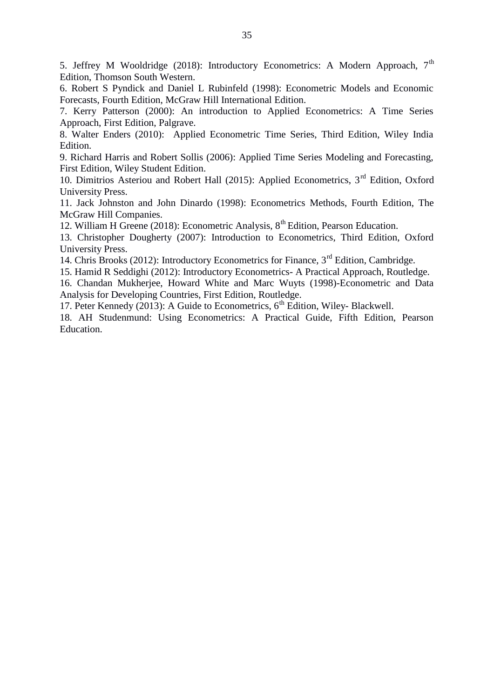5. Jeffrey M Wooldridge (2018): Introductory Econometrics: A Modern Approach, 7<sup>th</sup> Edition, Thomson South Western.

6. Robert S Pyndick and Daniel L Rubinfeld (1998): Econometric Models and Economic Forecasts, Fourth Edition, McGraw Hill International Edition.

7. Kerry Patterson (2000): An introduction to Applied Econometrics: A Time Series Approach, First Edition, Palgrave.

8. Walter Enders (2010): Applied Econometric Time Series, Third Edition, Wiley India Edition.

9. Richard Harris and Robert Sollis (2006): Applied Time Series Modeling and Forecasting, First Edition, Wiley Student Edition.

10. Dimitrios Asteriou and Robert Hall (2015): Applied Econometrics, 3<sup>rd</sup> Edition, Oxford **University Press.** 

11. Jack Johnston and John Dinardo (1998): Econometrics Methods, Fourth Edition, The McGraw Hill Companies.

12. William H Greene (2018): Econometric Analysis, 8<sup>th</sup> Edition, Pearson Education.

13. Christopher Dougherty (2007): Introduction to Econometrics, Third Edition, Oxford **University Press.** 

14. Chris Brooks (2012): Introductory Econometrics for Finance, 3<sup>rd</sup> Edition, Cambridge.

15. Hamid R Seddighi (2012): Introductory Econometrics- A Practical Approach, Routledge.

16. Chandan Mukherjee, Howard White and Marc Wuyts (1998)-Econometric and Data Analysis for Developing Countries, First Edition, Routledge.

17. Peter Kennedy (2013): A Guide to Econometrics,  $6<sup>th</sup>$  Edition, Wiley- Blackwell.

18. AH Studenmund: Using Econometrics: A Practical Guide, Fifth Edition, Pearson Education.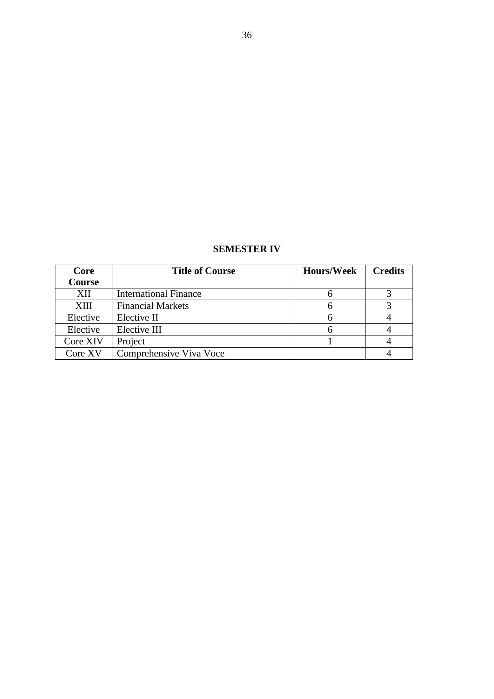| <b>SEMESTER IV</b> |  |
|--------------------|--|
|--------------------|--|

| Core     | <b>Title of Course</b>       | <b>Hours/Week</b> | <b>Credits</b> |
|----------|------------------------------|-------------------|----------------|
| Course   |                              |                   |                |
| XII      | <b>International Finance</b> |                   |                |
| XIII     | <b>Financial Markets</b>     |                   |                |
| Elective | Elective II                  |                   |                |
| Elective | Elective III                 |                   |                |
| Core XIV | Project                      |                   |                |
| Core XV  | Comprehensive Viva Voce      |                   |                |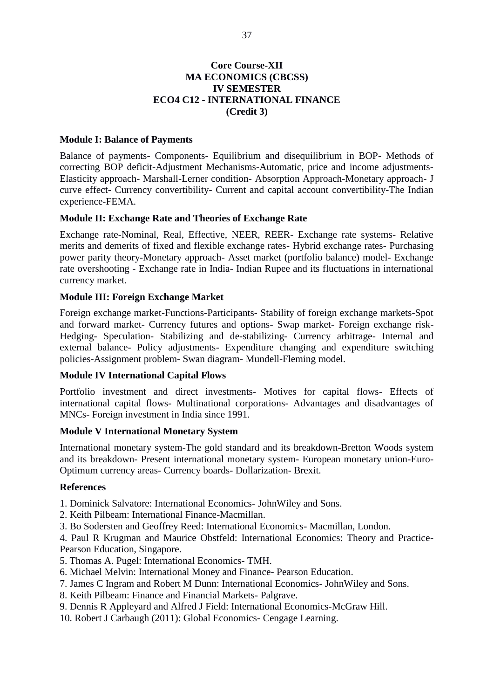## **Core Course-XII MA ECONOMICS (CBCSS) IV SEMESTER ECO4 C12 - INTERNATIONAL FINANCE** (Credit 3)

## **Module I: Balance of Payments**

Balance of payments- Components- Equilibrium and disequilibrium in BOP- Methods of correcting BOP deficit-Adjustment Mechanisms-Automatic, price and income adjustments-Elasticity approach- Marshall-Lerner condition- Absorption Approach-Monetary approach- J curve effect- Currency convertibility- Current and capital account convertibility-The Indian experience-FEMA.

## **Module II: Exchange Rate and Theories of Exchange Rate**

Exchange rate-Nominal, Real, Effective, NEER, REER- Exchange rate systems- Relative merits and demerits of fixed and flexible exchange rates- Hybrid exchange rates- Purchasing power parity theory-Monetary approach- Asset market (portfolio balance) model- Exchange rate overshooting - Exchange rate in India- Indian Rupee and its fluctuations in international currency market.

## **Module III: Foreign Exchange Market**

Foreign exchange market-Functions-Participants- Stability of foreign exchange markets-Spot and forward market- Currency futures and options- Swap market- Foreign exchange risk-Hedging- Speculation- Stabilizing and de-stabilizing- Currency arbitrage- Internal and external balance- Policy adjustments- Expenditure changing and expenditure switching policies-Assignment problem- Swan diagram- Mundell-Fleming model.

## **Module IV International Capital Flows**

Portfolio investment and direct investments- Motives for capital flows- Effects of international capital flows- Multinational corporations- Advantages and disadvantages of MNCs- Foreign investment in India since 1991.

## **Module V International Monetary System**

International monetary system-The gold standard and its breakdown-Bretton Woods system and its breakdown- Present international monetary system- European monetary union-Euro-Optimum currency areas- Currency boards- Dollarization- Brexit.

## **References**

1. Dominick Salvatore: International Economics- John Wiley and Sons.

- 2. Keith Pilbeam: International Finance-Macmillan.
- 3. Bo Sodersten and Geoffrey Reed: International Economics- Macmillan, London.

4. Paul R Krugman and Maurice Obstfeld: International Economics: Theory and Practice-Pearson Education, Singapore.

- 5. Thomas A. Pugel: International Economics-TMH.
- 6. Michael Melvin: International Money and Finance- Pearson Education.
- 7. James C Ingram and Robert M Dunn: International Economics-JohnWiley and Sons.
- 8. Keith Pilbeam: Finance and Financial Markets-Palgrave.
- 9. Dennis R Appleyard and Alfred J Field: International Economics-McGraw Hill.
- 10. Robert J Carbaugh (2011): Global Economics- Cengage Learning.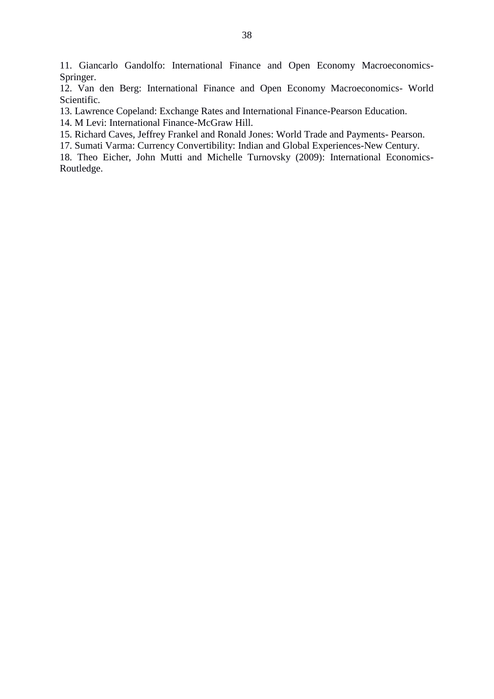11. Giancarlo Gandolfo: International Finance and Open Economy Macroeconomics-Springer.

12. Van den Berg: International Finance and Open Economy Macroeconomics- World Scientific.

13. Lawrence Copeland: Exchange Rates and International Finance-Pearson Education.

14. M Levi: International Finance-McGraw Hill.

15. Richard Caves, Jeffrey Frankel and Ronald Jones: World Trade and Payments- Pearson.

17. Sumati Varma: Currency Convertibility: Indian and Global Experiences-New Century.

18. Theo Eicher, John Mutti and Michelle Turnovsky (2009): International Economics-Routledge.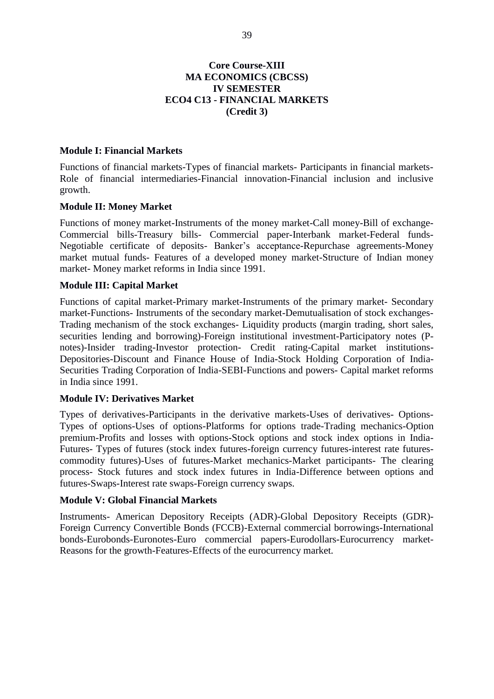## **Core Course-XIII MA ECONOMICS (CBCSS) IV SEMESTER ECO4 C13 - FINANCIAL MARKETS** (Credit 3)

#### **Module I: Financial Markets**

Functions of financial markets-Types of financial markets- Participants in financial markets-Role of financial intermediaries-Financial innovation-Financial inclusion and inclusive growth.

#### **Module II: Money Market**

Functions of money market-Instruments of the money market-Call money-Bill of exchange-Commercial bills-Treasury bills- Commercial paper-Interbank market-Federal funds-Negotiable certificate of deposits- Banker's acceptance-Repurchase agreements-Money market mutual funds- Features of a developed money market-Structure of Indian money market- Money market reforms in India since 1991.

#### **Module III: Capital Market**

Functions of capital market-Primary market-Instruments of the primary market- Secondary market-Functions- Instruments of the secondary market-Demutualisation of stock exchanges-Trading mechanism of the stock exchanges- Liquidity products (margin trading, short sales, securities lending and borrowing)-Foreign institutional investment-Participatory notes (Pnotes)-Insider trading-Investor protection- Credit rating-Capital market institutions-Depositories-Discount and Finance House of India-Stock Holding Corporation of India-Securities Trading Corporation of India-SEBI-Functions and powers- Capital market reforms in India since 1991.

#### **Module IV: Derivatives Market**

Types of derivatives-Participants in the derivative markets-Uses of derivatives- Options-Types of options-Uses of options-Platforms for options trade-Trading mechanics-Option premium-Profits and losses with options-Stock options and stock index options in India-Futures- Types of futures (stock index futures-foreign currency futures-interest rate futurescommodity futures)-Uses of futures-Market mechanics-Market participants- The clearing process- Stock futures and stock index futures in India-Difference between options and futures-Swaps-Interest rate swaps-Foreign currency swaps.

#### **Module V: Global Financial Markets**

Instruments- American Depository Receipts (ADR)-Global Depository Receipts (GDR)-Foreign Currency Convertible Bonds (FCCB)-External commercial borrowings-International bonds-Eurobonds-Euronotes-Euro commercial papers-Eurodollars-Eurocurrency market-Reasons for the growth-Features-Effects of the eurocurrency market.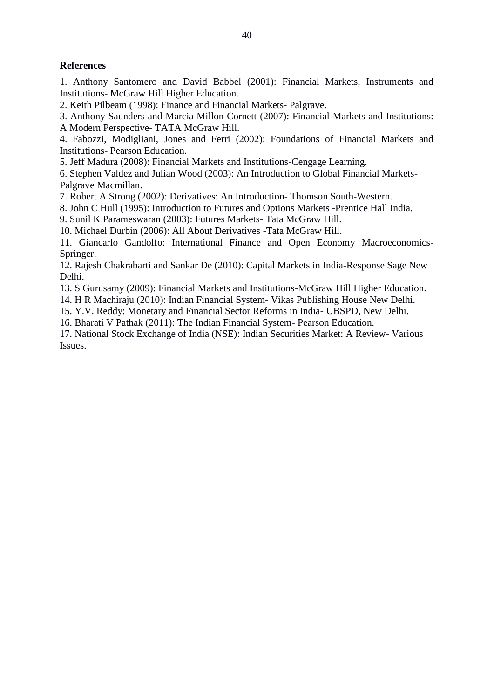# **References**

1. Anthony Santomero and David Babbel (2001): Financial Markets, Instruments and Institutions- McGraw Hill Higher Education.

2. Keith Pilbeam (1998): Finance and Financial Markets- Palgrave.

3. Anthony Saunders and Marcia Millon Cornett (2007): Financial Markets and Institutions: A Modern Perspective- TATA McGraw Hill.

4. Fabozzi, Modigliani, Jones and Ferri (2002): Foundations of Financial Markets and **Institutions- Pearson Education.** 

5. Jeff Madura (2008): Financial Markets and Institutions-Cengage Learning.

6. Stephen Valdez and Julian Wood (2003): An Introduction to Global Financial Markets-Palgrave Macmillan.

7. Robert A Strong (2002): Derivatives: An Introduction-Thomson South-Western.

8. John C Hull (1995): Introduction to Futures and Options Markets -Prentice Hall India.

9. Sunil K Parameswaran (2003): Futures Markets-Tata McGraw Hill.

10. Michael Durbin (2006): All About Derivatives - Tata McGraw Hill.

11. Giancarlo Gandolfo: International Finance and Open Economy Macroeconomics-Springer.

12. Rajesh Chakrabarti and Sankar De (2010): Capital Markets in India-Response Sage New Delhi.

13. S Gurusamy (2009): Financial Markets and Institutions-McGraw Hill Higher Education.

14. H R Machiraju (2010): Indian Financial System- Vikas Publishing House New Delhi.

15. Y.V. Reddy: Monetary and Financial Sector Reforms in India- UBSPD, New Delhi.

16. Bharati V Pathak (2011): The Indian Financial System- Pearson Education.

17. National Stock Exchange of India (NSE): Indian Securities Market: A Review- Various Issues.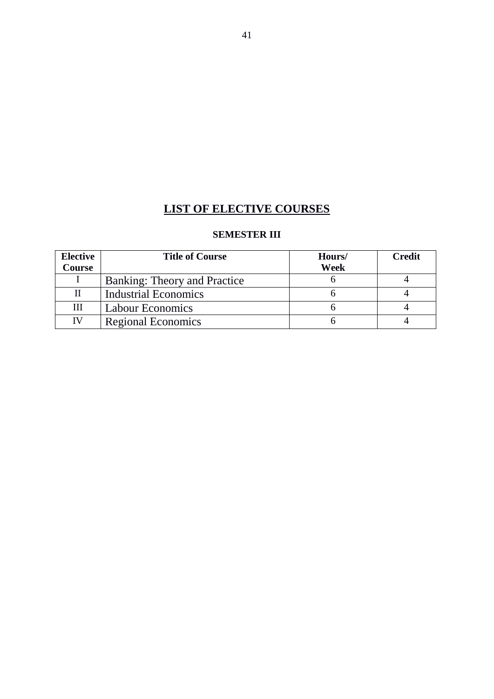# **LIST OF ELECTIVE COURSES**

# **SEMESTER III**

| <b>Elective</b> | <b>Title of Course</b>       | Hours/ | Credit |
|-----------------|------------------------------|--------|--------|
| Course          |                              | Week   |        |
|                 | Banking: Theory and Practice |        |        |
|                 | <b>Industrial Economics</b>  |        |        |
| Ш               | <b>Labour Economics</b>      |        |        |
| IV              | <b>Regional Economics</b>    |        |        |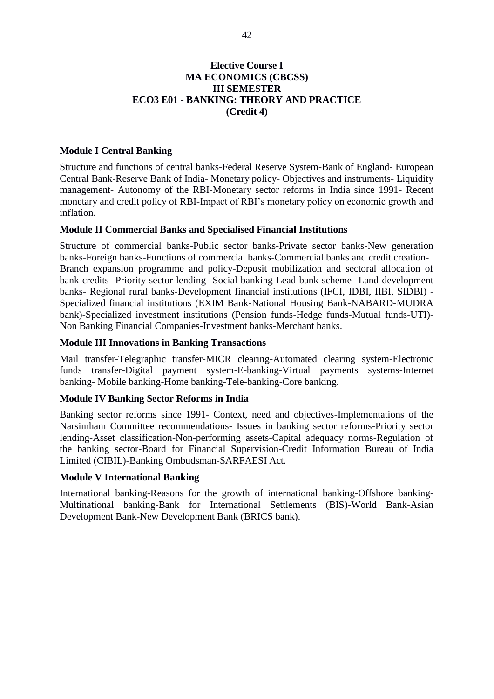# **Elective Course I MA ECONOMICS (CBCSS) III SEMESTER ECO3 E01 - BANKING: THEORY AND PRACTICE** (Credit 4)

#### **Module I Central Banking**

Structure and functions of central banks-Federal Reserve System-Bank of England- European Central Bank-Reserve Bank of India- Monetary policy- Objectives and instruments- Liquidity management- Autonomy of the RBI-Monetary sector reforms in India since 1991- Recent monetary and credit policy of RBI-Impact of RBI's monetary policy on economic growth and inflation.

#### **Module II Commercial Banks and Specialised Financial Institutions**

Structure of commercial banks-Public sector banks-Private sector banks-New generation banks-Foreign banks-Functions of commercial banks-Commercial banks and credit creation-Branch expansion programme and policy-Deposit mobilization and sectoral allocation of bank credits- Priority sector lending- Social banking-Lead bank scheme- Land development banks- Regional rural banks-Development financial institutions (IFCI, IDBI, IIBI, SIDBI) -Specialized financial institutions (EXIM Bank-National Housing Bank-NABARD-MUDRA bank)-Specialized investment institutions (Pension funds-Hedge funds-Mutual funds-UTI)-Non Banking Financial Companies-Investment banks-Merchant banks.

#### **Module III Innovations in Banking Transactions**

Mail transfer-Telegraphic transfer-MICR clearing-Automated clearing system-Electronic funds transfer-Digital payment system-E-banking-Virtual payments systems-Internet banking- Mobile banking-Home banking-Tele-banking-Core banking.

#### **Module IV Banking Sector Reforms in India**

Banking sector reforms since 1991- Context, need and objectives-Implementations of the Narsimham Committee recommendations- Issues in banking sector reforms-Priority sector lending-Asset classification-Non-performing assets-Capital adequacy norms-Regulation of the banking sector-Board for Financial Supervision-Credit Information Bureau of India Limited (CIBIL)-Banking Ombudsman-SARFAESI Act.

#### **Module V International Banking**

International banking-Reasons for the growth of international banking-Offshore banking-Multinational banking-Bank for International Settlements (BIS)-World Bank-Asian Development Bank-New Development Bank (BRICS bank).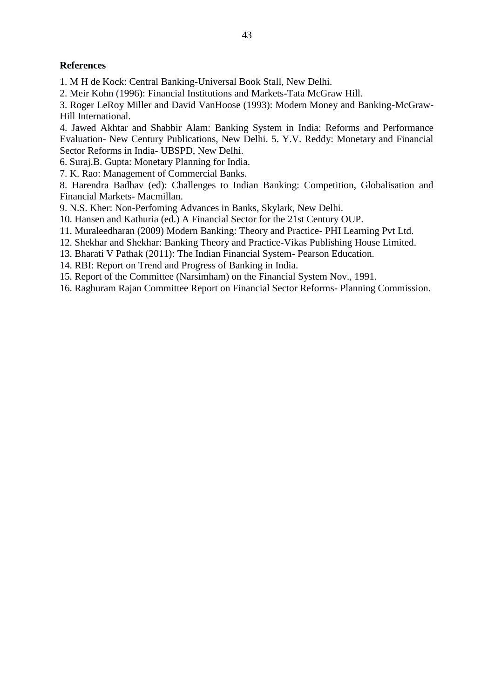# **References**

1. M H de Kock: Central Banking-Universal Book Stall, New Delhi.

2. Meir Kohn (1996): Financial Institutions and Markets-Tata McGraw Hill.

3. Roger LeRoy Miller and David VanHoose (1993): Modern Money and Banking-McGraw-Hill International.

4. Jawed Akhtar and Shabbir Alam: Banking System in India: Reforms and Performance Evaluation- New Century Publications, New Delhi. 5. Y.V. Reddy: Monetary and Financial Sector Reforms in India- UBSPD, New Delhi.

6. Suraj.B. Gupta: Monetary Planning for India.

7. K. Rao: Management of Commercial Banks.

8. Harendra Badhav (ed): Challenges to Indian Banking: Competition, Globalisation and Financial Markets- Macmillan.

9. N.S. Kher: Non-Perfoming Advances in Banks, Skylark, New Delhi.

10. Hansen and Kathuria (ed.) A Financial Sector for the 21st Century OUP.

- 11. Muraleedharan (2009) Modern Banking: Theory and Practice-PHI Learning Pvt Ltd.
- 12. Shekhar and Shekhar: Banking Theory and Practice-Vikas Publishing House Limited.
- 13. Bharati V Pathak (2011): The Indian Financial System- Pearson Education.

14. RBI: Report on Trend and Progress of Banking in India.

15. Report of the Committee (Narsimham) on the Financial System Nov., 1991.

16. Raghuram Rajan Committee Report on Financial Sector Reforms- Planning Commission.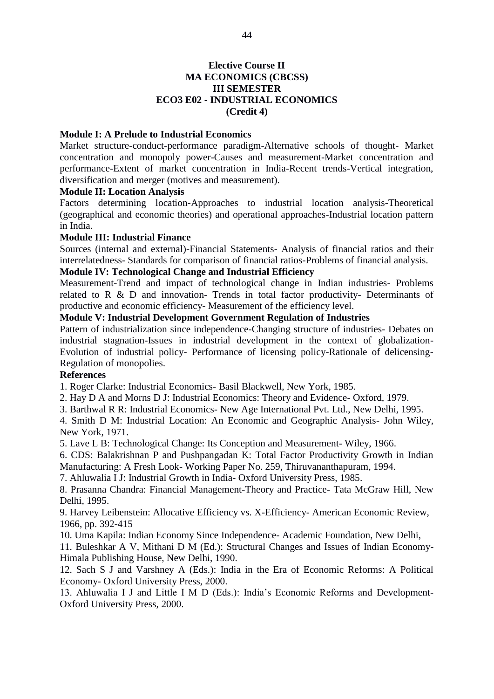# **Elective Course II MA ECONOMICS (CBCSS) III SEMESTER ECO3 E02 - INDUSTRIAL ECONOMICS** (Credit 4)

## **Module I: A Prelude to Industrial Economics**

Market structure-conduct-performance paradigm-Alternative schools of thought- Market concentration and monopoly power-Causes and measurement-Market concentration and performance-Extent of market concentration in India-Recent trends-Vertical integration, diversification and merger (motives and measurement).

#### **Module II: Location Analysis**

Factors determining location-Approaches to industrial location analysis-Theoretical (geographical and economic theories) and operational approaches-Industrial location pattern in India.

## **Module III: Industrial Finance**

Sources (internal and external)-Financial Statements- Analysis of financial ratios and their interrelatedness- Standards for comparison of financial ratios-Problems of financial analysis.

## **Module IV: Technological Change and Industrial Efficiency**

Measurement-Trend and impact of technological change in Indian industries- Problems related to R & D and innovation- Trends in total factor productivity- Determinants of productive and economic efficiency- Measurement of the efficiency level.

## **Module V: Industrial Development Government Regulation of Industries**

Pattern of industrialization since independence-Changing structure of industries- Debates on industrial stagnation-Issues in industrial development in the context of globalization-Evolution of industrial policy- Performance of licensing policy-Rationale of delicensing-Regulation of monopolies.

## **References**

1. Roger Clarke: Industrial Economics- Basil Blackwell, New York, 1985.

2. Hay D A and Morns D J: Industrial Economics: Theory and Evidence-Oxford, 1979.

3. Barthwal R R: Industrial Economics- New Age International Pvt. Ltd., New Delhi, 1995.

4. Smith D M: Industrial Location: An Economic and Geographic Analysis- John Wiley, New York, 1971.

5. Lave L B: Technological Change: Its Conception and Measurement- Wiley, 1966.

6. CDS: Balakrishnan P and Pushpangadan K: Total Factor Productivity Growth in Indian Manufacturing: A Fresh Look- Working Paper No. 259, Thiruvananthapuram, 1994.

7. Ahluwalia I J: Industrial Growth in India-Oxford University Press, 1985.

8. Prasanna Chandra: Financial Management-Theory and Practice- Tata McGraw Hill, New Delhi, 1995.

9. Harvey Leibenstein: Allocative Efficiency vs. X-Efficiency- American Economic Review, 1966, pp. 392-415

10. Uma Kapila: Indian Economy Since Independence- Academic Foundation, New Delhi,

11. Buleshkar A V, Mithani D M (Ed.): Structural Changes and Issues of Indian Economy-Himala Publishing House, New Delhi, 1990.

12. Sach S J and Varshney A (Eds.): India in the Era of Economic Reforms: A Political Economy- Oxford University Press, 2000.

13. Ahluwalia I J and Little I M D (Eds.): India's Economic Reforms and Development-Oxford University Press, 2000.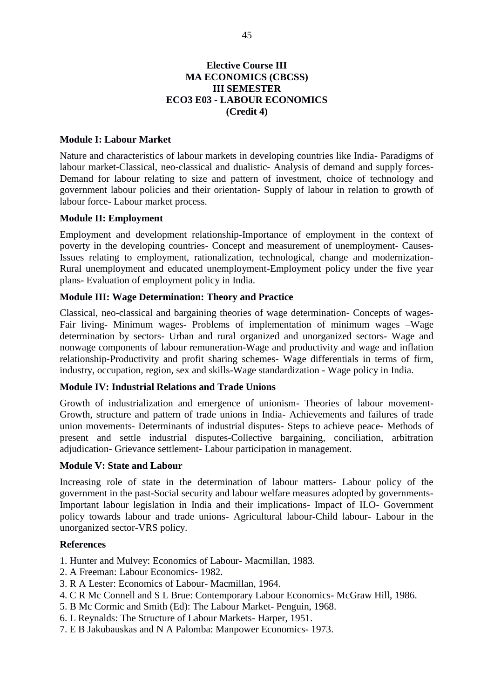# **Elective Course III MA ECONOMICS (CBCSS) III SEMESTER ECO3 E03 - LABOUR ECONOMICS** (Credit 4)

## **Module I: Labour Market**

Nature and characteristics of labour markets in developing countries like India- Paradigms of labour market-Classical, neo-classical and dualistic- Analysis of demand and supply forces-Demand for labour relating to size and pattern of investment, choice of technology and government labour policies and their orientation- Supply of labour in relation to growth of labour force- Labour market process.

#### **Module II: Employment**

Employment and development relationship-Importance of employment in the context of poverty in the developing countries- Concept and measurement of unemployment- Causes-Issues relating to employment, rationalization, technological, change and modernization-Rural unemployment and educated unemployment-Employment policy under the five year plans- Evaluation of employment policy in India.

#### **Module III: Wage Determination: Theory and Practice**

Classical, neo-classical and bargaining theories of wage determination- Concepts of wages-Fair living- Minimum wages- Problems of implementation of minimum wages -Wage determination by sectors- Urban and rural organized and unorganized sectors- Wage and nonwage components of labour remuneration-Wage and productivity and wage and inflation relationship-Productivity and profit sharing schemes- Wage differentials in terms of firm, industry, occupation, region, sex and skills-Wage standardization - Wage policy in India.

## **Module IV: Industrial Relations and Trade Unions**

Growth of industrialization and emergence of unionism- Theories of labour movement-Growth, structure and pattern of trade unions in India-Achievements and failures of trade union movements- Determinants of industrial disputes- Steps to achieve peace- Methods of present and settle industrial disputes-Collective bargaining, conciliation, arbitration adiudication- Grievance settlement- Labour participation in management.

#### **Module V: State and Labour**

Increasing role of state in the determination of labour matters- Labour policy of the government in the past-Social security and labour welfare measures adopted by governments-Important labour legislation in India and their implications- Impact of ILO- Government policy towards labour and trade unions- Agricultural labour-Child labour- Labour in the unorganized sector-VRS policy.

#### **References**

1. Hunter and Mulvey: Economics of Labour- Macmillan, 1983.

- 2. A Freeman: Labour Economics-1982.
- 3. R A Lester: Economics of Labour- Macmillan, 1964.
- 4. C R Mc Connell and S L Brue: Contemporary Labour Economics- McGraw Hill, 1986.
- 5. B Mc Cormic and Smith (Ed): The Labour Market- Penguin, 1968.
- 6. L Reynalds: The Structure of Labour Markets- Harper, 1951.
- 7. E B Jakubauskas and N A Palomba: Manpower Economics-1973.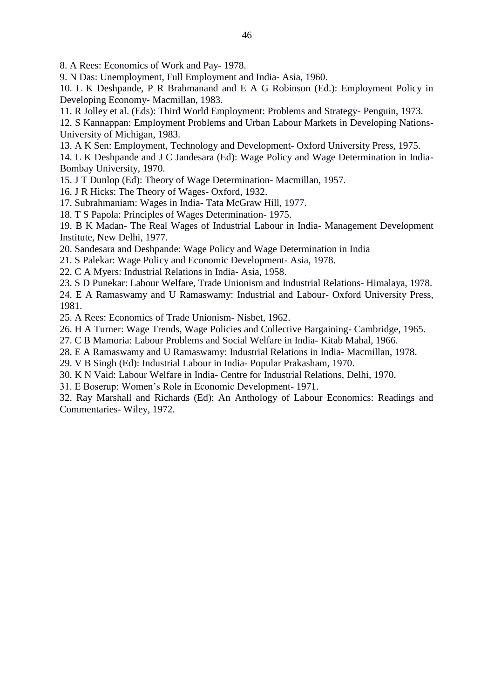8. A Rees: Economics of Work and Pay- 1978.

9. N Das: Unemployment, Full Employment and India-Asia, 1960.

10. L K Deshpande, P R Brahmanand and E A G Robinson (Ed.): Employment Policy in Developing Economy- Macmillan, 1983.

11. R Jolley et al. (Eds): Third World Employment: Problems and Strategy- Penguin, 1973.

12. S Kannappan: Employment Problems and Urban Labour Markets in Developing Nations-University of Michigan, 1983.

13. A K Sen: Employment, Technology and Development- Oxford University Press, 1975.

14. L K Deshpande and J C Jandesara (Ed): Wage Policy and Wage Determination in India-Bombay University, 1970.

- 15. J T Dunlop (Ed): Theory of Wage Determination- Macmillan, 1957.
- 16. J R Hicks: The Theory of Wages-Oxford, 1932.

17. Subrahmaniam: Wages in India-Tata McGraw Hill, 1977.

18. T S Papola: Principles of Wages Determination-1975.

19. B K Madan- The Real Wages of Industrial Labour in India- Management Development Institute, New Delhi, 1977.

- 20. Sandesara and Deshpande: Wage Policy and Wage Determination in India
- 21. S Palekar: Wage Policy and Economic Development-Asia, 1978.
- 22. C A Myers: Industrial Relations in India-Asia, 1958.

23. S D Punekar: Labour Welfare, Trade Unionism and Industrial Relations- Himalaya, 1978.

24. E A Ramaswamy and U Ramaswamy: Industrial and Labour- Oxford University Press, 1981.

25. A Rees: Economics of Trade Unionism- Nisbet, 1962.

26. H A Turner: Wage Trends, Wage Policies and Collective Bargaining-Cambridge, 1965.

27. C B Mamoria: Labour Problems and Social Welfare in India-Kitab Mahal, 1966.

28. E A Ramaswamy and U Ramaswamy: Industrial Relations in India- Macmillan, 1978.

29. V B Singh (Ed): Industrial Labour in India- Popular Prakasham, 1970.

- 30. K N Vaid: Labour Welfare in India- Centre for Industrial Relations, Delhi, 1970.
- 31. E Boserup: Women's Role in Economic Development- 1971.

32. Ray Marshall and Richards (Ed): An Anthology of Labour Economics: Readings and Commentaries-Wiley, 1972.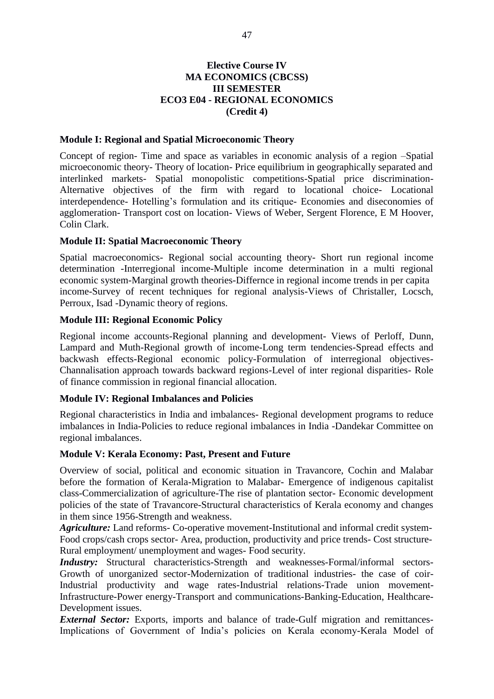# **Elective Course IV MA ECONOMICS (CBCSS) III SEMESTER ECO3 E04 - REGIONAL ECONOMICS** (Credit 4)

## **Module I: Regional and Spatial Microeconomic Theory**

Concept of region- Time and space as variables in economic analysis of a region -Spatial microeconomic theory- Theory of location- Price equilibrium in geographically separated and interlinked markets- Spatial monopolistic competitions-Spatial price discrimination-Alternative objectives of the firm with regard to locational choice- Locational interdependence- Hotelling's formulation and its critique- Economies and diseconomies of agglomeration-Transport cost on location-Views of Weber, Sergent Florence, E M Hoover, Colin Clark.

## **Module II: Spatial Macroeconomic Theory**

Spatial macroeconomics- Regional social accounting theory- Short run regional income determination -Interregional income-Multiple income determination in a multi regional economic system-Marginal growth theories-Differnce in regional income trends in per capita income-Survey of recent techniques for regional analysis-Views of Christaller, Locsch, Perroux, Isad -Dynamic theory of regions.

## **Module III: Regional Economic Policy**

Regional income accounts-Regional planning and development- Views of Perloff, Dunn, Lampard and Muth-Regional growth of income-Long term tendencies-Spread effects and backwash effects-Regional economic policy-Formulation of interregional objectives-Channalisation approach towards backward regions-Level of inter regional disparities- Role of finance commission in regional financial allocation.

## **Module IV: Regional Imbalances and Policies**

Regional characteristics in India and imbalances- Regional development programs to reduce imbalances in India-Policies to reduce regional imbalances in India -Dandekar Committee on regional imbalances.

## **Module V: Kerala Economy: Past, Present and Future**

Overview of social, political and economic situation in Travancore, Cochin and Malabar before the formation of Kerala-Migration to Malabar- Emergence of indigenous capitalist class-Commercialization of agriculture-The rise of plantation sector- Economic development policies of the state of Travancore-Structural characteristics of Kerala economy and changes in them since 1956-Strength and weakness.

Agriculture: Land reforms- Co-operative movement-Institutional and informal credit system-Food crops/cash crops sector- Area, production, productivity and price trends- Cost structure-Rural employment/ unemployment and wages- Food security.

Industry: Structural characteristics-Strength and weaknesses-Formal/informal sectors-Growth of unorganized sector-Modernization of traditional industries- the case of coir-Industrial productivity and wage rates-Industrial relations-Trade union movement-Infrastructure-Power energy-Transport and communications-Banking-Education, Healthcare-Development issues.

**External Sector:** Exports, imports and balance of trade-Gulf migration and remittances-Implications of Government of India's policies on Kerala economy-Kerala Model of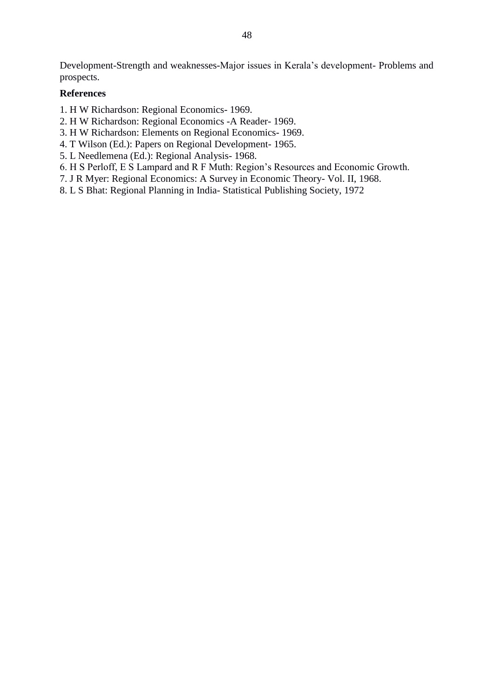Development-Strength and weaknesses-Major issues in Kerala's development- Problems and prospects.

## **References**

- 1. H W Richardson: Regional Economics- 1969.
- 2. H W Richardson: Regional Economics -A Reader- 1969.
- 3. H W Richardson: Elements on Regional Economics- 1969.
- 4. T Wilson (Ed.): Papers on Regional Development- 1965.
- 5. L Needlemena (Ed.): Regional Analysis- 1968.
- 6. H S Perloff, E S Lampard and R F Muth: Region's Resources and Economic Growth.
- 7. J R Myer: Regional Economics: A Survey in Economic Theory- Vol. II, 1968.
- 8. L S Bhat: Regional Planning in India-Statistical Publishing Society, 1972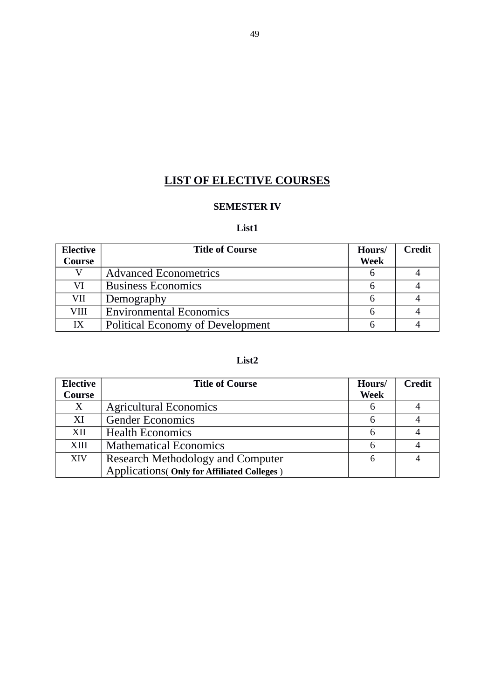# **LIST OF ELECTIVE COURSES**

# **SEMESTER IV**

# **List1**

| <b>Elective</b> | <b>Title of Course</b>                  | Hours/      | <b>Credit</b> |
|-----------------|-----------------------------------------|-------------|---------------|
| <b>Course</b>   |                                         | <b>Week</b> |               |
|                 | <b>Advanced Econometrics</b>            |             |               |
| VI              | <b>Business Economics</b>               |             |               |
| VII             | Demography                              |             |               |
| VIII            | <b>Environmental Economics</b>          |             |               |
| IX              | <b>Political Economy of Development</b> |             |               |

# **List2**

| <b>Elective</b>  | <b>Title of Course</b>                             | Hours/      | <b>Credit</b> |
|------------------|----------------------------------------------------|-------------|---------------|
| Course           |                                                    | <b>Week</b> |               |
| $\boldsymbol{X}$ | <b>Agricultural Economics</b>                      | 6           |               |
| XI               | <b>Gender Economics</b>                            | 6           |               |
| XII              | <b>Health Economics</b>                            | 6           |               |
| XIII             | <b>Mathematical Economics</b>                      | 6           |               |
| XIV              | Research Methodology and Computer                  | 6           |               |
|                  | <b>Applications (Only for Affiliated Colleges)</b> |             |               |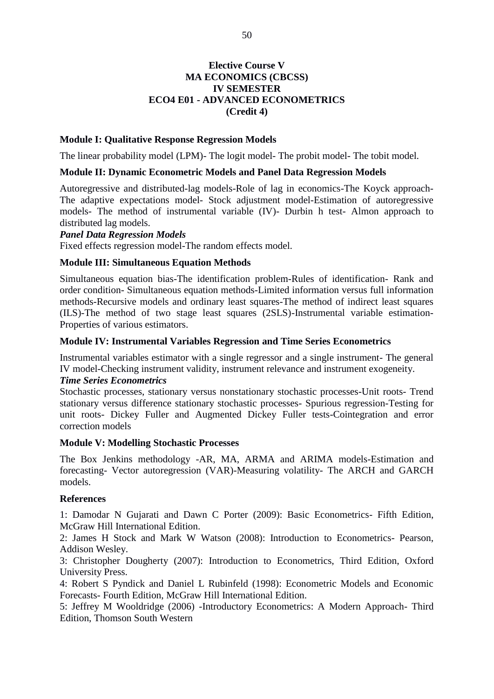# **Elective Course V MA ECONOMICS (CBCSS) IV SEMESTER ECO4 E01 - ADVANCED ECONOMETRICS** (Credit 4)

## **Module I: Qualitative Response Regression Models**

The linear probability model (LPM)- The logit model- The probit model- The tobit model.

#### **Module II: Dynamic Econometric Models and Panel Data Regression Models**

Autoregressive and distributed-lag models-Role of lag in economics-The Koyck approach-The adaptive expectations model- Stock adjustment model-Estimation of autoregressive models- The method of instrumental variable (IV)- Durbin h test- Almon approach to distributed lag models.

#### **Panel Data Regression Models**

Fixed effects regression model-The random effects model.

#### **Module III: Simultaneous Equation Methods**

Simultaneous equation bias-The identification problem-Rules of identification- Rank and order condition- Simultaneous equation methods-Limited information versus full information methods-Recursive models and ordinary least squares-The method of indirect least squares (ILS)-The method of two stage least squares (2SLS)-Instrumental variable estimation-Properties of various estimators.

#### **Module IV: Instrumental Variables Regression and Time Series Econometrics**

Instrumental variables estimator with a single regressor and a single instrument- The general IV model-Checking instrument validity, instrument relevance and instrument exogeneity.

#### **Time Series Econometrics**

Stochastic processes, stationary versus nonstationary stochastic processes-Unit roots- Trend stationary versus difference stationary stochastic processes- Spurious regression-Testing for unit roots- Dickey Fuller and Augmented Dickey Fuller tests-Cointegration and error correction models

#### **Module V: Modelling Stochastic Processes**

The Box Jenkins methodology -AR, MA, ARMA and ARIMA models-Estimation and forecasting- Vector autoregression (VAR)-Measuring volatility- The ARCH and GARCH models.

## **References**

1: Damodar N Guiarati and Dawn C Porter (2009): Basic Econometrics- Fifth Edition, McGraw Hill International Edition.

2: James H Stock and Mark W Watson (2008): Introduction to Econometrics- Pearson, Addison Wesley.

3: Christopher Dougherty (2007): Introduction to Econometrics, Third Edition, Oxford **University Press.** 

4: Robert S Pyndick and Daniel L Rubinfeld (1998): Econometric Models and Economic Forecasts- Fourth Edition, McGraw Hill International Edition.

5: Jeffrey M Wooldridge (2006) -Introductory Econometrics: A Modern Approach-Third Edition, Thomson South Western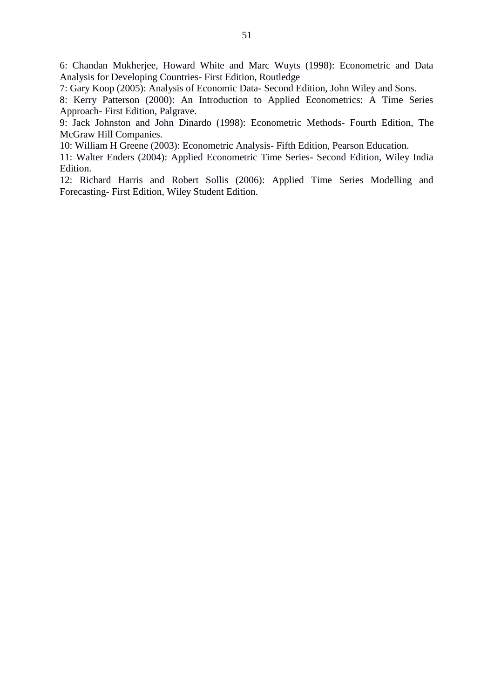6: Chandan Mukherjee, Howard White and Marc Wuyts (1998): Econometric and Data Analysis for Developing Countries- First Edition, Routledge

7: Gary Koop (2005): Analysis of Economic Data- Second Edition, John Wiley and Sons.

8: Kerry Patterson (2000): An Introduction to Applied Econometrics: A Time Series Approach- First Edition, Palgrave.

9: Jack Johnston and John Dinardo (1998): Econometric Methods- Fourth Edition, The McGraw Hill Companies.

10: William H Greene (2003): Econometric Analysis- Fifth Edition, Pearson Education.

11: Walter Enders (2004): Applied Econometric Time Series- Second Edition, Wiley India Edition.

12: Richard Harris and Robert Sollis (2006): Applied Time Series Modelling and Forecasting- First Edition, Wiley Student Edition.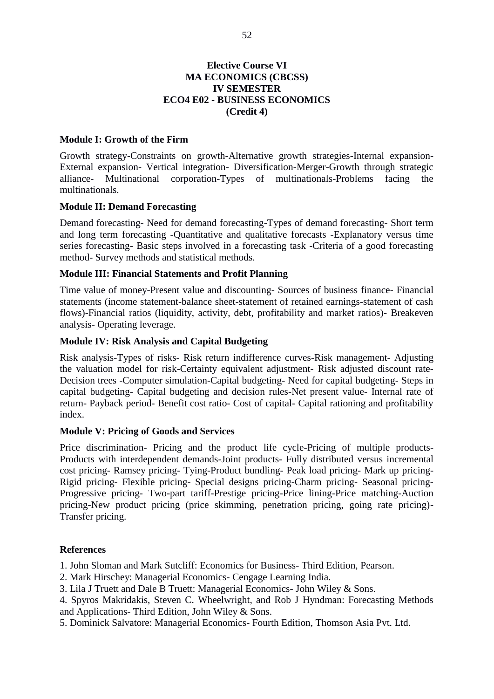## **Elective Course VI MA ECONOMICS (CBCSS) IV SEMESTER ECO4 E02 - BUSINESS ECONOMICS** (Credit 4)

## **Module I: Growth of the Firm**

Growth strategy-Constraints on growth-Alternative growth strategies-Internal expansion-External expansion- Vertical integration- Diversification-Merger-Growth through strategic Multinational corporation-Types of multinationals-Problems alliancefacing the multinationals.

## **Module II: Demand Forecasting**

Demand forecasting- Need for demand forecasting-Types of demand forecasting- Short term and long term forecasting -Quantitative and qualitative forecasts -Explanatory versus time series forecasting- Basic steps involved in a forecasting task -Criteria of a good forecasting method- Survey methods and statistical methods.

## **Module III: Financial Statements and Profit Planning**

Time value of money-Present value and discounting- Sources of business finance- Financial statements (income statement-balance sheet-statement of retained earnings-statement of cash flows)-Financial ratios (liquidity, activity, debt, profitability and market ratios)- Breakeven analysis- Operating leverage.

## **Module IV: Risk Analysis and Capital Budgeting**

Risk analysis-Types of risks- Risk return indifference curves-Risk management- Adjusting the valuation model for risk-Certainty equivalent adjustment- Risk adjusted discount rate-Decision trees -Computer simulation-Capital budgeting- Need for capital budgeting- Steps in capital budgeting- Capital budgeting and decision rules-Net present value- Internal rate of return- Payback period- Benefit cost ratio- Cost of capital- Capital rationing and profitability index.

## **Module V: Pricing of Goods and Services**

Price discrimination- Pricing and the product life cycle-Pricing of multiple products-Products with interdependent demands-Joint products- Fully distributed versus incremental cost pricing- Ramsey pricing- Tying-Product bundling- Peak load pricing- Mark up pricing-Rigid pricing- Flexible pricing- Special designs pricing-Charm pricing- Seasonal pricing-Progressive pricing- Two-part tariff-Prestige pricing-Price lining-Price matching-Auction pricing-New product pricing (price skimming, penetration pricing, going rate pricing)-Transfer pricing.

## **References**

1. John Sloman and Mark Sutcliff: Economics for Business-Third Edition, Pearson.

- 2. Mark Hirschev: Managerial Economics- Cengage Learning India.
- 3. Lila J Truett and Dale B Truett: Managerial Economics- John Wiley & Sons.

4. Spyros Makridakis, Steven C. Wheelwright, and Rob J Hyndman: Forecasting Methods and Applications- Third Edition, John Wiley & Sons.

5. Dominick Salvatore: Managerial Economics- Fourth Edition, Thomson Asia Pvt. Ltd.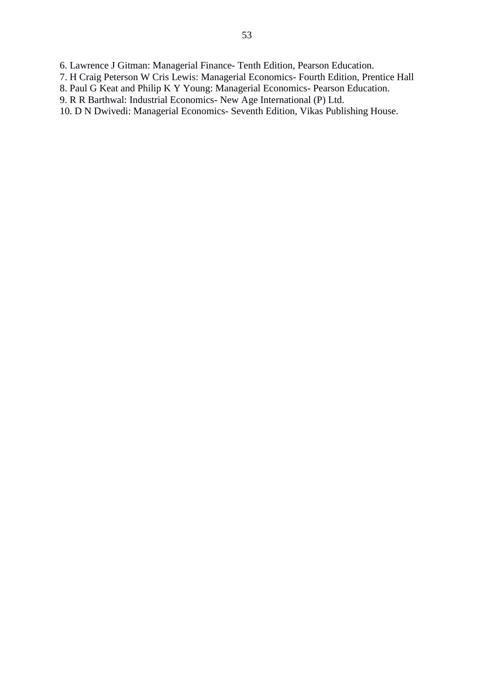6. Lawrence J Gitman: Managerial Finance- Tenth Edition, Pearson Education.

- 7. H Craig Peterson W Cris Lewis: Managerial Economics- Fourth Edition, Prentice Hall
- 8. Paul G Keat and Philip K Y Young: Managerial Economics- Pearson Education.
- 9. R R Barthwal: Industrial Economics- New Age International (P) Ltd.

10. D N Dwivedi: Managerial Economics- Seventh Edition, Vikas Publishing House.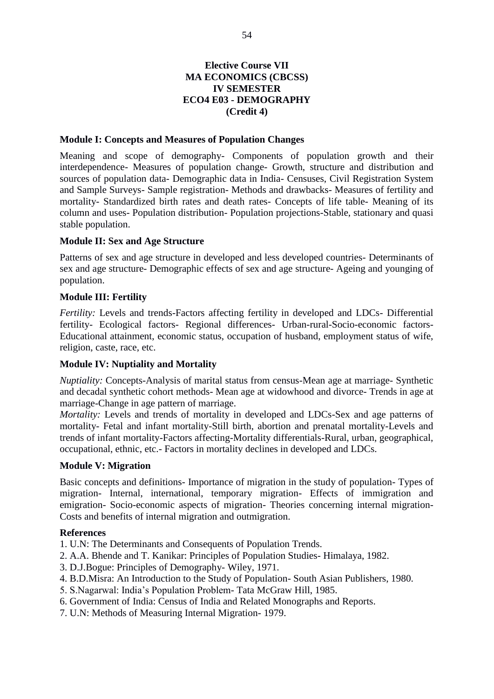# **Elective Course VII MA ECONOMICS (CBCSS) IV SEMESTER ECO4 E03 - DEMOGRAPHY** (Credit 4)

## **Module I: Concepts and Measures of Population Changes**

Meaning and scope of demography- Components of population growth and their interdependence- Measures of population change- Growth, structure and distribution and sources of population data- Demographic data in India- Censuses, Civil Registration System and Sample Surveys- Sample registration- Methods and drawbacks- Measures of fertility and mortality- Standardized birth rates and death rates- Concepts of life table- Meaning of its column and uses- Population distribution- Population projections-Stable, stationary and quasi stable population.

## **Module II: Sex and Age Structure**

Patterns of sex and age structure in developed and less developed countries- Determinants of sex and age structure- Demographic effects of sex and age structure- Ageing and younging of population.

## **Module III: Fertility**

Fertility: Levels and trends-Factors affecting fertility in developed and LDCs- Differential fertility- Ecological factors- Regional differences- Urban-rural-Socio-economic factors-Educational attainment, economic status, occupation of husband, employment status of wife, religion, caste, race, etc.

## **Module IV: Nuptiality and Mortality**

Nuptiality: Concepts-Analysis of marital status from census-Mean age at marriage- Synthetic and decadal synthetic cohort methods- Mean age at widowhood and divorce- Trends in age at marriage-Change in age pattern of marriage.

Mortality: Levels and trends of mortality in developed and LDCs-Sex and age patterns of mortality- Fetal and infant mortality-Still birth, abortion and prenatal mortality-Levels and trends of infant mortality-Factors affecting-Mortality differentials-Rural, urban, geographical, occupational, ethnic, etc.- Factors in mortality declines in developed and LDCs.

## **Module V: Migration**

Basic concepts and definitions- Importance of migration in the study of population- Types of migration- Internal, international, temporary migration- Effects of immigration and emigration- Socio-economic aspects of migration- Theories concerning internal migration-Costs and benefits of internal migration and outmigration.

## **References**

1. U.N: The Determinants and Consequents of Population Trends.

- 2. A.A. Bhende and T. Kanikar: Principles of Population Studies-Himalaya, 1982.
- 3. D.J.Bogue: Principles of Demography-Wiley, 1971.
- 4. B.D.Misra: An Introduction to the Study of Population- South Asian Publishers, 1980.
- 5. S.Nagarwal: India's Population Problem-Tata McGraw Hill, 1985.
- 6. Government of India: Census of India and Related Monographs and Reports.
- 7. U.N: Methods of Measuring Internal Migration-1979.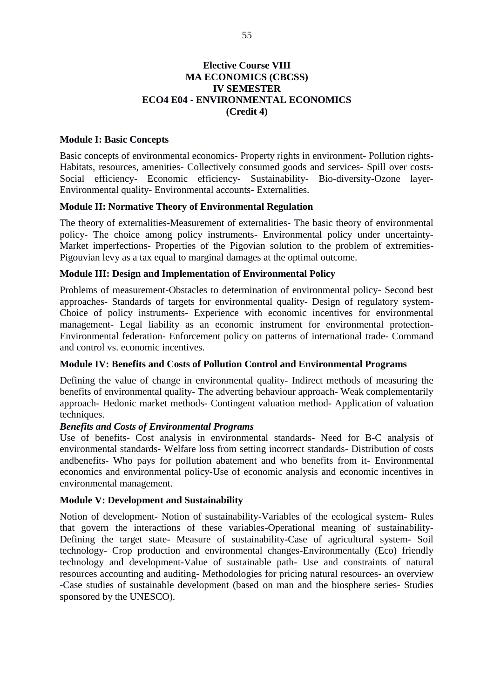# **Elective Course VIII MA ECONOMICS (CBCSS) IV SEMESTER ECO4 E04 - ENVIRONMENTAL ECONOMICS** (Credit 4)

## **Module I: Basic Concepts**

Basic concepts of environmental economics- Property rights in environment- Pollution rights-Habitats, resources, amenities- Collectively consumed goods and services- Spill over costs-Social efficiency- Economic efficiency- Sustainability- Bio-diversity-Ozone layer-Environmental quality- Environmental accounts- Externalities.

## **Module II: Normative Theory of Environmental Regulation**

The theory of externalities-Measurement of externalities- The basic theory of environmental policy- The choice among policy instruments- Environmental policy under uncertainty-Market imperfections- Properties of the Pigovian solution to the problem of extremities-Pigouvian levy as a tax equal to marginal damages at the optimal outcome.

## Module III: Design and Implementation of Environmental Policy

Problems of measurement-Obstacles to determination of environmental policy- Second best approaches- Standards of targets for environmental quality- Design of regulatory system-Choice of policy instruments- Experience with economic incentives for environmental management- Legal liability as an economic instrument for environmental protection-Environmental federation- Enforcement policy on patterns of international trade- Command and control vs. economic incentives.

## **Module IV: Benefits and Costs of Pollution Control and Environmental Programs**

Defining the value of change in environmental quality- Indirect methods of measuring the benefits of environmental quality- The adverting behaviour approach- Weak complementarily approach- Hedonic market methods- Contingent valuation method- Application of valuation techniques.

## **Benefits and Costs of Environmental Programs**

Use of benefits- Cost analysis in environmental standards- Need for B-C analysis of environmental standards- Welfare loss from setting incorrect standards- Distribution of costs andbenefits- Who pays for pollution abatement and who benefits from it- Environmental economics and environmental policy-Use of economic analysis and economic incentives in environmental management.

## **Module V: Development and Sustainability**

Notion of development- Notion of sustainability-Variables of the ecological system- Rules that govern the interactions of these variables-Operational meaning of sustainability-Defining the target state- Measure of sustainability-Case of agricultural system- Soil technology- Crop production and environmental changes-Environmentally (Eco) friendly technology and development-Value of sustainable path- Use and constraints of natural resources accounting and auditing- Methodologies for pricing natural resources- an overview -Case studies of sustainable development (based on man and the biosphere series- Studies sponsored by the UNESCO).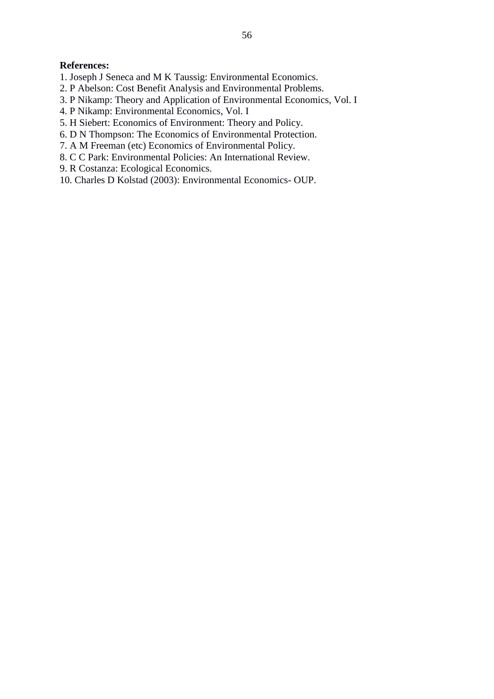## **References:**

- 1. Joseph J Seneca and M K Taussig: Environmental Economics.
- 2. P Abelson: Cost Benefit Analysis and Environmental Problems.
- 3. P Nikamp: Theory and Application of Environmental Economics, Vol. I
- 4. P Nikamp: Environmental Economics, Vol. I
- 5. H Siebert: Economics of Environment: Theory and Policy.
- 6. D N Thompson: The Economics of Environmental Protection.
- 7. A M Freeman (etc) Economics of Environmental Policy.
- 8. C C Park: Environmental Policies: An International Review.
- 9. R Costanza: Ecological Economics.
- 10. Charles D Kolstad (2003): Environmental Economics-OUP.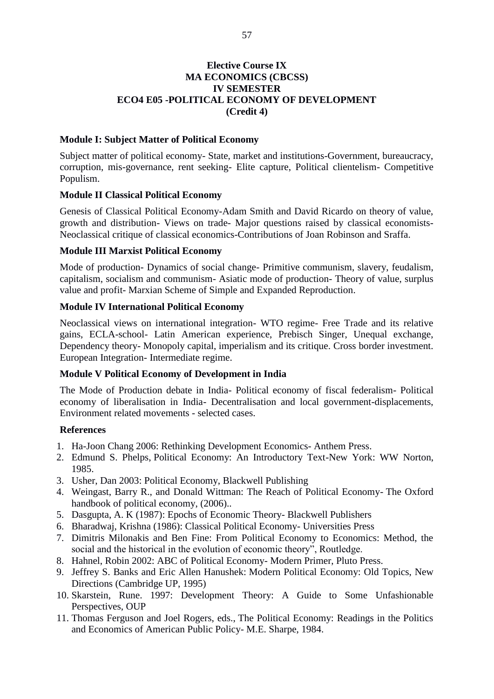# **Elective Course IX MA ECONOMICS (CBCSS) IV SEMESTER ECO4 E05 -POLITICAL ECONOMY OF DEVELOPMENT** (Credit 4)

## **Module I: Subject Matter of Political Economy**

Subject matter of political economy- State, market and institutions-Government, bureaucracy, corruption, mis-governance, rent seeking- Elite capture, Political clientelism- Competitive Populism.

## **Module II Classical Political Economy**

Genesis of Classical Political Economy-Adam Smith and David Ricardo on theory of value, growth and distribution- Views on trade- Major questions raised by classical economists-Neoclassical critique of classical economics-Contributions of Joan Robinson and Sraffa.

## **Module III Marxist Political Economy**

Mode of production- Dynamics of social change- Primitive communism, slavery, feudalism, capitalism, socialism and communism- Asiatic mode of production- Theory of value, surplus value and profit- Marxian Scheme of Simple and Expanded Reproduction.

## **Module IV International Political Economy**

Neoclassical views on international integration- WTO regime- Free Trade and its relative gains, ECLA-school- Latin American experience, Prebisch Singer, Unequal exchange, Dependency theory- Monopoly capital, imperialism and its critique. Cross border investment. European Integration-Intermediate regime.

## **Module V Political Economy of Development in India**

The Mode of Production debate in India- Political economy of fiscal federalism- Political economy of liberalisation in India- Decentralisation and local government-displacements, Environment related movements - selected cases.

## **References**

- 1. Ha-Joon Chang 2006: Rethinking Development Economics-Anthem Press.
- 2. Edmund S. Phelps, Political Economy: An Introductory Text-New York: WW Norton, 1985.
- 3. Usher, Dan 2003: Political Economy, Blackwell Publishing
- 4. Weingast, Barry R., and Donald Wittman: The Reach of Political Economy- The Oxford handbook of political economy, (2006)..
- 5. Dasgupta, A. K (1987): Epochs of Economic Theory- Blackwell Publishers
- 6. Bharadwai, Krishna (1986): Classical Political Economy- Universities Press
- 7. Dimitris Milonakis and Ben Fine: From Political Economy to Economics: Method, the social and the historical in the evolution of economic theory", Routledge.
- 8. Hahnel, Robin 2002: ABC of Political Economy- Modern Primer, Pluto Press.
- 9. Jeffrey S. Banks and Eric Allen Hanushek: Modern Political Economy: Old Topics, New Directions (Cambridge UP, 1995)
- 10. Skarstein, Rune, 1997: Development Theory: A Guide to Some Unfashionable Perspectives, OUP
- 11. Thomas Ferguson and Joel Rogers, eds., The Political Economy: Readings in the Politics and Economics of American Public Policy- M.E. Sharpe, 1984.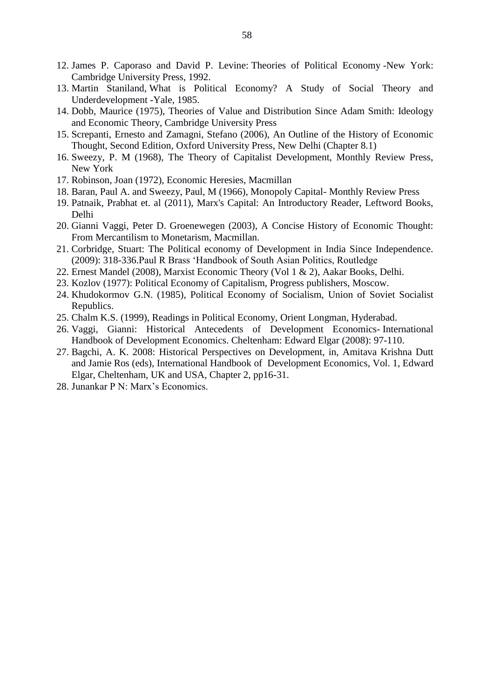- 12. James P. Caporaso and David P. Levine: Theories of Political Economy -New York: Cambridge University Press, 1992.
- 13. Martin Staniland, What is Political Economy? A Study of Social Theory and Underdevelopment - Yale, 1985.
- 14. Dobb, Maurice (1975), Theories of Value and Distribution Since Adam Smith: Ideology and Economic Theory, Cambridge University Press
- 15. Screpanti, Ernesto and Zamagni, Stefano (2006), An Outline of the History of Economic Thought, Second Edition, Oxford University Press, New Delhi (Chapter 8.1)
- 16. Sweezy, P. M (1968), The Theory of Capitalist Development, Monthly Review Press, New York
- 17. Robinson, Joan (1972), Economic Heresies, Macmillan
- 18. Baran, Paul A. and Sweezy, Paul, M (1966), Monopoly Capital- Monthly Review Press
- 19. Patnaik, Prabhat et. al (2011), Marx's Capital: An Introductory Reader, Leftword Books, Delhi
- 20. Gianni Vaggi, Peter D. Groenewegen (2003), A Concise History of Economic Thought: From Mercantilism to Monetarism, Macmillan.
- 21. Corbridge, Stuart: The Political economy of Development in India Since Independence. (2009): 318-336. Paul R Brass 'Handbook of South Asian Politics, Routledge
- 22. Ernest Mandel (2008), Marxist Economic Theory (Vol 1 & 2), Aakar Books, Delhi.
- 23. Kozlov (1977): Political Economy of Capitalism, Progress publishers, Moscow.
- 24. Khudokormov G.N. (1985), Political Economy of Socialism, Union of Soviet Socialist Republics.
- 25. Chalm K.S. (1999), Readings in Political Economy, Orient Longman, Hyderabad.
- 26. Vaggi, Gianni: Historical Antecedents of Development Economics-International Handbook of Development Economics. Cheltenham: Edward Elgar (2008): 97-110.
- 27. Bagchi, A. K. 2008: Historical Perspectives on Development, in, Amitava Krishna Dutt and Jamie Ros (eds), International Handbook of Development Economics, Vol. 1, Edward Elgar, Cheltenham, UK and USA, Chapter 2, pp16-31.
- 28. Junankar P N: Marx's Economics.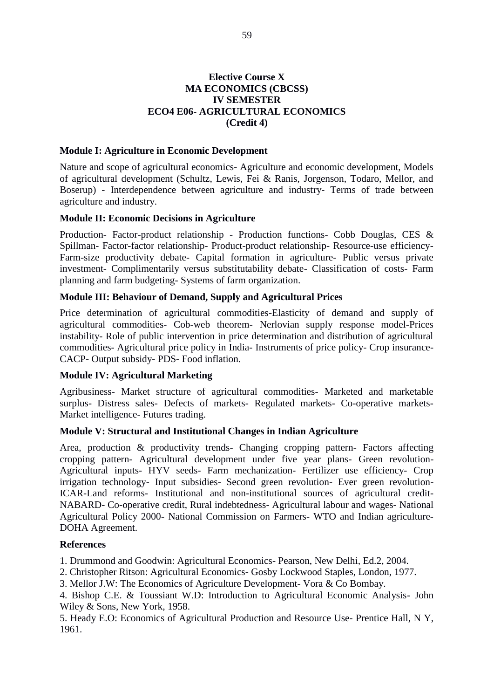## **Elective Course X MA ECONOMICS (CBCSS) IV SEMESTER ECO4 E06- AGRICULTURAL ECONOMICS** (Credit 4)

## **Module I: Agriculture in Economic Development**

Nature and scope of agricultural economics- Agriculture and economic development, Models of agricultural development (Schultz, Lewis, Fei & Ranis, Jorgenson, Todaro, Mellor, and Boserup) - Interdependence between agriculture and industry- Terms of trade between agriculture and industry.

## **Module II: Economic Decisions in Agriculture**

Production- Factor-product relationship - Production functions- Cobb Douglas, CES & Spillman- Factor-factor relationship- Product-product relationship- Resource-use efficiency-Farm-size productivity debate- Capital formation in agriculture- Public versus private investment- Complimentarily versus substitutability debate- Classification of costs- Farm planning and farm budgeting-Systems of farm organization.

## **Module III: Behaviour of Demand, Supply and Agricultural Prices**

Price determination of agricultural commodities-Elasticity of demand and supply of agricultural commodities- Cob-web theorem- Nerlovian supply response model-Prices instability- Role of public intervention in price determination and distribution of agricultural commodities- Agricultural price policy in India- Instruments of price policy- Crop insurance-CACP- Output subsidy- PDS- Food inflation.

## **Module IV: Agricultural Marketing**

Agribusiness- Market structure of agricultural commodities- Marketed and marketable surplus- Distress sales- Defects of markets- Regulated markets- Co-operative markets-Market intelligence- Futures trading.

## Module V: Structural and Institutional Changes in Indian Agriculture

Area, production & productivity trends- Changing cropping pattern- Factors affecting cropping pattern- Agricultural development under five year plans- Green revolution-Agricultural inputs- HYV seeds- Farm mechanization- Fertilizer use efficiency- Crop irrigation technology- Input subsidies- Second green revolution- Ever green revolution-ICAR-Land reforms- Institutional and non-institutional sources of agricultural credit-NABARD- Co-operative credit, Rural indebtedness- Agricultural labour and wages- National Agricultural Policy 2000- National Commission on Farmers- WTO and Indian agriculture-DOHA Agreement.

## **References**

1. Drummond and Goodwin: Agricultural Economics- Pearson, New Delhi, Ed.2, 2004.

- 2. Christopher Ritson: Agricultural Economics- Gosby Lockwood Staples, London, 1977.
- 3. Mellor J.W: The Economics of Agriculture Development- Vora & Co Bombay.

4. Bishop C.E. & Toussiant W.D: Introduction to Agricultural Economic Analysis- John Wiley & Sons, New York, 1958.

5. Heady E.O: Economics of Agricultural Production and Resource Use- Prentice Hall, N Y, 1961.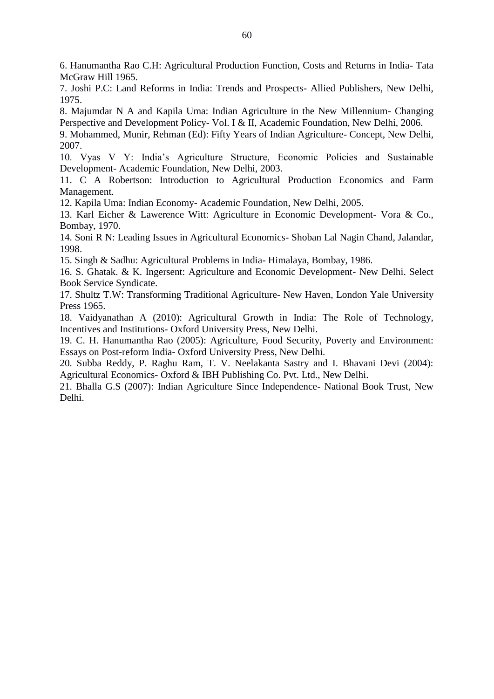6. Hanumantha Rao C.H: Agricultural Production Function, Costs and Returns in India-Tata McGraw Hill 1965.

7. Joshi P.C: Land Reforms in India: Trends and Prospects- Allied Publishers, New Delhi, 1975.

8. Majumdar N A and Kapila Uma: Indian Agriculture in the New Millennium- Changing Perspective and Development Policy- Vol. I & II, Academic Foundation, New Delhi, 2006.

9. Mohammed, Munir, Rehman (Ed): Fifty Years of Indian Agriculture- Concept, New Delhi, 2007.

10. Vyas V Y: India's Agriculture Structure, Economic Policies and Sustainable Development-Academic Foundation, New Delhi, 2003.

11. C A Robertson: Introduction to Agricultural Production Economics and Farm Management.

12. Kapila Uma: Indian Economy- Academic Foundation, New Delhi, 2005.

13. Karl Eicher & Lawerence Witt: Agriculture in Economic Development- Vora & Co., Bombay, 1970.

14. Soni R N: Leading Issues in Agricultural Economics- Shoban Lal Nagin Chand, Jalandar, 1998.

15. Singh & Sadhu: Agricultural Problems in India-Himalaya, Bombay, 1986.

16. S. Ghatak, & K. Ingersent: Agriculture and Economic Development- New Delhi, Select **Book Service Syndicate.** 

17. Shultz T.W: Transforming Traditional Agriculture- New Haven, London Yale University Press 1965.

18. Vaidyanathan A (2010): Agricultural Growth in India: The Role of Technology, Incentives and Institutions- Oxford University Press, New Delhi.

19. C. H. Hanumantha Rao (2005): Agriculture, Food Security, Poverty and Environment: Essays on Post-reform India-Oxford University Press, New Delhi.

20. Subba Reddy, P. Raghu Ram, T. V. Neelakanta Sastry and I. Bhavani Devi (2004): Agricultural Economics-Oxford & IBH Publishing Co. Pvt. Ltd., New Delhi.

21. Bhalla G.S (2007): Indian Agriculture Since Independence- National Book Trust, New Delhi.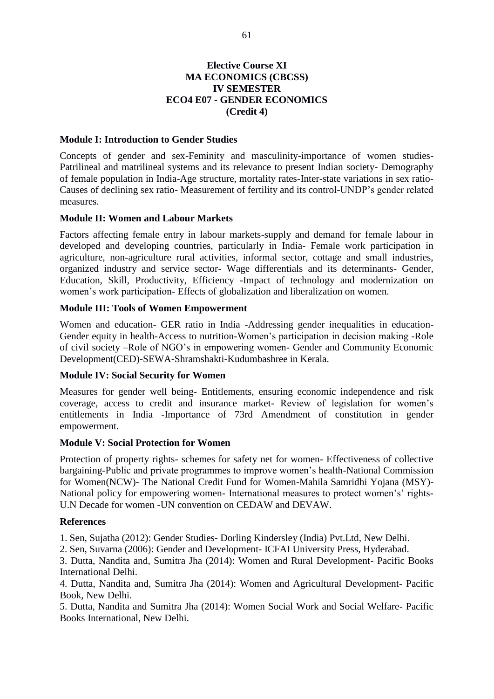# **Elective Course XI MA ECONOMICS (CBCSS) IV SEMESTER ECO4 E07 - GENDER ECONOMICS** (Credit 4)

## **Module I: Introduction to Gender Studies**

Concepts of gender and sex-Feminity and masculinity-importance of women studies-Patrilineal and matrilineal systems and its relevance to present Indian society- Demography of female population in India-Age structure, mortality rates-Inter-state variations in sex ratio-Causes of declining sex ratio- Measurement of fertility and its control-UNDP's gender related measures.

## **Module II: Women and Labour Markets**

Factors affecting female entry in labour markets-supply and demand for female labour in developed and developing countries, particularly in India- Female work participation in agriculture, non-agriculture rural activities, informal sector, cottage and small industries, organized industry and service sector- Wage differentials and its determinants- Gender, Education, Skill, Productivity, Efficiency -Impact of technology and modernization on women's work participation- Effects of globalization and liberalization on women.

## **Module III: Tools of Women Empowerment**

Women and education- GER ratio in India -Addressing gender inequalities in education-Gender equity in health-Access to nutrition-Women's participation in decision making -Role of civil society –Role of NGO's in empowering women- Gender and Community Economic Development(CED)-SEWA-Shramshakti-Kudumbashree in Kerala.

## **Module IV: Social Security for Women**

Measures for gender well being- Entitlements, ensuring economic independence and risk coverage, access to credit and insurance market- Review of legislation for women's entitlements in India -Importance of 73rd Amendment of constitution in gender empowerment.

#### **Module V: Social Protection for Women**

Protection of property rights- schemes for safety net for women- Effectiveness of collective bargaining-Public and private programmes to improve women's health-National Commission for Women(NCW)- The National Credit Fund for Women-Mahila Samridhi Yojana (MSY)-National policy for empowering women- International measures to protect women's' rights-U.N Decade for women -UN convention on CEDAW and DEVAW.

#### **References**

1. Sen, Sujatha (2012): Gender Studies- Dorling Kindersley (India) Pvt. Ltd, New Delhi.

2. Sen, Suvarna (2006): Gender and Development- ICFAI University Press, Hyderabad.

3. Dutta, Nandita and, Sumitra Jha (2014): Women and Rural Development- Pacific Books International Delhi.

4. Dutta, Nandita and, Sumitra Jha (2014): Women and Agricultural Development- Pacific Book. New Delhi.

5. Dutta, Nandita and Sumitra Jha (2014): Women Social Work and Social Welfare- Pacific Books International, New Delhi.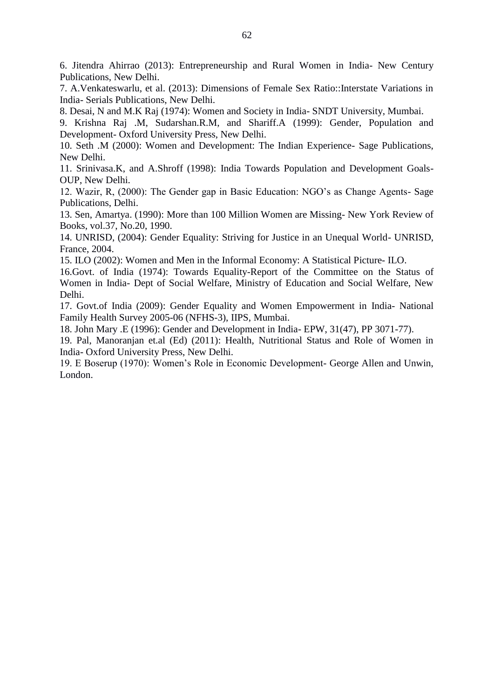6. Jitendra Ahirrao (2013): Entrepreneurship and Rural Women in India- New Century Publications. New Delhi.

7. A. Venkateswarlu, et al. (2013): Dimensions of Female Sex Ratio:: Interstate Variations in India- Serials Publications, New Delhi.

8. Desai, N and M.K Raj (1974): Women and Society in India-SNDT University, Mumbai.

9. Krishna Raj .M, Sudarshan.R.M, and Shariff.A (1999): Gender, Population and Development- Oxford University Press, New Delhi.

10. Seth .M (2000): Women and Development: The Indian Experience- Sage Publications, New Delhi.

11. Srinivasa, K, and A.Shroff (1998): India Towards Population and Development Goals-OUP, New Delhi.

12. Wazir, R, (2000): The Gender gap in Basic Education: NGO's as Change Agents- Sage Publications, Delhi.

13. Sen, Amartya. (1990): More than 100 Million Women are Missing- New York Review of Books, vol.37, No.20, 1990.

14. UNRISD, (2004): Gender Equality: Striving for Justice in an Unequal World- UNRISD, France, 2004.

15. ILO (2002): Women and Men in the Informal Economy: A Statistical Picture- ILO.

16. Govt. of India (1974): Towards Equality-Report of the Committee on the Status of Women in India- Dept of Social Welfare, Ministry of Education and Social Welfare, New Delhi.

17. Govt.of India (2009): Gender Equality and Women Empowerment in India- National Family Health Survey 2005-06 (NFHS-3), IIPS, Mumbai.

18. John Mary .E (1996): Gender and Development in India-EPW, 31(47), PP 3071-77).

19. Pal, Manoranjan et.al (Ed) (2011): Health, Nutritional Status and Role of Women in India-Oxford University Press, New Delhi.

19. E Boserup (1970): Women's Role in Economic Development- George Allen and Unwin, London.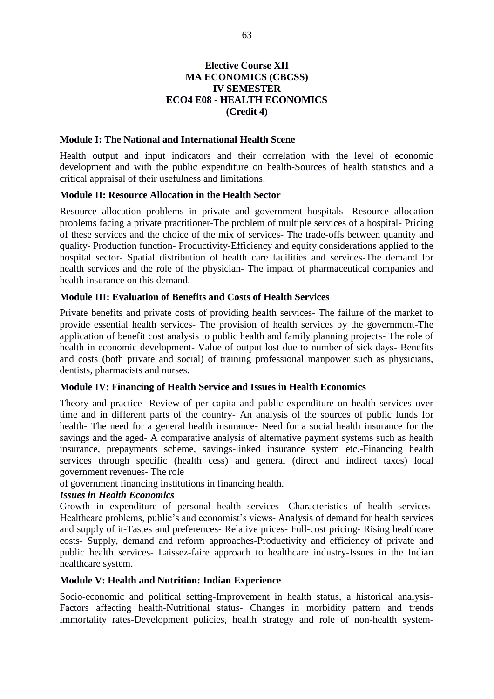# **Elective Course XII MA ECONOMICS (CBCSS) IV SEMESTER ECO4 E08 - HEALTH ECONOMICS** (Credit 4)

#### **Module I: The National and International Health Scene**

Health output and input indicators and their correlation with the level of economic development and with the public expenditure on health-Sources of health statistics and a critical appraisal of their usefulness and limitations.

#### **Module II: Resource Allocation in the Health Sector**

Resource allocation problems in private and government hospitals- Resource allocation problems facing a private practitioner-The problem of multiple services of a hospital-Pricing of these services and the choice of the mix of services- The trade-offs between quantity and quality- Production function- Productivity-Efficiency and equity considerations applied to the hospital sector- Spatial distribution of health care facilities and services-The demand for health services and the role of the physician- The impact of pharmaceutical companies and health insurance on this demand.

# **Module III: Evaluation of Benefits and Costs of Health Services**

Private benefits and private costs of providing health services- The failure of the market to provide essential health services- The provision of health services by the government-The application of benefit cost analysis to public health and family planning projects- The role of health in economic development- Value of output lost due to number of sick days- Benefits and costs (both private and social) of training professional manpower such as physicians, dentists, pharmacists and nurses.

## **Module IV: Financing of Health Service and Issues in Health Economics**

Theory and practice- Review of per capita and public expenditure on health services over time and in different parts of the country- An analysis of the sources of public funds for health- The need for a general health insurance- Need for a social health insurance for the savings and the aged- A comparative analysis of alternative payment systems such as health insurance, prepayments scheme, savings-linked insurance system etc.-Financing health services through specific (health cess) and general (direct and indirect taxes) local government revenues- The role

of government financing institutions in financing health.

#### **Issues in Health Economics**

Growth in expenditure of personal health services- Characteristics of health services-Healthcare problems, public's and economist's views-Analysis of demand for health services and supply of it-Tastes and preferences- Relative prices- Full-cost pricing- Rising healthcare costs- Supply, demand and reform approaches-Productivity and efficiency of private and public health services- Laissez-faire approach to healthcare industry-Issues in the Indian healthcare system.

#### **Module V: Health and Nutrition: Indian Experience**

Socio-economic and political setting-Improvement in health status, a historical analysis-Factors affecting health-Nutritional status- Changes in morbidity pattern and trends immortality rates-Development policies, health strategy and role of non-health system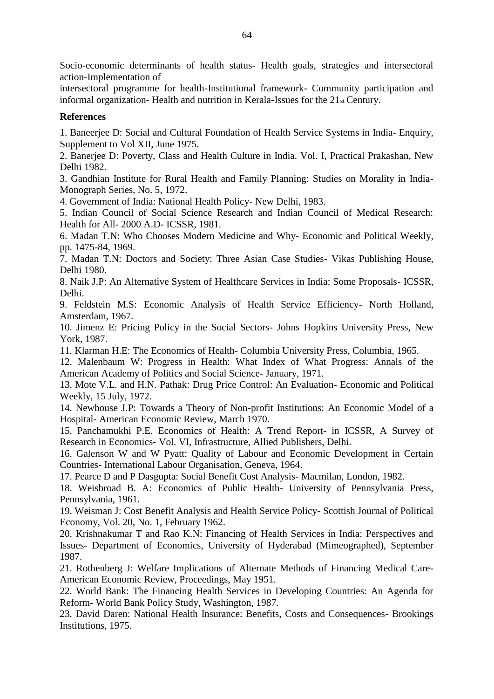Socio-economic determinants of health status- Health goals, strategies and intersectoral action-Implementation of

intersectoral programme for health-Institutional framework- Community participation and informal organization-Health and nutrition in Kerala-Issues for the 21st Century.

# **References**

1. Baneerjee D: Social and Cultural Foundation of Health Service Systems in India-Enquiry, Supplement to Vol XII, June 1975.

2. Banerjee D: Poverty, Class and Health Culture in India. Vol. I, Practical Prakashan, New Delhi 1982.

3. Gandhian Institute for Rural Health and Family Planning: Studies on Morality in India-Monograph Series, No. 5, 1972.

4. Government of India: National Health Policy- New Delhi, 1983.

5. Indian Council of Social Science Research and Indian Council of Medical Research: Health for All-2000 A.D- ICSSR, 1981.

6. Madan T.N: Who Chooses Modern Medicine and Why- Economic and Political Weekly, pp. 1475-84, 1969.

7. Madan T.N: Doctors and Society: Three Asian Case Studies- Vikas Publishing House, Delhi 1980.

8. Naik J.P: An Alternative System of Healthcare Services in India: Some Proposals- ICSSR, Delhi.

9. Feldstein M.S: Economic Analysis of Health Service Efficiency- North Holland, Amsterdam, 1967.

10. Jimenz E: Pricing Policy in the Social Sectors- Johns Hopkins University Press, New York, 1987.

11. Klarman H.E: The Economics of Health- Columbia University Press, Columbia, 1965.

12. Malenbaum W: Progress in Health: What Index of What Progress: Annals of the American Academy of Politics and Social Science- January, 1971.

13. Mote V.L. and H.N. Pathak: Drug Price Control: An Evaluation- Economic and Political Weekly, 15 July, 1972.

14. Newhouse J.P: Towards a Theory of Non-profit Institutions: An Economic Model of a Hospital- American Economic Review, March 1970.

15. Panchamukhi P.E. Economics of Health: A Trend Report- in ICSSR, A Survey of Research in Economics- Vol. VI, Infrastructure, Allied Publishers, Delhi.

16. Galenson W and W Pyatt: Quality of Labour and Economic Development in Certain Countries- International Labour Organisation, Geneva, 1964.

17. Pearce D and P Dasgupta: Social Benefit Cost Analysis- Macmilan, London, 1982.

18. Weisbroad B. A: Economics of Public Health- University of Pennsylvania Press, Pennsylvania, 1961.

19. Weisman J: Cost Benefit Analysis and Health Service Policy- Scottish Journal of Political Economy, Vol. 20, No. 1, February 1962.

20. Krishnakumar T and Rao K.N: Financing of Health Services in India: Perspectives and Issues- Department of Economics, University of Hyderabad (Mimeographed), September 1987.

21. Rothenberg J: Welfare Implications of Alternate Methods of Financing Medical Care-American Economic Review, Proceedings, May 1951.

22. World Bank: The Financing Health Services in Developing Countries: An Agenda for Reform- World Bank Policy Study, Washington, 1987.

23. David Daren: National Health Insurance: Benefits, Costs and Consequences- Brookings Institutions, 1975.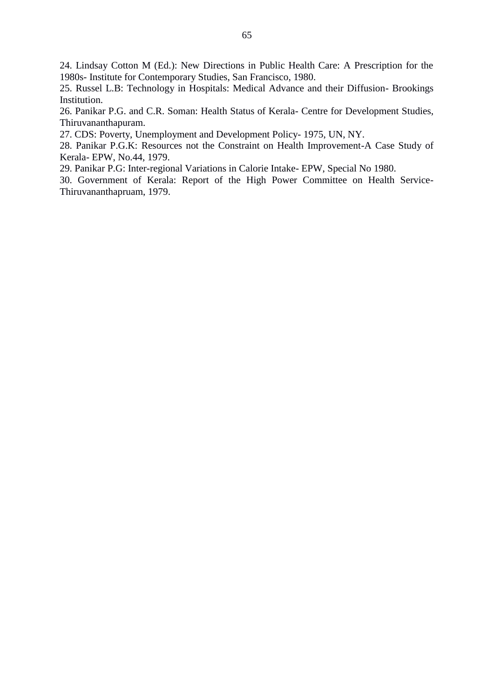24. Lindsay Cotton M (Ed.): New Directions in Public Health Care: A Prescription for the 1980s- Institute for Contemporary Studies, San Francisco, 1980.

25. Russel L.B: Technology in Hospitals: Medical Advance and their Diffusion- Brookings Institution.

26. Panikar P.G. and C.R. Soman: Health Status of Kerala- Centre for Development Studies, Thiruvananthapuram.

27. CDS: Poverty, Unemployment and Development Policy- 1975, UN, NY.

28. Panikar P.G.K: Resources not the Constraint on Health Improvement-A Case Study of Kerala- EPW, No.44, 1979.

29. Panikar P.G: Inter-regional Variations in Calorie Intake- EPW, Special No 1980.

30. Government of Kerala: Report of the High Power Committee on Health Service-Thiruvananthapruam, 1979.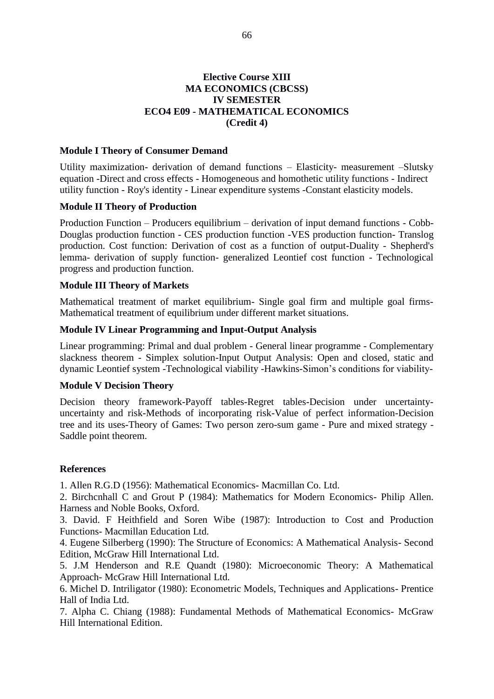## **Elective Course XIII MA ECONOMICS (CBCSS) IV SEMESTER ECO4 E09 - MATHEMATICAL ECONOMICS** (Credit 4)

## **Module I Theory of Consumer Demand**

Utility maximization- derivation of demand functions – Elasticity- measurement –Slutsky equation -Direct and cross effects - Homogeneous and homothetic utility functions - Indirect utility function - Roy's identity - Linear expenditure systems - Constant elasticity models.

## **Module II Theory of Production**

Production Function - Producers equilibrium - derivation of input demand functions - Cobb-Douglas production function - CES production function -VES production function-Translog production. Cost function: Derivation of cost as a function of output-Duality - Shepherd's lemma- derivation of supply function- generalized Leontief cost function - Technological progress and production function.

## **Module III Theory of Markets**

Mathematical treatment of market equilibrium- Single goal firm and multiple goal firms-Mathematical treatment of equilibrium under different market situations.

## **Module IV Linear Programming and Input-Output Analysis**

Linear programming: Primal and dual problem - General linear programme - Complementary slackness theorem - Simplex solution-Input Output Analysis: Open and closed, static and dynamic Leontief system -Technological viability -Hawkins-Simon's conditions for viability-

## **Module V Decision Theory**

Decision theory framework-Payoff tables-Regret tables-Decision under uncertaintyuncertainty and risk-Methods of incorporating risk-Value of perfect information-Decision tree and its uses-Theory of Games: Two person zero-sum game - Pure and mixed strategy -Saddle point theorem.

## **References**

1. Allen R.G.D (1956): Mathematical Economics- Macmillan Co. Ltd.

2. Birchcnhall C and Grout P (1984): Mathematics for Modern Economics- Philip Allen. Harness and Noble Books, Oxford.

3. David. F Heithfield and Soren Wibe (1987): Introduction to Cost and Production Functions- Macmillan Education Ltd.

4. Eugene Silberberg (1990): The Structure of Economics: A Mathematical Analysis-Second Edition, McGraw Hill International Ltd.

5. J.M Henderson and R.E Quandt (1980): Microeconomic Theory: A Mathematical Approach- McGraw Hill International Ltd.

6. Michel D. Intriligator (1980): Econometric Models, Techniques and Applications- Prentice Hall of India Ltd.

7. Alpha C. Chiang (1988): Fundamental Methods of Mathematical Economics- McGraw Hill International Edition.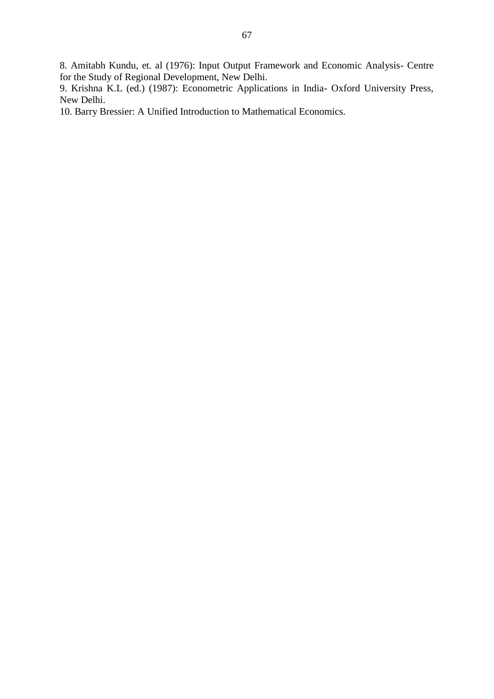8. Amitabh Kundu, et. al (1976): Input Output Framework and Economic Analysis- Centre for the Study of Regional Development, New Delhi.

9. Krishna K.L (ed.) (1987): Econometric Applications in India- Oxford University Press, New Delhi.

10. Barry Bressier: A Unified Introduction to Mathematical Economics.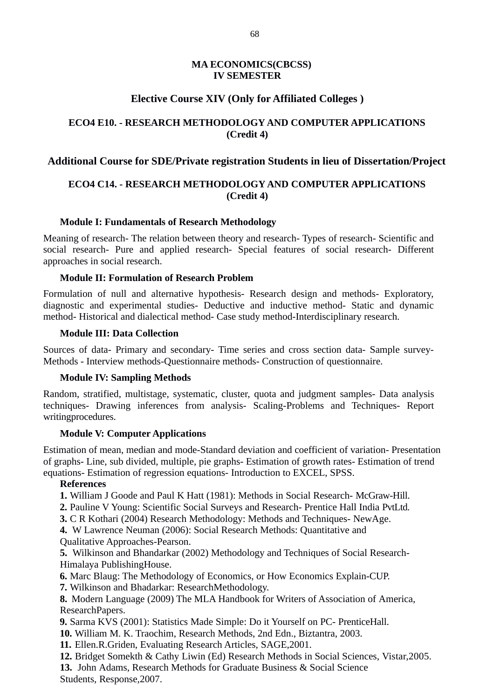## **MA ECONOMICS(CBCSS) IV SEMESTER**

# **Elective Course XIV (Only for Affiliated Colleges )**

# **ECO4 E10. - RESEARCH METHODOLOGY AND COMPUTER APPLICATIONS (Credit 4)**

## **Additional Course for SDE/Private registration Students in lieu of Dissertation/Project**

# **ECO4 C14. - RESEARCH METHODOLOGY AND COMPUTER APPLICATIONS (Credit 4)**

## **Module I: Fundamentals of Research Methodology**

Meaning of research- The relation between theory and research- Types of research- Scientific and social research- Pure and applied research- Special features of social research- Different approaches in social research.

## **Module II: Formulation of Research Problem**

Formulation of null and alternative hypothesis- Research design and methods- Exploratory, diagnostic and experimental studies- Deductive and inductive method- Static and dynamic method- Historical and dialectical method- Case study method-Interdisciplinary research.

## **Module III: Data Collection**

Sources of data- Primary and secondary- Time series and cross section data- Sample survey-Methods - Interview methods-Questionnaire methods- Construction of questionnaire.

## **Module IV: Sampling Methods**

Random, stratified, multistage, systematic, cluster, quota and judgment samples- Data analysis techniques- Drawing inferences from analysis- Scaling-Problems and Techniques- Report writingprocedures.

## **Module V: Computer Applications**

Estimation of mean, median and mode-Standard deviation and coefficient of variation- Presentation of graphs- Line, sub divided, multiple, pie graphs- Estimation of growth rates- Estimation of trend equations- Estimation of regression equations- Introduction to EXCEL, SPSS.

## **References**

- **1.** William J Goode and Paul K Hatt (1981): Methods in Social Research- McGraw-Hill.
- **2.** Pauline V Young: Scientific Social Surveys and Research- Prentice Hall India PvtLtd.
- **3.** C R Kothari (2004) Research Methodology: Methods and Techniques- NewAge.

**4.** W Lawrence Neuman (2006): Social Research Methods: Quantitative and Qualitative Approaches-Pearson.

**5.** Wilkinson and Bhandarkar (2002) Methodology and Techniques of Social Research-Himalaya PublishingHouse.

**6.** Marc Blaug: The Methodology of Economics, or How Economics Explain-CUP.

**7.** Wilkinson and Bhadarkar: ResearchMethodology.

**8.** Modern Language (2009) The MLA Handbook for Writers of Association of America, ResearchPapers.

**9.** Sarma KVS (2001): Statistics Made Simple: Do it Yourself on PC- PrenticeHall.

**10.** William M. K. Traochim, Research Methods, 2nd Edn., Biztantra, 2003.

**11.** Ellen.R.Griden, Evaluating Research Articles, SAGE,2001.

**12.** Bridget Somekth & Cathy Liwin (Ed) Research Methods in Social Sciences, Vistar,2005. **13.** John Adams, Research Methods for Graduate Business & Social Science Students, Response,2007.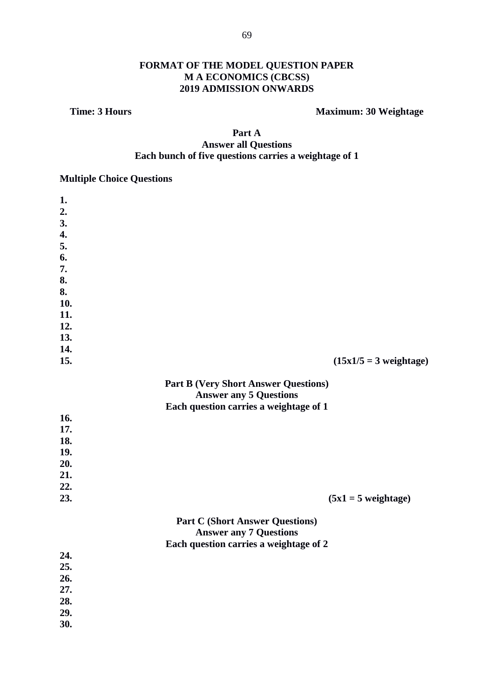# FORMAT OF THE MODEL QUESTION PAPER M A ECONOMICS (CBCSS) 2019 ADMISSION ONWARDS

## **Time: 3 Hours**

# **Maximum: 30 Weightage**

# Part A **Answer all Questions** Each bunch of five questions carries a weightage of 1

# **Multiple Choice Questions**

| 1.  |                                             |  |
|-----|---------------------------------------------|--|
| 2.  |                                             |  |
| 3.  |                                             |  |
| 4.  |                                             |  |
| 5.  |                                             |  |
| 6.  |                                             |  |
| 7.  |                                             |  |
| 8.  |                                             |  |
| 8.  |                                             |  |
| 10. |                                             |  |
| 11. |                                             |  |
| 12. |                                             |  |
| 13. |                                             |  |
| 14. |                                             |  |
| 15. | $(15x1/5 = 3$ weightage)                    |  |
|     | <b>Part B (Very Short Answer Questions)</b> |  |
|     | <b>Answer any 5 Questions</b>               |  |
|     | Each question carries a weightage of 1      |  |
| 16. |                                             |  |
| 17. |                                             |  |
| 18. |                                             |  |
| 19. |                                             |  |
| 20. |                                             |  |
| 21. |                                             |  |
| 22. |                                             |  |
| 23. | $(5x1 = 5$ weightage)                       |  |
|     | <b>Part C (Short Answer Questions)</b>      |  |
|     | <b>Answer any 7 Questions</b>               |  |
|     | Each question carries a weightage of 2      |  |
| 24. |                                             |  |
| 25. |                                             |  |
| 26. |                                             |  |
| 27. |                                             |  |
| 28. |                                             |  |
| 29. |                                             |  |
| 30. |                                             |  |
|     |                                             |  |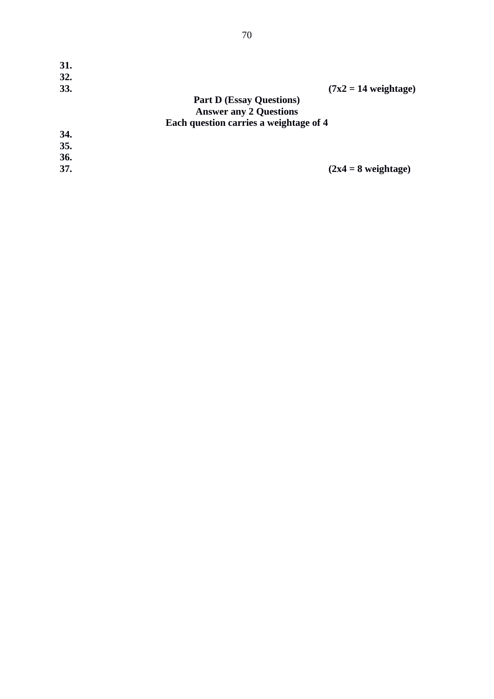| 31.<br>32. |                                        |
|------------|----------------------------------------|
| 33.        | $(7x2 = 14$ weightage)                 |
|            | <b>Part D (Essay Questions)</b>        |
|            | <b>Answer any 2 Questions</b>          |
|            | Each question carries a weightage of 4 |
| 34.        |                                        |
| 35.        |                                        |
| 36.        |                                        |
| 37.        | $(2x4 = 8$ weightage)                  |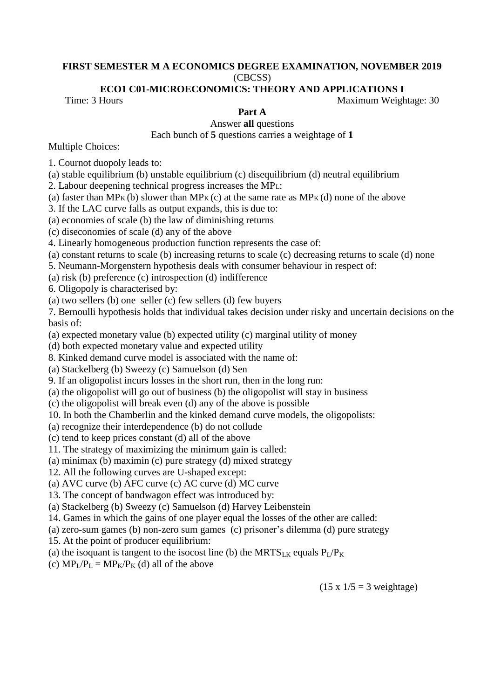#### FIRST SEMESTER M A ECONOMICS DEGREE EXAMINATION, NOVEMBER 2019  $(CBCSS)$

#### ECO1 C01-MICROECONOMICS: THEORY AND APPLICATIONS I

Time: 3 Hours

Part A

Maximum Weightage: 30

Answer all questions Each bunch of 5 questions carries a weightage of 1

**Multiple Choices:** 

1. Cournot duopoly leads to:

(a) stable equilibrium (b) unstable equilibrium (c) disequilibrium (d) neutral equilibrium

2. Labour deepening technical progress increases the MP<sub>L</sub>:

(a) faster than  $MP_K(b)$  slower than  $MP_K(c)$  at the same rate as  $MP_K(d)$  none of the above

3. If the LAC curve falls as output expands, this is due to:

(a) economies of scale (b) the law of diminishing returns

(c) diseconomies of scale (d) any of the above

4. Linearly homogeneous production function represents the case of:

(a) constant returns to scale (b) increasing returns to scale (c) decreasing returns to scale (d) none

5. Neumann-Morgenstern hypothesis deals with consumer behaviour in respect of:

(a) risk (b) preference (c) introspection (d) indifference

6. Oligopoly is characterised by:

(a) two sellers (b) one seller (c) few sellers (d) few buyers

7. Bernoulli hypothesis holds that individual takes decision under risky and uncertain decisions on the basis of:

(a) expected monetary value (b) expected utility (c) marginal utility of money

(d) both expected monetary value and expected utility

8. Kinked demand curve model is associated with the name of:

(a) Stackelberg (b) Sweezy (c) Samuelson (d) Sen

9. If an oligopolist incurs losses in the short run, then in the long run:

(a) the oligopolist will go out of business (b) the oligopolist will stay in business

(c) the oligopolist will break even (d) any of the above is possible

10. In both the Chamberlin and the kinked demand curve models, the oligopolists:

- (a) recognize their interdependence (b) do not collude
- (c) tend to keep prices constant (d) all of the above
- 11. The strategy of maximizing the minimum gain is called:
- (a) minimax (b) maximin (c) pure strategy (d) mixed strategy
- 12. All the following curves are U-shaped except:

(a) AVC curve (b) AFC curve (c) AC curve (d) MC curve

13. The concept of bandwagon effect was introduced by:

(a) Stackelberg (b) Sweezy (c) Samuelson (d) Harvey Leibenstein

14. Games in which the gains of one player equal the losses of the other are called:

(a) zero-sum games (b) non-zero sum games (c) prisoner's dilemma (d) pure strategy

- 15. At the point of producer equilibrium:
- (a) the isoquant is tangent to the isocost line (b) the MRTS<sub>LK</sub> equals  $P_1/P_K$
- (c)  $MP_{L}/P_{L} = MP_{K}/P_{K}$  (d) all of the above

 $(15 \times 1/5 = 3$  weightage)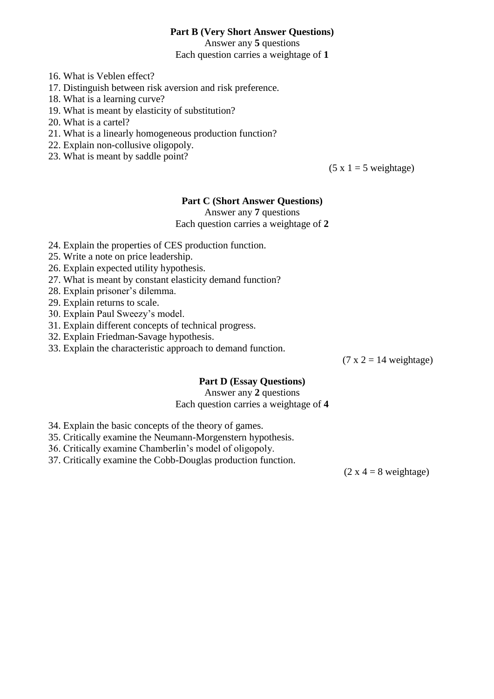## **Part B (Very Short Answer Questions)**

Answer any 5 questions Each question carries a weightage of 1

- 16. What is Veblen effect?
- 17. Distinguish between risk aversion and risk preference.
- 18. What is a learning curve?
- 19. What is meant by elasticity of substitution?
- 20. What is a cartel?
- 21. What is a linearly homogeneous production function?
- 22. Explain non-collusive oligopoly.
- 23. What is meant by saddle point?

 $(5 x 1 = 5 weightage)$ 

#### **Part C (Short Answer Questions)**

Answer any 7 questions

Each question carries a weightage of 2

- 24. Explain the properties of CES production function.
- 25. Write a note on price leadership.
- 26. Explain expected utility hypothesis.
- 27. What is meant by constant elasticity demand function?
- 28. Explain prisoner's dilemma.
- 29. Explain returns to scale.
- 30. Explain Paul Sweezy's model.
- 31. Explain different concepts of technical progress.
- 32. Explain Friedman-Savage hypothesis.
- 33. Explain the characteristic approach to demand function.

 $(7 x 2 = 14 weightage)$ 

### **Part D (Essay Ouestions)**

Answer any 2 questions Each question carries a weightage of 4

- 34. Explain the basic concepts of the theory of games.
- 35. Critically examine the Neumann-Morgenstern hypothesis.
- 36. Critically examine Chamberlin's model of oligopoly.
- 37. Critically examine the Cobb-Douglas production function.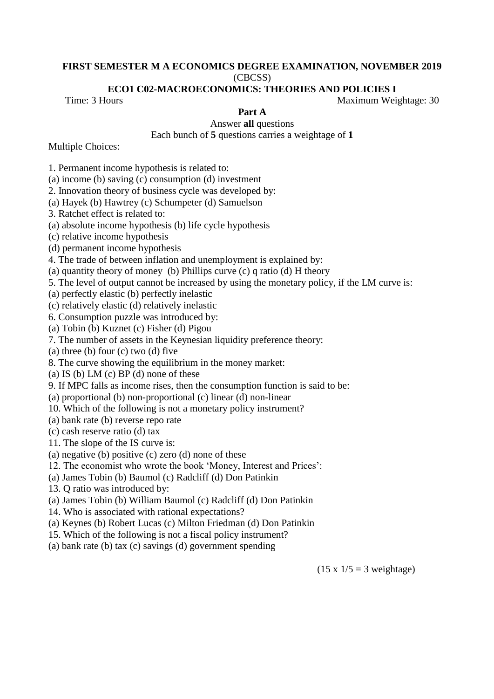#### FIRST SEMESTER M A ECONOMICS DEGREE EXAMINATION, NOVEMBER 2019  $(CBCSS)$

#### ECO1 C02-MACROECONOMICS: THEORIES AND POLICIES I

Time: 3 Hours

Part A

Maximum Weightage: 30

Answer all questions

Each bunch of 5 questions carries a weightage of 1

**Multiple Choices:** 

1. Permanent income hypothesis is related to:

(a) income (b) saving  $(c)$  consumption  $(d)$  investment

2. Innovation theory of business cycle was developed by:

(a) Hayek (b) Hawtrey (c) Schumpeter (d) Samuelson

3. Ratchet effect is related to:

(a) absolute income hypothesis (b) life cycle hypothesis

(c) relative income hypothesis

(d) permanent income hypothesis

4. The trade of between inflation and unemployment is explained by:

(a) quantity theory of money (b) Phillips curve  $(c)$  q ratio  $(d)$  H theory

5. The level of output cannot be increased by using the monetary policy, if the LM curve is:

(a) perfectly elastic (b) perfectly inelastic

(c) relatively elastic (d) relatively inelastic

6. Consumption puzzle was introduced by:

(a) Tobin (b) Kuznet (c) Fisher (d) Pigou

7. The number of assets in the Keynesian liquidity preference theory:

(a) three (b) four (c) two (d) five

8. The curve showing the equilibrium in the money market:

(a) IS (b) LM (c) BP (d) none of these

9. If MPC falls as income rises, then the consumption function is said to be:

(a) proportional (b) non-proportional (c) linear (d) non-linear

10. Which of the following is not a monetary policy instrument?

(a) bank rate (b) reverse repo rate

(c) cash reserve ratio (d) tax

11. The slope of the IS curve is:

(a) negative (b) positive (c) zero (d) none of these

12. The economist who wrote the book 'Money, Interest and Prices':

(a) James Tobin (b) Baumol (c) Radcliff (d) Don Patinkin

13. O ratio was introduced by:

(a) James Tobin (b) William Baumol (c) Radcliff (d) Don Patinkin

14. Who is associated with rational expectations?

(a) Keynes (b) Robert Lucas (c) Milton Friedman (d) Don Patinkin

15. Which of the following is not a fiscal policy instrument?

(a) bank rate (b) tax (c) savings (d) government spending

 $(15 \times 1/5 = 3$  weightage)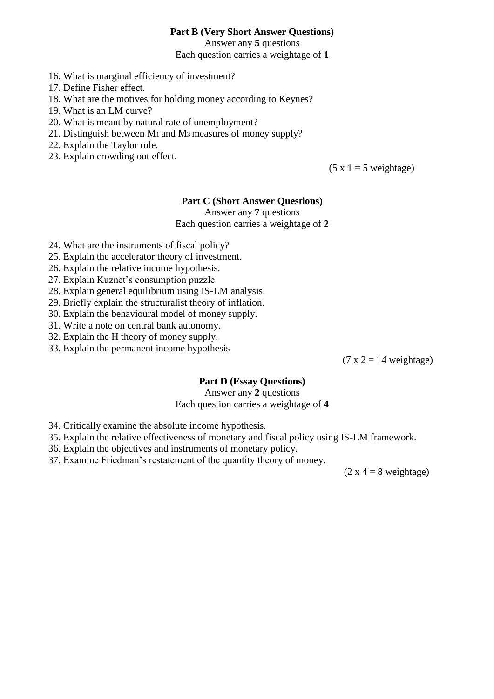## **Part B (Very Short Answer Questions)**

Answer any 5 questions Each question carries a weightage of 1

- 16. What is marginal efficiency of investment?
- 17. Define Fisher effect.
- 18. What are the motives for holding money according to Keynes?
- 19. What is an LM curve?
- 20. What is meant by natural rate of unemployment?
- 21. Distinguish between M<sub>1</sub> and M<sub>3</sub> measures of money supply?
- 22. Explain the Taylor rule.
- 23. Explain crowding out effect.

 $(5 x 1 = 5$  weightage)

#### **Part C (Short Answer Questions)**

Answer any 7 questions

Each question carries a weightage of 2

- 24. What are the instruments of fiscal policy?
- 25. Explain the accelerator theory of investment.
- 26. Explain the relative income hypothesis.
- 27. Explain Kuznet's consumption puzzle
- 28. Explain general equilibrium using IS-LM analysis.
- 29. Briefly explain the structuralist theory of inflation.
- 30. Explain the behavioural model of money supply.
- 31. Write a note on central bank autonomy.
- 32. Explain the H theory of money supply.
- 33. Explain the permanent income hypothesis

 $(7 x 2 = 14$  weightage)

### **Part D (Essay Ouestions)**

Answer any 2 questions

Each question carries a weightage of 4

- 34. Critically examine the absolute income hypothesis.
- 35. Explain the relative effectiveness of monetary and fiscal policy using IS-LM framework.
- 36. Explain the objectives and instruments of monetary policy.
- 37. Examine Friedman's restatement of the quantity theory of money.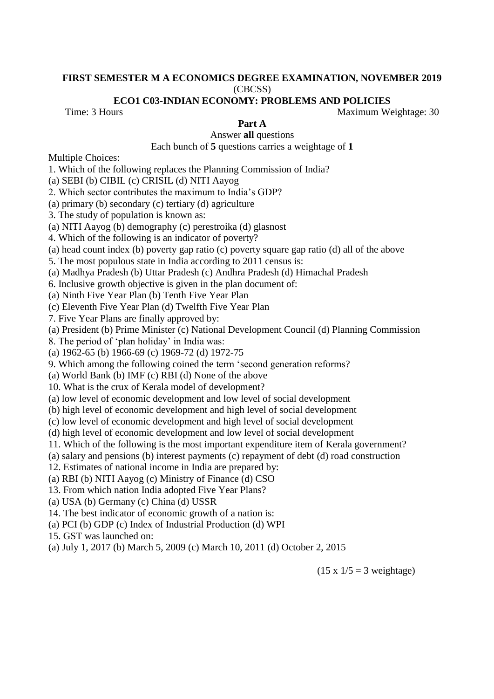#### FIRST SEMESTER M A ECONOMICS DEGREE EXAMINATION, NOVEMBER 2019 (CBCSS)

#### ECO1 C03-INDIAN ECONOMY: PROBLEMS AND POLICIES

Time: 3 Hours

Part A

Answer all questions

Each bunch of 5 questions carries a weightage of 1

**Multiple Choices:** 

1. Which of the following replaces the Planning Commission of India?

(a) SEBI (b) CIBIL (c) CRISIL (d) NITI Aayog

2. Which sector contributes the maximum to India's GDP?

(a) primary (b) secondary (c) tertiary (d) agriculture

3. The study of population is known as:

(a) NITI Aayog (b) demography (c) perestroika (d) glasnost

4. Which of the following is an indicator of poverty?

(a) head count index (b) poverty gap ratio (c) poverty square gap ratio (d) all of the above

5. The most populous state in India according to 2011 census is:

(a) Madhya Pradesh (b) Uttar Pradesh (c) Andhra Pradesh (d) Himachal Pradesh

6. Inclusive growth objective is given in the plan document of:

(a) Ninth Five Year Plan (b) Tenth Five Year Plan

(c) Eleventh Five Year Plan (d) Twelfth Five Year Plan

7. Five Year Plans are finally approved by:

(a) President (b) Prime Minister (c) National Development Council (d) Planning Commission

8. The period of 'plan holiday' in India was:

(a) 1962-65 (b) 1966-69 (c) 1969-72 (d) 1972-75

9. Which among the following coined the term 'second generation reforms?

(a) World Bank (b) IMF (c) RBI (d) None of the above

10. What is the crux of Kerala model of development?

(a) low level of economic development and low level of social development

(b) high level of economic development and high level of social development

(c) low level of economic development and high level of social development

(d) high level of economic development and low level of social development

11. Which of the following is the most important expenditure item of Kerala government?

(a) salary and pensions (b) interest payments (c) repayment of debt (d) road construction

12. Estimates of national income in India are prepared by:

(a) RBI (b) NITI Aayog (c) Ministry of Finance (d) CSO

13. From which nation India adopted Five Year Plans?

(a) USA (b) Germany (c) China (d) USSR

14. The best indicator of economic growth of a nation is:

(a) PCI (b) GDP (c) Index of Industrial Production (d) WPI

15. GST was launched on:

(a) July 1, 2017 (b) March 5, 2009 (c) March 10, 2011 (d) October 2, 2015

 $(15 \times 1/5 = 3$  weightage)

Maximum Weightage: 30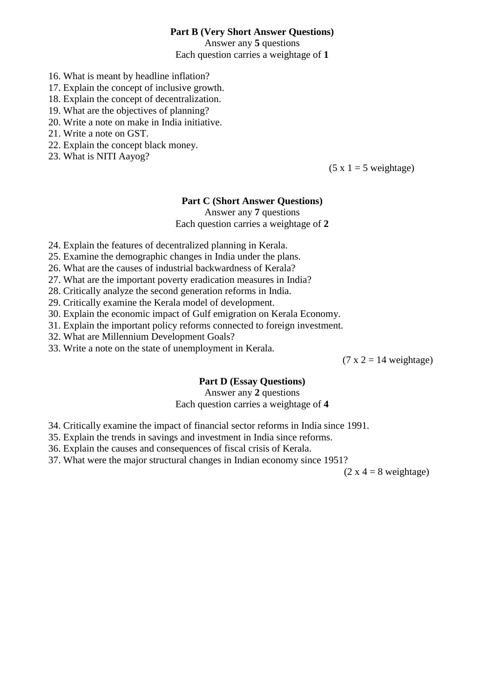## **Part B (Very Short Answer Questions)**

Answer any 5 questions Each question carries a weightage of 1

- 16. What is meant by headline inflation?
- 17. Explain the concept of inclusive growth.
- 18. Explain the concept of decentralization.
- 19. What are the objectives of planning?
- 20. Write a note on make in India initiative.
- 21. Write a note on GST.
- 22. Explain the concept black money.
- 23. What is NITI Aayog?

 $(5 x 1 = 5 weightage)$ 

#### **Part C (Short Answer Questions)**

Answer any 7 questions

Each question carries a weightage of 2

- 24. Explain the features of decentralized planning in Kerala.
- 25. Examine the demographic changes in India under the plans.
- 26. What are the causes of industrial backwardness of Kerala?
- 27. What are the important poverty eradication measures in India?
- 28. Critically analyze the second generation reforms in India.
- 29. Critically examine the Kerala model of development.
- 30. Explain the economic impact of Gulf emigration on Kerala Economy.
- 31. Explain the important policy reforms connected to foreign investment.
- 32. What are Millennium Development Goals?
- 33. Write a note on the state of unemployment in Kerala.

 $(7 x 2 = 14$  weightage)

### **Part D (Essay Ouestions)**

#### Answer any 2 questions Each question carries a weightage of 4

- 34. Critically examine the impact of financial sector reforms in India since 1991.
- 35. Explain the trends in savings and investment in India since reforms.
- 36. Explain the causes and consequences of fiscal crisis of Kerala.
- 37. What were the major structural changes in Indian economy since 1951?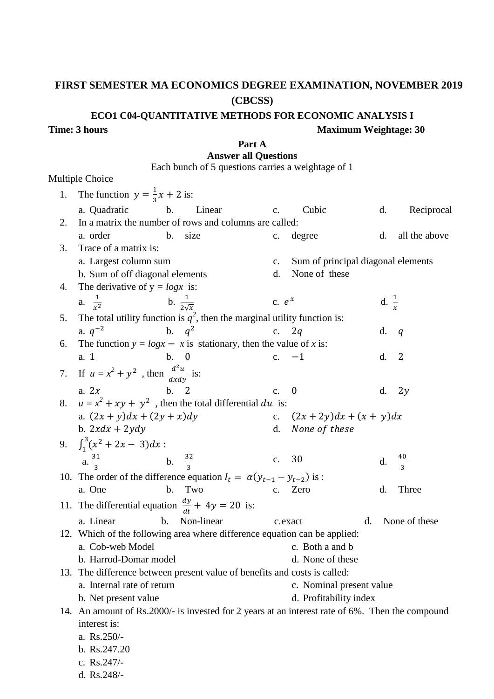# FIRST SEMESTER MA ECONOMICS DEGREE EXAMINATION, NOVEMBER 2019 (CBCSS)

## ECO1 C04-QUANTITATIVE METHODS FOR ECONOMIC ANALYSIS I

## **Time: 3 hours**

## **Maximum Weightage: 30**

#### Part A **Answer all Questions**

Each bunch of 5 questions carries a weightage of 1

## Multiple Choice

| 1. | The function $y = \frac{1}{3}x + 2$ is:                                                         |               |                                    |  |                  |                |
|----|-------------------------------------------------------------------------------------------------|---------------|------------------------------------|--|------------------|----------------|
|    | b.<br>a. Quadratic<br>Linear                                                                    | $C_{\bullet}$ | Cubic                              |  | d.               | Reciprocal     |
| 2. | In a matrix the number of rows and columns are called:                                          |               |                                    |  |                  |                |
|    | b.<br>a. order<br>size                                                                          | C.            | degree                             |  | d.               | all the above  |
| 3. | Trace of a matrix is:                                                                           |               |                                    |  |                  |                |
|    | a. Largest column sum                                                                           | C.            | Sum of principal diagonal elements |  |                  |                |
|    | b. Sum of off diagonal elements                                                                 | d.            | None of these                      |  |                  |                |
| 4. | The derivative of $y = logx$ is:                                                                |               |                                    |  |                  |                |
|    | a. $\frac{1}{r^2}$<br>b. $\frac{1}{2\sqrt{x}}$                                                  | c. $e^x$      |                                    |  | d. $\frac{1}{x}$ |                |
| 5. | The total utility function is $q^2$ , then the marginal utility function is:                    |               |                                    |  |                  |                |
|    | b. $q^2$<br>a. $q^{-2}$                                                                         | C.            | 2q                                 |  | d.               | q              |
| 6. | The function $y = logx - x$ is stationary, then the value of x is:                              |               |                                    |  |                  |                |
|    | b. 0<br>a. 1                                                                                    |               | c. $-1$                            |  | d.               | $\overline{2}$ |
|    | 7. If $u = x^2 + y^2$ , then $\frac{d^2u}{dx^2}$ is:                                            |               |                                    |  |                  |                |
|    | a. $2x$<br>b. 2                                                                                 | $C_{\bullet}$ | $\boldsymbol{0}$                   |  | d.               | 2y             |
|    | 8. $u = x^2 + xy + y^2$ , then the total differential du is:                                    |               |                                    |  |                  |                |
|    | a. $(2x + y)dx + (2y + x)dy$                                                                    |               | c. $(2x+2y)dx + (x + y)dx$         |  |                  |                |
|    | b. $2xdx + 2ydy$                                                                                |               | d. None of these                   |  |                  |                |
|    | 9. $\int_1^3 (x^2 + 2x - 3) dx$ :                                                               |               |                                    |  |                  |                |
|    | b. $\frac{32}{3}$<br>a. $\frac{31}{2}$                                                          | $C_{\bullet}$ | 30                                 |  | d.               | $\frac{40}{3}$ |
|    |                                                                                                 |               |                                    |  |                  |                |
|    | 10. The order of the difference equation $I_t = \alpha(y_{t-1} - y_{t-2})$ is :                 |               |                                    |  |                  |                |
|    | b. Two<br>a. One                                                                                | C.            | Zero                               |  | d.               | <b>Three</b>   |
|    | 11. The differential equation $\frac{dy}{dt} + 4y = 20$ is:                                     |               |                                    |  |                  |                |
|    | Non-linear<br>b.<br>a. Linear                                                                   |               | d.<br>c.exact                      |  |                  | None of these  |
|    | 12. Which of the following area where difference equation can be applied:                       |               |                                    |  |                  |                |
|    | a. Cob-web Model                                                                                |               | c. Both a and b                    |  |                  |                |
|    | b. Harrod-Domar model                                                                           |               | d. None of these                   |  |                  |                |
|    | 13. The difference between present value of benefits and costs is called:                       |               |                                    |  |                  |                |
|    | a. Internal rate of return                                                                      |               | c. Nominal present value           |  |                  |                |
|    | b. Net present value                                                                            |               | d. Profitability index             |  |                  |                |
|    | 14. An amount of Rs.2000/- is invested for 2 years at an interest rate of 6%. Then the compound |               |                                    |  |                  |                |
|    | interest is:                                                                                    |               |                                    |  |                  |                |
|    | a. Rs.250/-<br>b. Rs.247.20                                                                     |               |                                    |  |                  |                |
|    |                                                                                                 |               |                                    |  |                  |                |
|    | c. Rs.247/-<br>d. Rs.248/-                                                                      |               |                                    |  |                  |                |
|    |                                                                                                 |               |                                    |  |                  |                |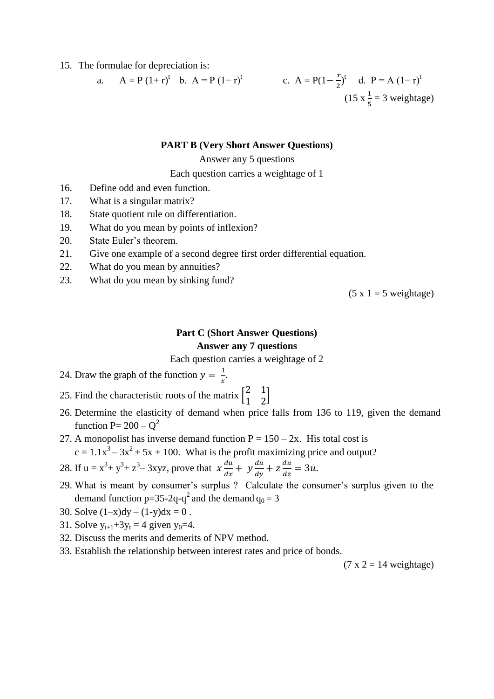15. The formulae for depreciation is:

a. 
$$
A = P(1+r)^t
$$
 b.  $A = P(1-r)^t$  c.  $A = P(1-\frac{r}{2})^t$  d.  $P = A(1-r)^t$   
(15  $x\frac{1}{5} = 3$  weightage)

#### **PART B (Very Short Answer Questions)**

#### Answer any 5 questions

Each question carries a weightage of 1

- 16. Define odd and even function.
- 17. What is a singular matrix?
- 18. State quotient rule on differentiation.
- 19. What do you mean by points of inflexion?
- 20. State Euler's theorem.
- 21. Give one example of a second degree first order differential equation.
- 22. What do you mean by annuities?
- 23. What do you mean by sinking fund?

 $(5 x 1 = 5$  weightage)

## **Part C (Short Answer Ouestions) Answer any 7 questions**

Each question carries a weightage of 2

- 24. Draw the graph of the function  $y = \frac{1}{x}$ .
- 25. Find the characteristic roots of the matrix  $\begin{bmatrix} 2 & 1 \\ 1 & 2 \end{bmatrix}$
- 26. Determine the elasticity of demand when price falls from 136 to 119, given the demand function P=  $200 - Q^2$
- 27. A monopolist has inverse demand function  $P = 150 2x$ . His total cost is  $c = 1.1x^3 - 3x^2 + 5x + 100$ . What is the profit maximizing price and output?
- 28. If  $u = x^3 + y^3 + z^3 3xyz$ , prove that  $x \frac{du}{dx} + y \frac{du}{dy} + z \frac{du}{dz} = 3u$ .
- 29. What is meant by consumer's surplus ? Calculate the consumer's surplus given to the demand function  $p=35-2q-q^2$  and the demand  $q_0 = 3$
- 30. Solve  $(1-x)dy (1-y)dx = 0$ .
- 31. Solve  $y_{t+1}+3y_t = 4$  given  $y_0=4$ .
- 32. Discuss the merits and demerits of NPV method.
- 33. Establish the relationship between interest rates and price of bonds.

 $(7 x 2 = 14$  weightage)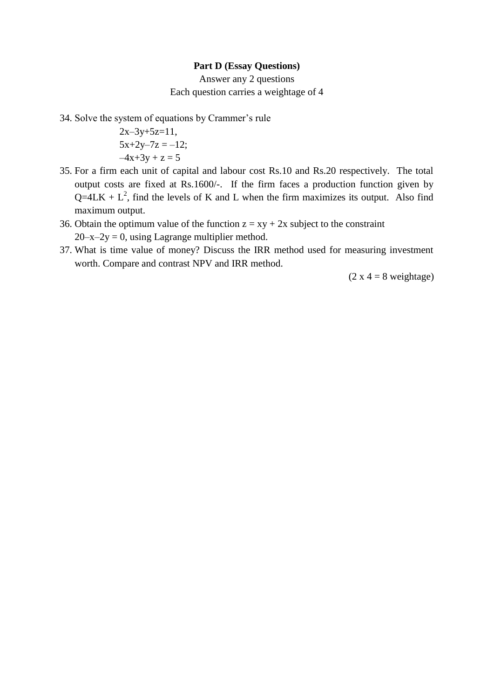#### **Part D (Essay Questions)**

Answer any 2 questions Each question carries a weightage of 4

34. Solve the system of equations by Crammer's rule

```
2x-3y+5z=11,
5x+2y-7z = -12;
-4x+3y + z = 5
```
- 35. For a firm each unit of capital and labour cost Rs.10 and Rs.20 respectively. The total output costs are fixed at Rs.1600/-. If the firm faces a production function given by  $Q=4LK + L<sup>2</sup>$ , find the levels of K and L when the firm maximizes its output. Also find maximum output.
- 36. Obtain the optimum value of the function  $z = xy + 2x$  subject to the constraint  $20-x-2y = 0$ , using Lagrange multiplier method.
- 37. What is time value of money? Discuss the IRR method used for measuring investment worth. Compare and contrast NPV and IRR method.